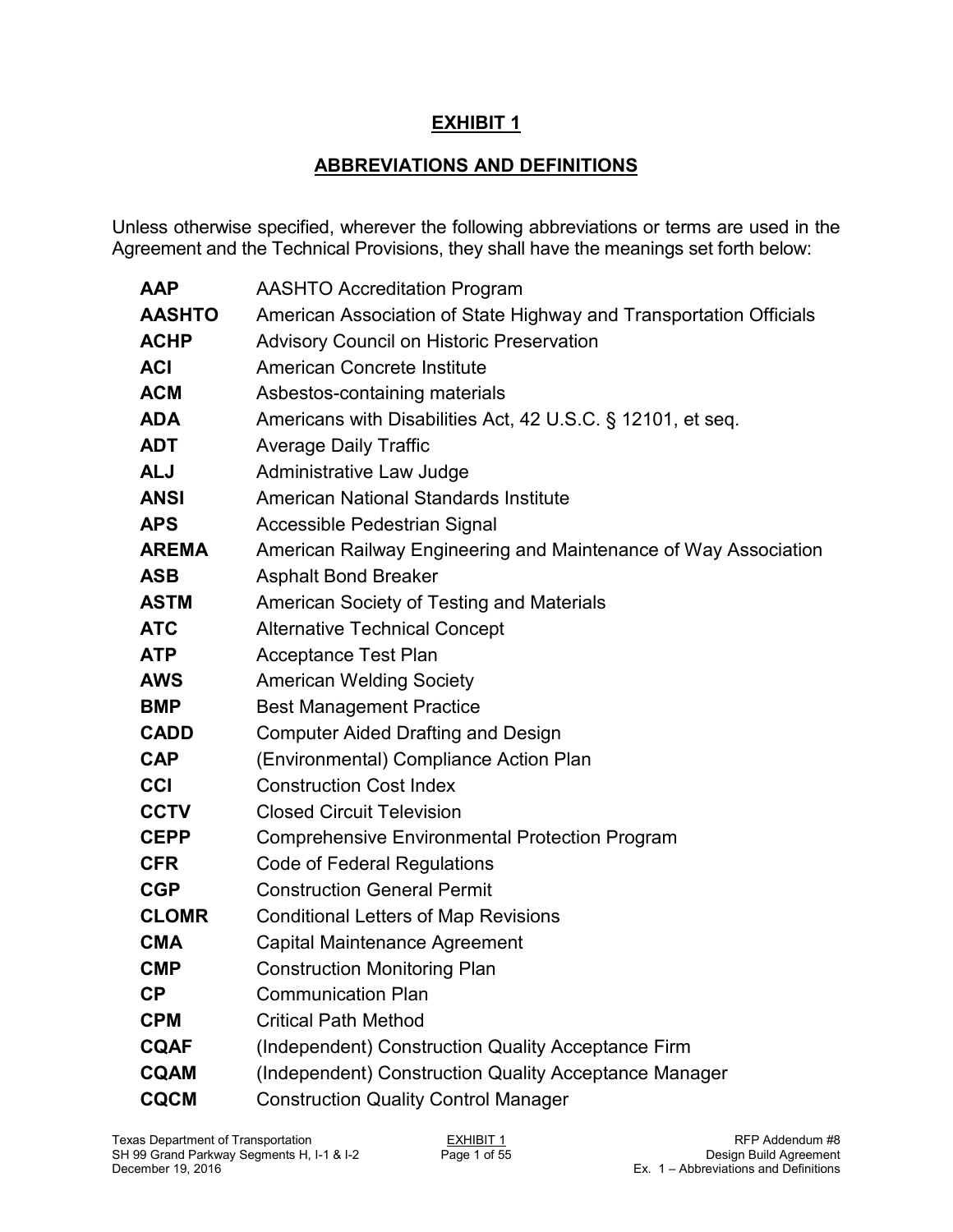## **EXHIBIT 1**

## **ABBREVIATIONS AND DEFINITIONS**

Unless otherwise specified, wherever the following abbreviations or terms are used in the Agreement and the Technical Provisions, they shall have the meanings set forth below:

| <b>AAP</b>    | <b>AASHTO Accreditation Program</b>                                |
|---------------|--------------------------------------------------------------------|
| <b>AASHTO</b> | American Association of State Highway and Transportation Officials |
| <b>ACHP</b>   | <b>Advisory Council on Historic Preservation</b>                   |
| <b>ACI</b>    | American Concrete Institute                                        |
| <b>ACM</b>    | Asbestos-containing materials                                      |
| <b>ADA</b>    | Americans with Disabilities Act, 42 U.S.C. § 12101, et seq.        |
| <b>ADT</b>    | <b>Average Daily Traffic</b>                                       |
| <b>ALJ</b>    | Administrative Law Judge                                           |
| <b>ANSI</b>   | American National Standards Institute                              |
| <b>APS</b>    | Accessible Pedestrian Signal                                       |
| <b>AREMA</b>  | American Railway Engineering and Maintenance of Way Association    |
| <b>ASB</b>    | <b>Asphalt Bond Breaker</b>                                        |
| <b>ASTM</b>   | American Society of Testing and Materials                          |
| <b>ATC</b>    | <b>Alternative Technical Concept</b>                               |
| <b>ATP</b>    | <b>Acceptance Test Plan</b>                                        |
| <b>AWS</b>    | <b>American Welding Society</b>                                    |
| <b>BMP</b>    | <b>Best Management Practice</b>                                    |
| <b>CADD</b>   | <b>Computer Aided Drafting and Design</b>                          |
| <b>CAP</b>    | (Environmental) Compliance Action Plan                             |
| <b>CCI</b>    | <b>Construction Cost Index</b>                                     |
| <b>CCTV</b>   | <b>Closed Circuit Television</b>                                   |
| <b>CEPP</b>   | <b>Comprehensive Environmental Protection Program</b>              |
| <b>CFR</b>    | Code of Federal Regulations                                        |
| <b>CGP</b>    | <b>Construction General Permit</b>                                 |
| <b>CLOMR</b>  | <b>Conditional Letters of Map Revisions</b>                        |
| <b>CMA</b>    | <b>Capital Maintenance Agreement</b>                               |
| <b>CMP</b>    | Construction Monitoring Plan                                       |
| <b>CP</b>     | <b>Communication Plan</b>                                          |
| <b>CPM</b>    | <b>Critical Path Method</b>                                        |
| <b>CQAF</b>   | (Independent) Construction Quality Acceptance Firm                 |
| <b>CQAM</b>   | (Independent) Construction Quality Acceptance Manager              |
| <b>CQCM</b>   | <b>Construction Quality Control Manager</b>                        |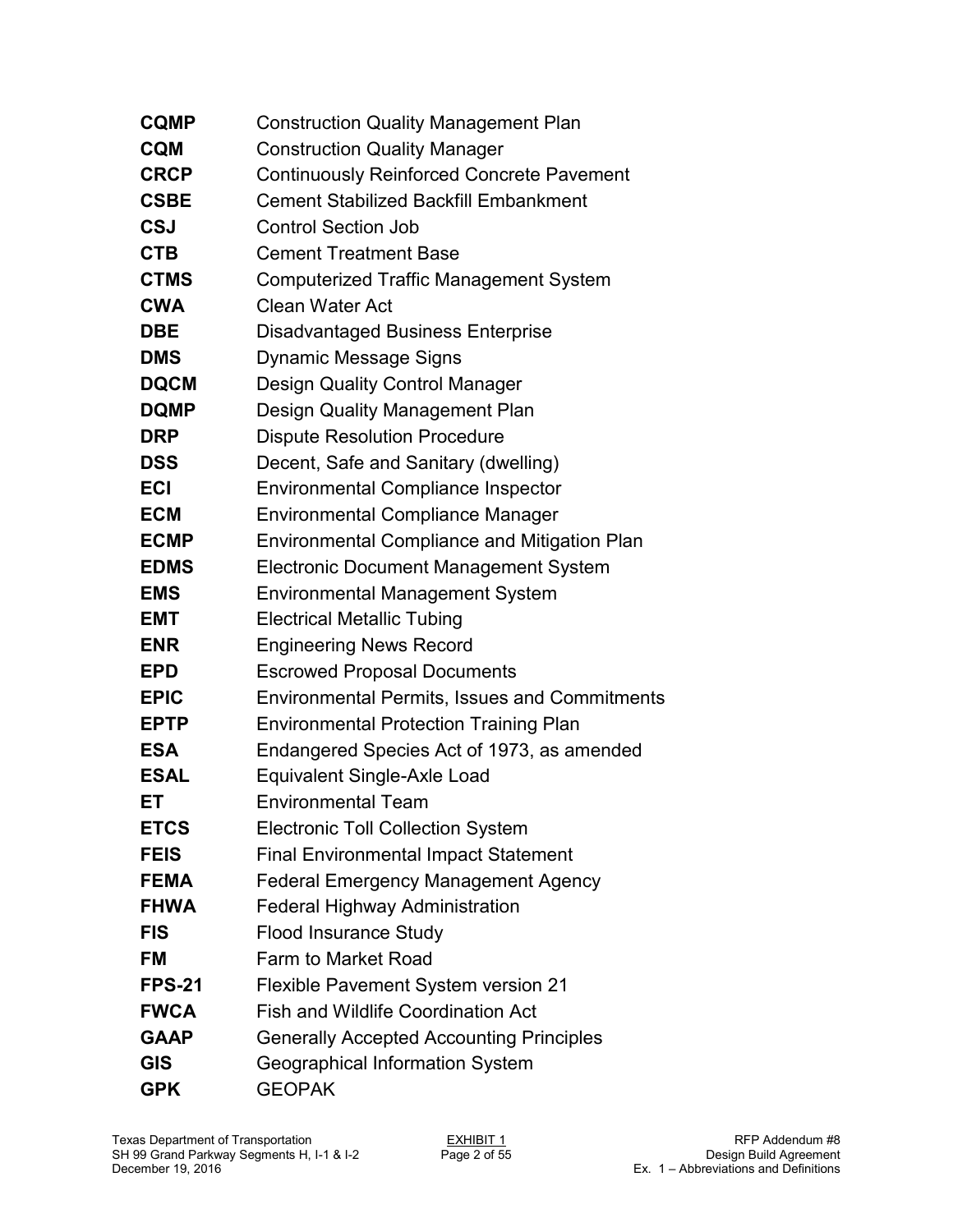| <b>CQMP</b>   | <b>Construction Quality Management Plan</b>          |
|---------------|------------------------------------------------------|
| <b>CQM</b>    | <b>Construction Quality Manager</b>                  |
| <b>CRCP</b>   | <b>Continuously Reinforced Concrete Pavement</b>     |
| <b>CSBE</b>   | <b>Cement Stabilized Backfill Embankment</b>         |
| <b>CSJ</b>    | <b>Control Section Job</b>                           |
| <b>CTB</b>    | <b>Cement Treatment Base</b>                         |
| <b>CTMS</b>   | <b>Computerized Traffic Management System</b>        |
| <b>CWA</b>    | <b>Clean Water Act</b>                               |
| <b>DBE</b>    | Disadvantaged Business Enterprise                    |
| <b>DMS</b>    | <b>Dynamic Message Signs</b>                         |
| <b>DQCM</b>   | <b>Design Quality Control Manager</b>                |
| <b>DQMP</b>   | Design Quality Management Plan                       |
| <b>DRP</b>    | <b>Dispute Resolution Procedure</b>                  |
| <b>DSS</b>    | Decent, Safe and Sanitary (dwelling)                 |
| <b>ECI</b>    | <b>Environmental Compliance Inspector</b>            |
| <b>ECM</b>    | <b>Environmental Compliance Manager</b>              |
| <b>ECMP</b>   | <b>Environmental Compliance and Mitigation Plan</b>  |
| <b>EDMS</b>   | <b>Electronic Document Management System</b>         |
| <b>EMS</b>    | <b>Environmental Management System</b>               |
| <b>EMT</b>    | <b>Electrical Metallic Tubing</b>                    |
| <b>ENR</b>    | <b>Engineering News Record</b>                       |
| <b>EPD</b>    | <b>Escrowed Proposal Documents</b>                   |
| <b>EPIC</b>   | <b>Environmental Permits, Issues and Commitments</b> |
| <b>EPTP</b>   | <b>Environmental Protection Training Plan</b>        |
| <b>ESA</b>    | Endangered Species Act of 1973, as amended           |
| <b>ESAL</b>   | <b>Equivalent Single-Axle Load</b>                   |
| ET            | <b>Environmental Team</b>                            |
| <b>ETCS</b>   | <b>Electronic Toll Collection System</b>             |
| <b>FEIS</b>   | <b>Final Environmental Impact Statement</b>          |
| <b>FEMA</b>   | <b>Federal Emergency Management Agency</b>           |
| <b>FHWA</b>   | <b>Federal Highway Administration</b>                |
| <b>FIS</b>    | <b>Flood Insurance Study</b>                         |
| <b>FM</b>     | Farm to Market Road                                  |
| <b>FPS-21</b> | <b>Flexible Pavement System version 21</b>           |
| <b>FWCA</b>   | <b>Fish and Wildlife Coordination Act</b>            |
| <b>GAAP</b>   | <b>Generally Accepted Accounting Principles</b>      |
| <b>GIS</b>    | Geographical Information System                      |
| <b>GPK</b>    | <b>GEOPAK</b>                                        |
|               |                                                      |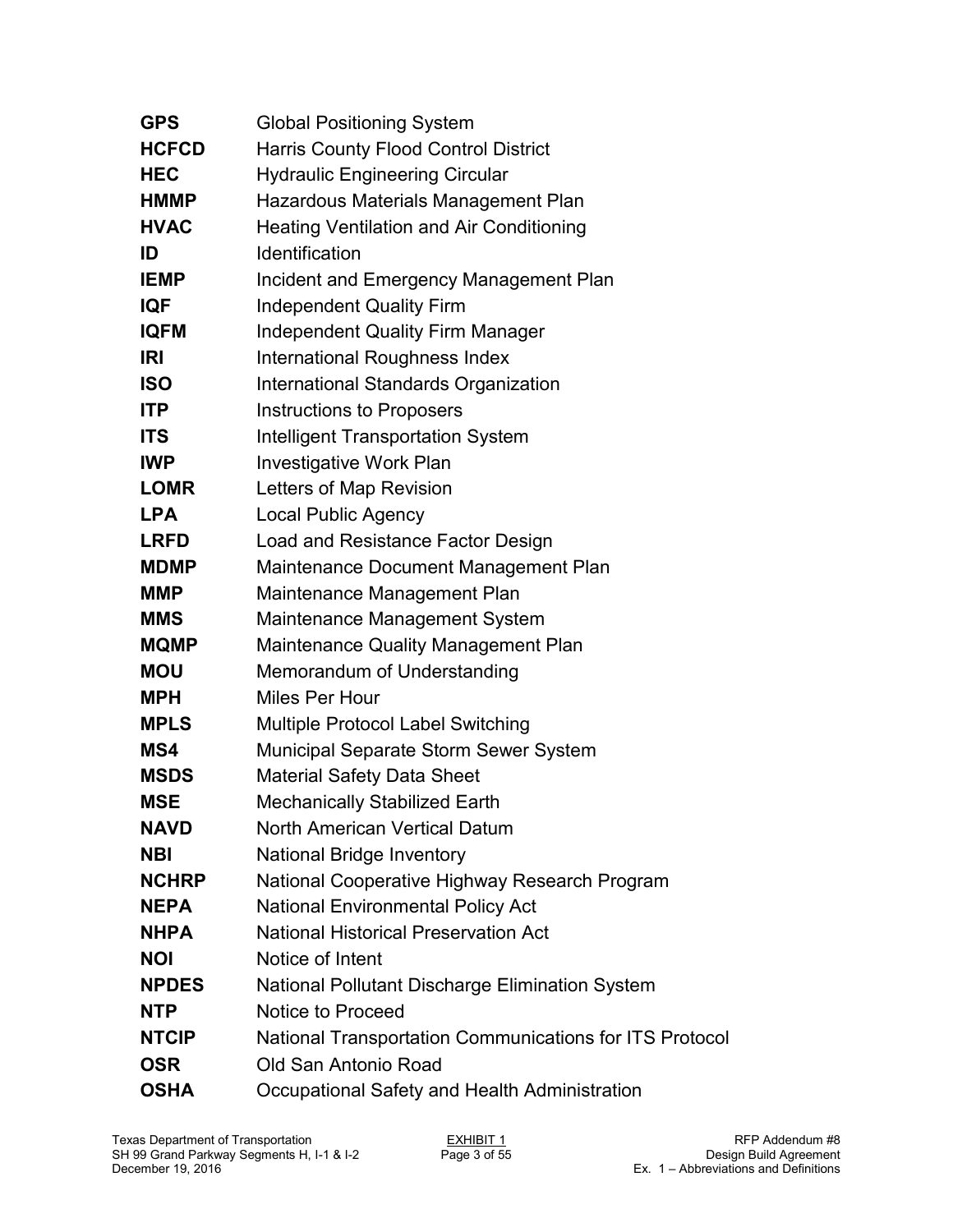| <b>GPS</b>   | <b>Global Positioning System</b>                        |
|--------------|---------------------------------------------------------|
| <b>HCFCD</b> | <b>Harris County Flood Control District</b>             |
| <b>HEC</b>   | <b>Hydraulic Engineering Circular</b>                   |
| <b>HMMP</b>  | Hazardous Materials Management Plan                     |
| <b>HVAC</b>  | <b>Heating Ventilation and Air Conditioning</b>         |
| ID           | Identification                                          |
| <b>IEMP</b>  | Incident and Emergency Management Plan                  |
| IQF          | <b>Independent Quality Firm</b>                         |
| <b>IQFM</b>  | <b>Independent Quality Firm Manager</b>                 |
| IRI          | International Roughness Index                           |
| <b>ISO</b>   | International Standards Organization                    |
| <b>ITP</b>   | Instructions to Proposers                               |
| <b>ITS</b>   | <b>Intelligent Transportation System</b>                |
| <b>IWP</b>   | <b>Investigative Work Plan</b>                          |
| <b>LOMR</b>  | Letters of Map Revision                                 |
| <b>LPA</b>   | <b>Local Public Agency</b>                              |
| <b>LRFD</b>  | Load and Resistance Factor Design                       |
| <b>MDMP</b>  | Maintenance Document Management Plan                    |
| <b>MMP</b>   | Maintenance Management Plan                             |
| <b>MMS</b>   | Maintenance Management System                           |
| <b>MQMP</b>  | Maintenance Quality Management Plan                     |
| <b>MOU</b>   | Memorandum of Understanding                             |
| <b>MPH</b>   | Miles Per Hour                                          |
| <b>MPLS</b>  | <b>Multiple Protocol Label Switching</b>                |
| MS4          | Municipal Separate Storm Sewer System                   |
| <b>MSDS</b>  | <b>Material Safety Data Sheet</b>                       |
| <b>MSE</b>   | <b>Mechanically Stabilized Earth</b>                    |
| <b>NAVD</b>  | North American Vertical Datum                           |
| <b>NBI</b>   | <b>National Bridge Inventory</b>                        |
| <b>NCHRP</b> | National Cooperative Highway Research Program           |
| <b>NEPA</b>  | <b>National Environmental Policy Act</b>                |
| <b>NHPA</b>  | <b>National Historical Preservation Act</b>             |
| <b>NOI</b>   | Notice of Intent                                        |
| <b>NPDES</b> | <b>National Pollutant Discharge Elimination System</b>  |
| <b>NTP</b>   | <b>Notice to Proceed</b>                                |
| <b>NTCIP</b> | National Transportation Communications for ITS Protocol |
| <b>OSR</b>   | Old San Antonio Road                                    |
| <b>OSHA</b>  | Occupational Safety and Health Administration           |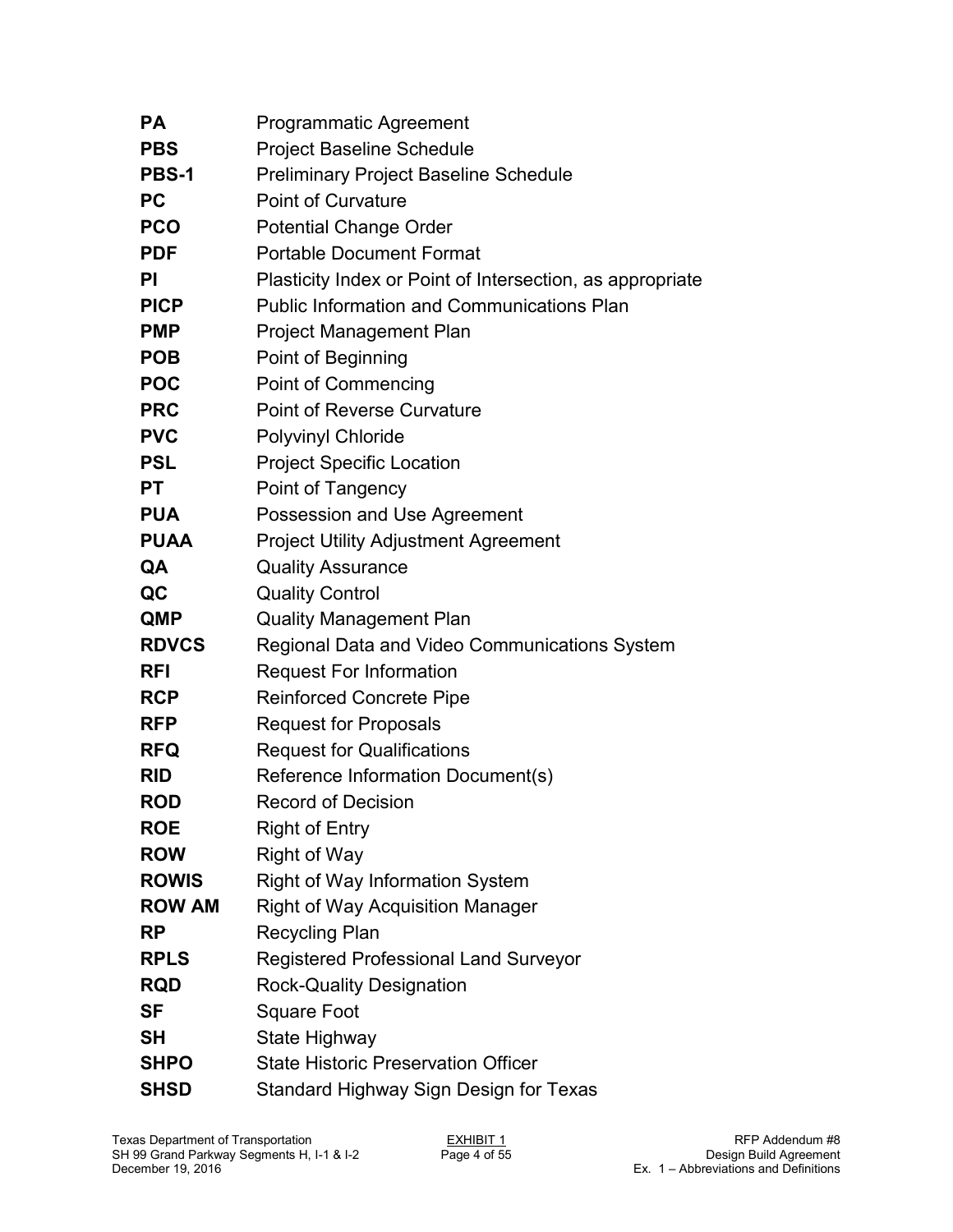| <b>PA</b>     | <b>Programmatic Agreement</b>                             |
|---------------|-----------------------------------------------------------|
| <b>PBS</b>    | <b>Project Baseline Schedule</b>                          |
| PBS-1         | <b>Preliminary Project Baseline Schedule</b>              |
| <b>PC</b>     | <b>Point of Curvature</b>                                 |
| <b>PCO</b>    | <b>Potential Change Order</b>                             |
| <b>PDF</b>    | <b>Portable Document Format</b>                           |
| <b>PI</b>     | Plasticity Index or Point of Intersection, as appropriate |
| <b>PICP</b>   | <b>Public Information and Communications Plan</b>         |
| <b>PMP</b>    | Project Management Plan                                   |
| <b>POB</b>    | Point of Beginning                                        |
| <b>POC</b>    | <b>Point of Commencing</b>                                |
| <b>PRC</b>    | <b>Point of Reverse Curvature</b>                         |
| <b>PVC</b>    | <b>Polyvinyl Chloride</b>                                 |
| <b>PSL</b>    | <b>Project Specific Location</b>                          |
| <b>PT</b>     | Point of Tangency                                         |
| <b>PUA</b>    | Possession and Use Agreement                              |
| <b>PUAA</b>   | <b>Project Utility Adjustment Agreement</b>               |
| QA            | <b>Quality Assurance</b>                                  |
| QC            | <b>Quality Control</b>                                    |
| <b>QMP</b>    | <b>Quality Management Plan</b>                            |
| <b>RDVCS</b>  | Regional Data and Video Communications System             |
| <b>RFI</b>    | <b>Request For Information</b>                            |
| <b>RCP</b>    | <b>Reinforced Concrete Pipe</b>                           |
| <b>RFP</b>    | <b>Request for Proposals</b>                              |
| <b>RFQ</b>    | <b>Request for Qualifications</b>                         |
| <b>RID</b>    | Reference Information Document(s)                         |
| <b>ROD</b>    | <b>Record of Decision</b>                                 |
| <b>ROE</b>    | <b>Right of Entry</b>                                     |
| <b>ROW</b>    | <b>Right of Way</b>                                       |
| <b>ROWIS</b>  | <b>Right of Way Information System</b>                    |
| <b>ROW AM</b> | <b>Right of Way Acquisition Manager</b>                   |
| <b>RP</b>     | <b>Recycling Plan</b>                                     |
| <b>RPLS</b>   | <b>Registered Professional Land Surveyor</b>              |
| <b>RQD</b>    | <b>Rock-Quality Designation</b>                           |
| SF            | <b>Square Foot</b>                                        |
| <b>SH</b>     | State Highway                                             |
| <b>SHPO</b>   | <b>State Historic Preservation Officer</b>                |
| <b>SHSD</b>   | Standard Highway Sign Design for Texas                    |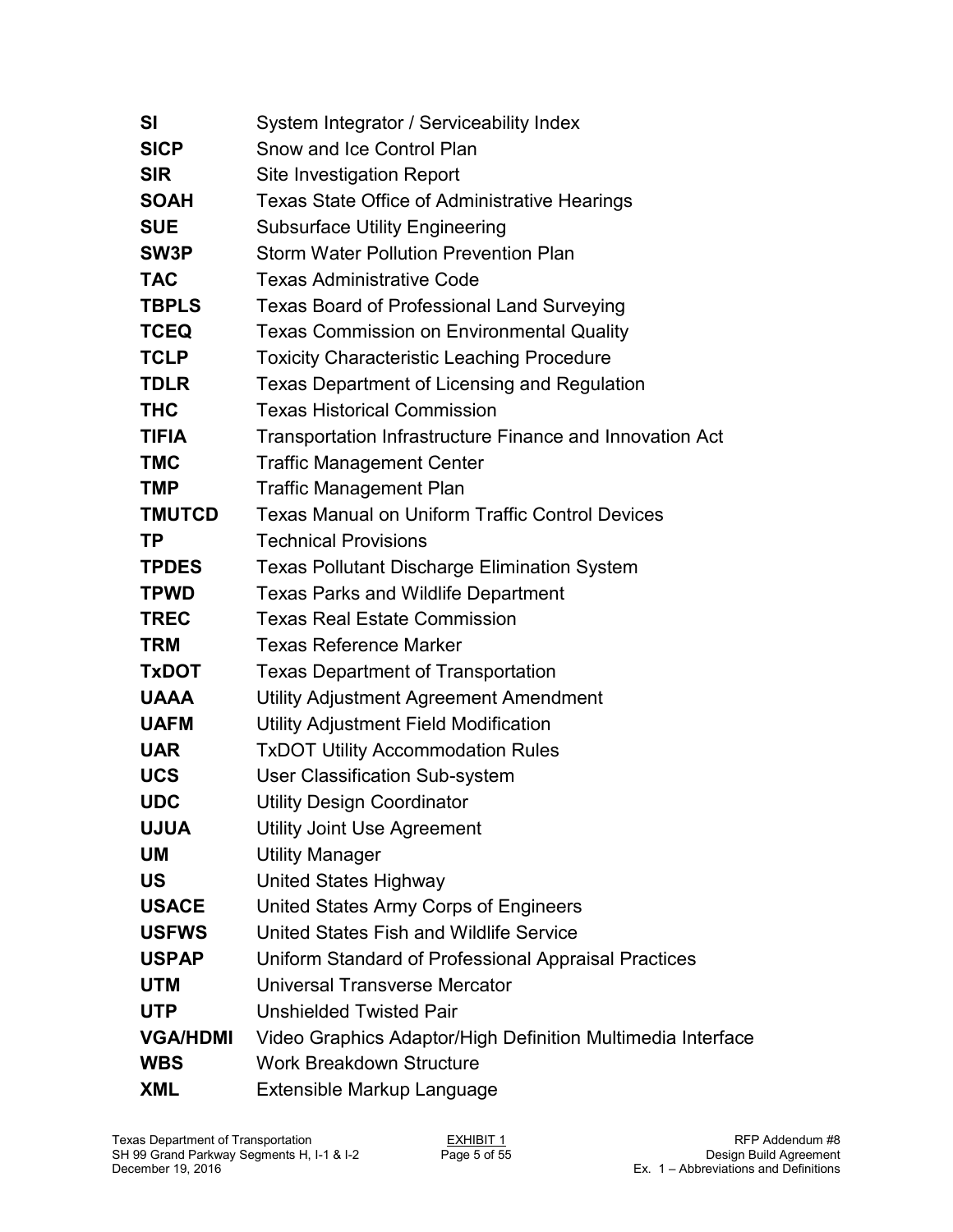| SI              | System Integrator / Serviceability Index                    |
|-----------------|-------------------------------------------------------------|
| <b>SICP</b>     | Snow and Ice Control Plan                                   |
| <b>SIR</b>      | <b>Site Investigation Report</b>                            |
| <b>SOAH</b>     | <b>Texas State Office of Administrative Hearings</b>        |
| <b>SUE</b>      | <b>Subsurface Utility Engineering</b>                       |
| SW3P            | <b>Storm Water Pollution Prevention Plan</b>                |
| <b>TAC</b>      | <b>Texas Administrative Code</b>                            |
| <b>TBPLS</b>    | <b>Texas Board of Professional Land Surveying</b>           |
| <b>TCEQ</b>     | <b>Texas Commission on Environmental Quality</b>            |
| <b>TCLP</b>     | <b>Toxicity Characteristic Leaching Procedure</b>           |
| <b>TDLR</b>     | <b>Texas Department of Licensing and Regulation</b>         |
| <b>THC</b>      | <b>Texas Historical Commission</b>                          |
| <b>TIFIA</b>    | Transportation Infrastructure Finance and Innovation Act    |
| <b>TMC</b>      | <b>Traffic Management Center</b>                            |
| <b>TMP</b>      | <b>Traffic Management Plan</b>                              |
| <b>TMUTCD</b>   | <b>Texas Manual on Uniform Traffic Control Devices</b>      |
| <b>TP</b>       | <b>Technical Provisions</b>                                 |
| <b>TPDES</b>    | <b>Texas Pollutant Discharge Elimination System</b>         |
| <b>TPWD</b>     | <b>Texas Parks and Wildlife Department</b>                  |
| <b>TREC</b>     | <b>Texas Real Estate Commission</b>                         |
| <b>TRM</b>      | <b>Texas Reference Marker</b>                               |
| <b>TxDOT</b>    | <b>Texas Department of Transportation</b>                   |
| <b>UAAA</b>     | Utility Adjustment Agreement Amendment                      |
| <b>UAFM</b>     | Utility Adjustment Field Modification                       |
| <b>UAR</b>      | <b>TxDOT Utility Accommodation Rules</b>                    |
| <b>UCS</b>      | <b>User Classification Sub-system</b>                       |
| <b>UDC</b>      | <b>Utility Design Coordinator</b>                           |
| <b>UJUA</b>     | Utility Joint Use Agreement                                 |
| UM              | <b>Utility Manager</b>                                      |
| <b>US</b>       | United States Highway                                       |
| <b>USACE</b>    | United States Army Corps of Engineers                       |
| <b>USFWS</b>    | United States Fish and Wildlife Service                     |
| <b>USPAP</b>    | Uniform Standard of Professional Appraisal Practices        |
| <b>UTM</b>      | Universal Transverse Mercator                               |
| <b>UTP</b>      | <b>Unshielded Twisted Pair</b>                              |
| <b>VGA/HDMI</b> | Video Graphics Adaptor/High Definition Multimedia Interface |
| <b>WBS</b>      | <b>Work Breakdown Structure</b>                             |
| <b>XML</b>      | Extensible Markup Language                                  |
|                 |                                                             |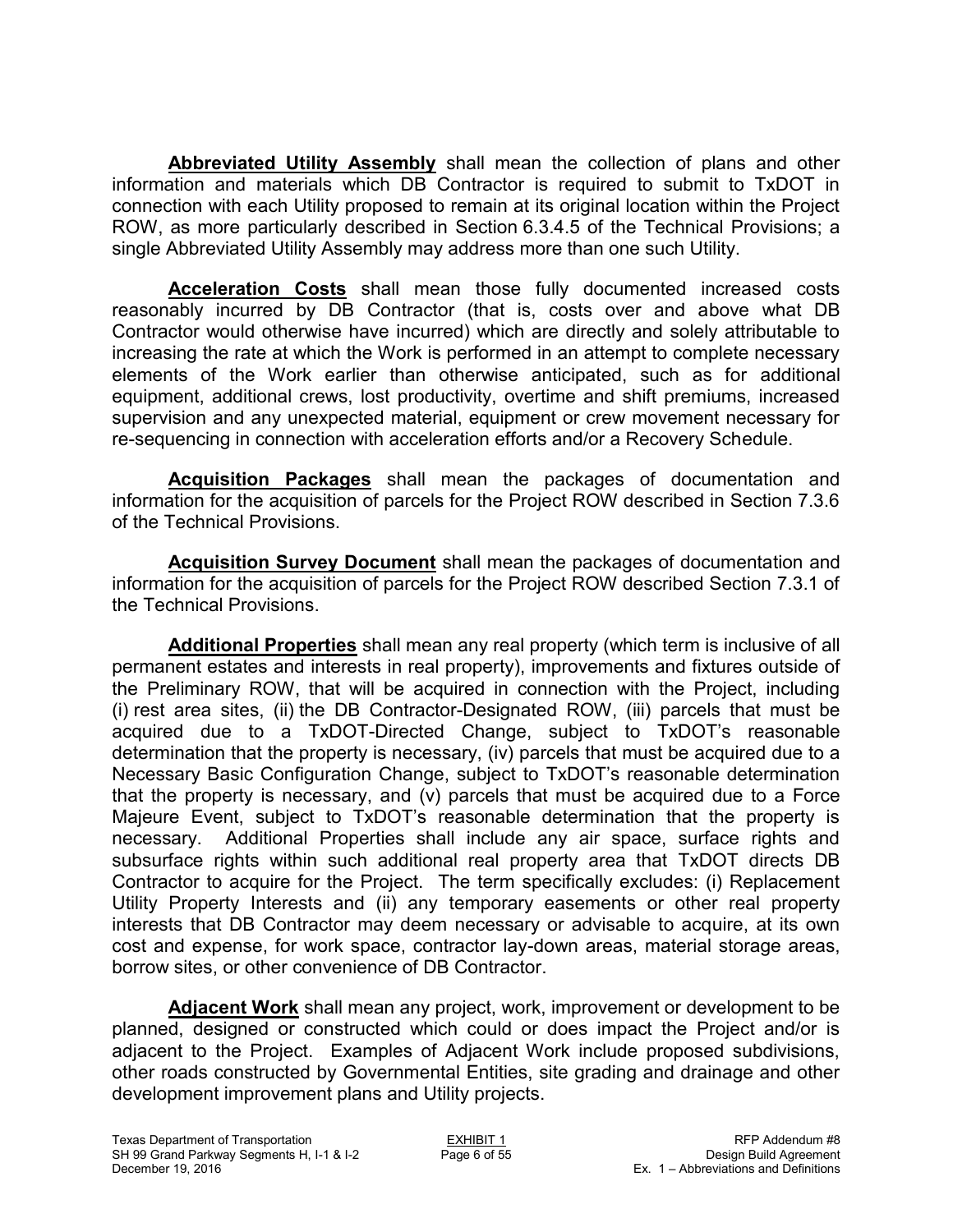**Abbreviated Utility Assembly** shall mean the collection of plans and other information and materials which DB Contractor is required to submit to TxDOT in connection with each Utility proposed to remain at its original location within the Project ROW, as more particularly described in Section 6.3.4.5 of the Technical Provisions; a single Abbreviated Utility Assembly may address more than one such Utility.

**Acceleration Costs** shall mean those fully documented increased costs reasonably incurred by DB Contractor (that is, costs over and above what DB Contractor would otherwise have incurred) which are directly and solely attributable to increasing the rate at which the Work is performed in an attempt to complete necessary elements of the Work earlier than otherwise anticipated, such as for additional equipment, additional crews, lost productivity, overtime and shift premiums, increased supervision and any unexpected material, equipment or crew movement necessary for re-sequencing in connection with acceleration efforts and/or a Recovery Schedule.

**Acquisition Packages** shall mean the packages of documentation and information for the acquisition of parcels for the Project ROW described in Section 7.3.6 of the Technical Provisions.

**Acquisition Survey Document** shall mean the packages of documentation and information for the acquisition of parcels for the Project ROW described Section 7.3.1 of the Technical Provisions.

**Additional Properties** shall mean any real property (which term is inclusive of all permanent estates and interests in real property), improvements and fixtures outside of the Preliminary ROW, that will be acquired in connection with the Project, including (i) rest area sites, (ii) the DB Contractor-Designated ROW, (iii) parcels that must be acquired due to a TxDOT-Directed Change, subject to TxDOT's reasonable determination that the property is necessary, (iv) parcels that must be acquired due to a Necessary Basic Configuration Change, subject to TxDOT's reasonable determination that the property is necessary, and (v) parcels that must be acquired due to a Force Majeure Event, subject to TxDOT's reasonable determination that the property is necessary. Additional Properties shall include any air space, surface rights and subsurface rights within such additional real property area that TxDOT directs DB Contractor to acquire for the Project. The term specifically excludes: (i) Replacement Utility Property Interests and (ii) any temporary easements or other real property interests that DB Contractor may deem necessary or advisable to acquire, at its own cost and expense, for work space, contractor lay-down areas, material storage areas, borrow sites, or other convenience of DB Contractor.

**Adjacent Work** shall mean any project, work, improvement or development to be planned, designed or constructed which could or does impact the Project and/or is adjacent to the Project. Examples of Adjacent Work include proposed subdivisions, other roads constructed by Governmental Entities, site grading and drainage and other development improvement plans and Utility projects.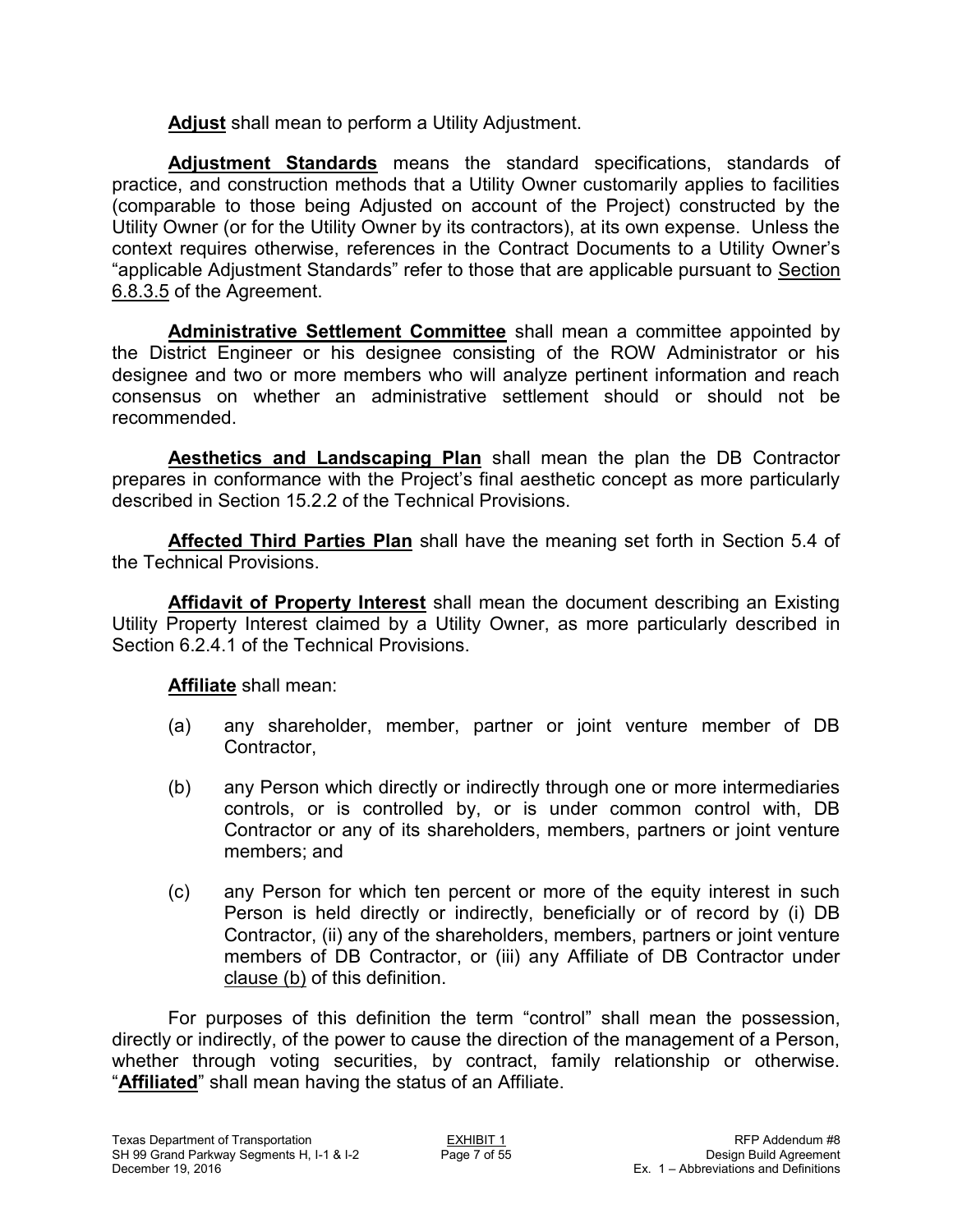**Adjust** shall mean to perform a Utility Adjustment.

**Adjustment Standards** means the standard specifications, standards of practice, and construction methods that a Utility Owner customarily applies to facilities (comparable to those being Adjusted on account of the Project) constructed by the Utility Owner (or for the Utility Owner by its contractors), at its own expense. Unless the context requires otherwise, references in the Contract Documents to a Utility Owner's "applicable Adjustment Standards" refer to those that are applicable pursuant to Section 6.8.3.5 of the Agreement.

**Administrative Settlement Committee** shall mean a committee appointed by the District Engineer or his designee consisting of the ROW Administrator or his designee and two or more members who will analyze pertinent information and reach consensus on whether an administrative settlement should or should not be recommended.

**Aesthetics and Landscaping Plan** shall mean the plan the DB Contractor prepares in conformance with the Project's final aesthetic concept as more particularly described in Section 15.2.2 of the Technical Provisions.

**Affected Third Parties Plan** shall have the meaning set forth in Section 5.4 of the Technical Provisions.

**Affidavit of Property Interest** shall mean the document describing an Existing Utility Property Interest claimed by a Utility Owner, as more particularly described in Section 6.2.4.1 of the Technical Provisions.

**Affiliate** shall mean:

- (a) any shareholder, member, partner or joint venture member of DB Contractor,
- (b) any Person which directly or indirectly through one or more intermediaries controls, or is controlled by, or is under common control with, DB Contractor or any of its shareholders, members, partners or joint venture members; and
- (c) any Person for which ten percent or more of the equity interest in such Person is held directly or indirectly, beneficially or of record by (i) DB Contractor, (ii) any of the shareholders, members, partners or joint venture members of DB Contractor, or (iii) any Affiliate of DB Contractor under clause (b) of this definition.

For purposes of this definition the term "control" shall mean the possession, directly or indirectly, of the power to cause the direction of the management of a Person, whether through voting securities, by contract, family relationship or otherwise. "**Affiliated**" shall mean having the status of an Affiliate.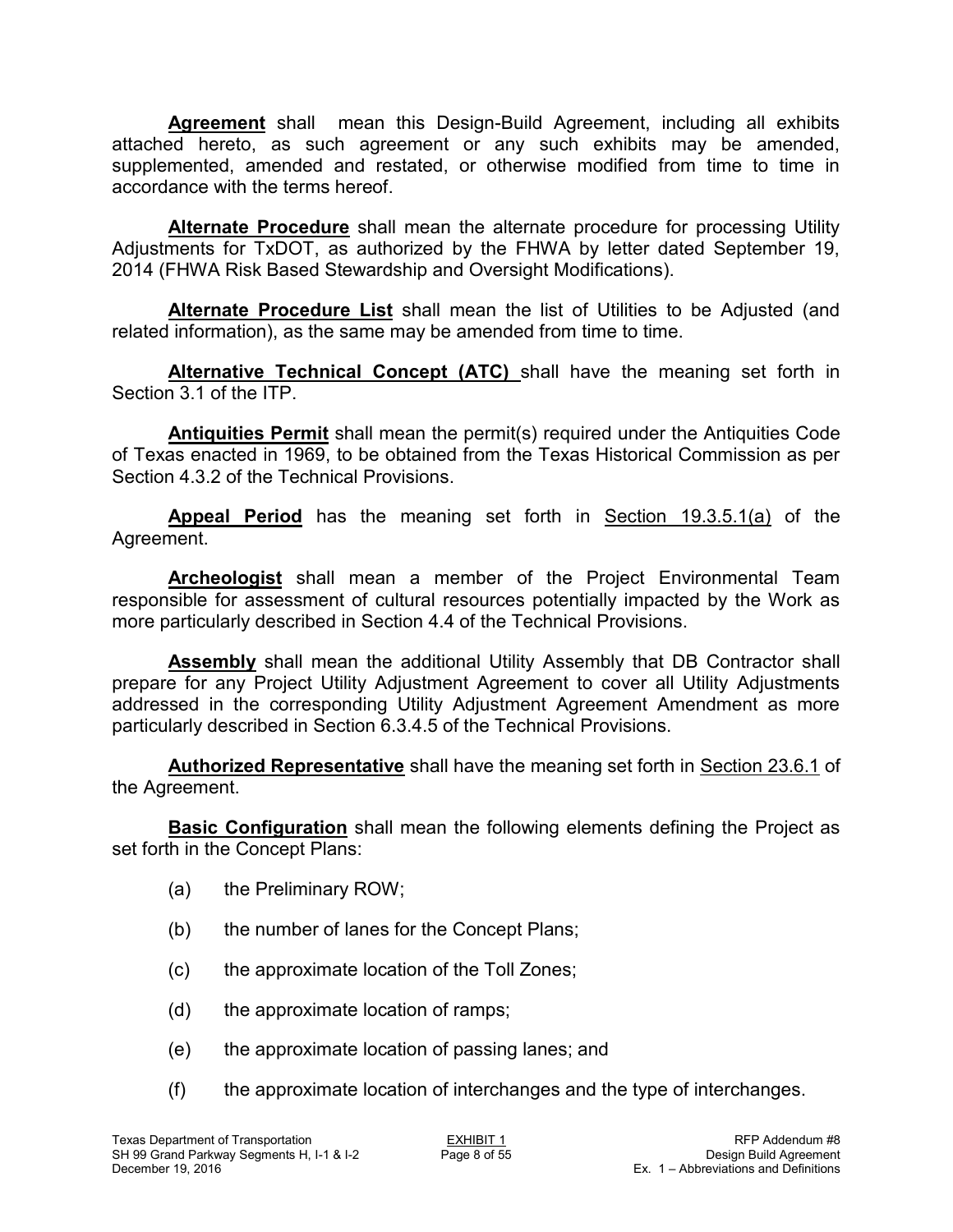**Agreement** shall mean this Design-Build Agreement, including all exhibits attached hereto, as such agreement or any such exhibits may be amended, supplemented, amended and restated, or otherwise modified from time to time in accordance with the terms hereof.

**Alternate Procedure** shall mean the alternate procedure for processing Utility Adjustments for TxDOT, as authorized by the FHWA by letter dated September 19, 2014 (FHWA Risk Based Stewardship and Oversight Modifications).

**Alternate Procedure List** shall mean the list of Utilities to be Adjusted (and related information), as the same may be amended from time to time.

**Alternative Technical Concept (ATC)** shall have the meaning set forth in Section 3.1 of the ITP.

**Antiquities Permit** shall mean the permit(s) required under the Antiquities Code of Texas enacted in 1969, to be obtained from the Texas Historical Commission as per Section 4.3.2 of the Technical Provisions.

**Appeal Period** has the meaning set forth in Section 19.3.5.1(a) of the Agreement.

**Archeologist** shall mean a member of the Project Environmental Team responsible for assessment of cultural resources potentially impacted by the Work as more particularly described in Section 4.4 of the Technical Provisions.

**Assembly** shall mean the additional Utility Assembly that DB Contractor shall prepare for any Project Utility Adjustment Agreement to cover all Utility Adjustments addressed in the corresponding Utility Adjustment Agreement Amendment as more particularly described in Section 6.3.4.5 of the Technical Provisions.

**Authorized Representative** shall have the meaning set forth in Section 23.6.1 of the Agreement.

**Basic Configuration** shall mean the following elements defining the Project as set forth in the Concept Plans:

- (a) the Preliminary ROW;
- (b) the number of lanes for the Concept Plans;
- (c) the approximate location of the Toll Zones;
- (d) the approximate location of ramps;
- (e) the approximate location of passing lanes; and
- (f) the approximate location of interchanges and the type of interchanges.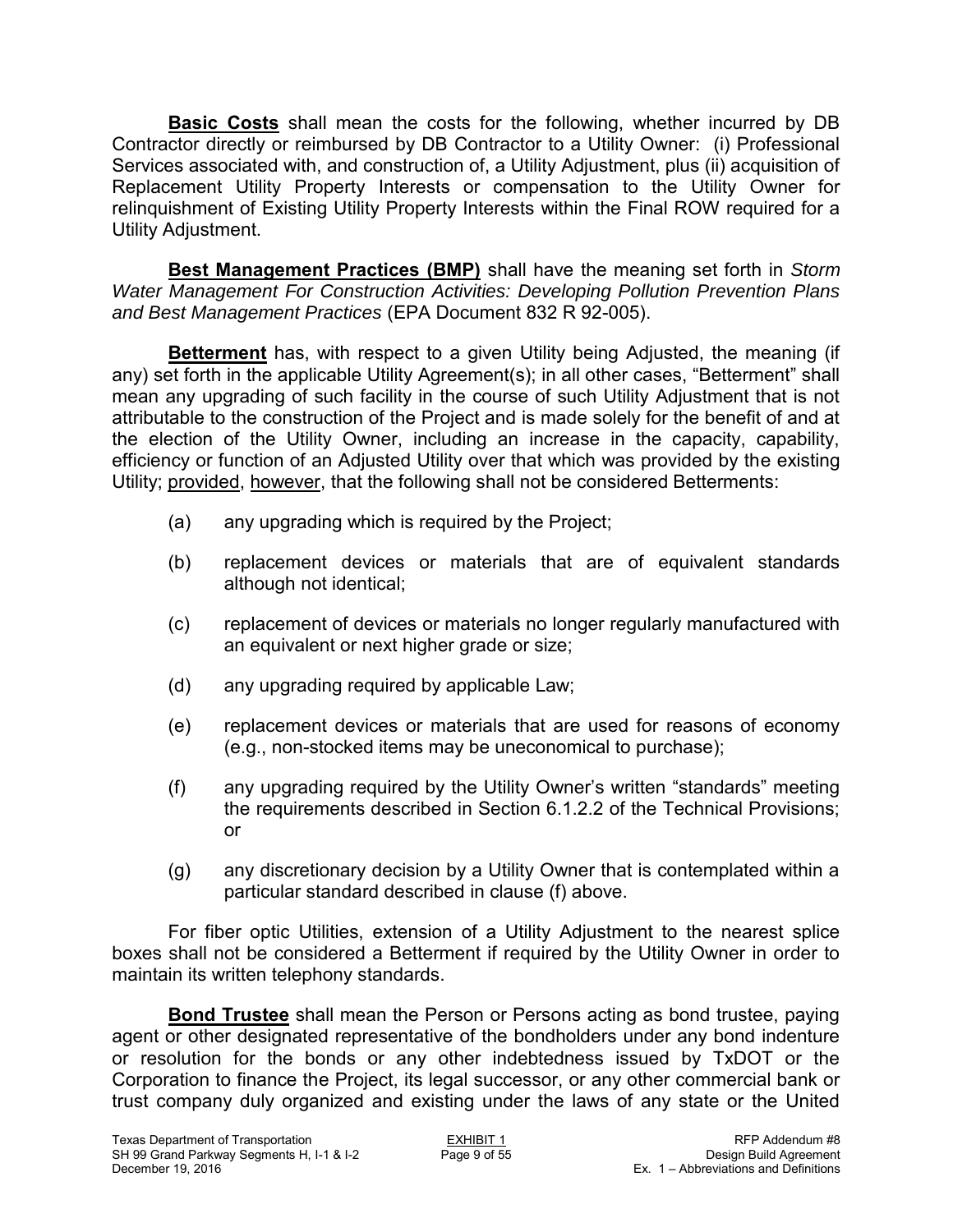**Basic Costs** shall mean the costs for the following, whether incurred by DB Contractor directly or reimbursed by DB Contractor to a Utility Owner: (i) Professional Services associated with, and construction of, a Utility Adjustment, plus (ii) acquisition of Replacement Utility Property Interests or compensation to the Utility Owner for relinquishment of Existing Utility Property Interests within the Final ROW required for a Utility Adjustment.

**Best Management Practices (BMP)** shall have the meaning set forth in *Storm Water Management For Construction Activities: Developing Pollution Prevention Plans and Best Management Practices* (EPA Document 832 R 92-005).

**Betterment** has, with respect to a given Utility being Adjusted, the meaning (if any) set forth in the applicable Utility Agreement(s); in all other cases, "Betterment" shall mean any upgrading of such facility in the course of such Utility Adjustment that is not attributable to the construction of the Project and is made solely for the benefit of and at the election of the Utility Owner, including an increase in the capacity, capability, efficiency or function of an Adjusted Utility over that which was provided by the existing Utility; provided, however, that the following shall not be considered Betterments:

- (a) any upgrading which is required by the Project;
- (b) replacement devices or materials that are of equivalent standards although not identical;
- (c) replacement of devices or materials no longer regularly manufactured with an equivalent or next higher grade or size;
- (d) any upgrading required by applicable Law;
- (e) replacement devices or materials that are used for reasons of economy (e.g., non-stocked items may be uneconomical to purchase);
- (f) any upgrading required by the Utility Owner's written "standards" meeting the requirements described in Section 6.1.2.2 of the Technical Provisions; or
- (g) any discretionary decision by a Utility Owner that is contemplated within a particular standard described in clause (f) above.

For fiber optic Utilities, extension of a Utility Adjustment to the nearest splice boxes shall not be considered a Betterment if required by the Utility Owner in order to maintain its written telephony standards.

**Bond Trustee** shall mean the Person or Persons acting as bond trustee, paying agent or other designated representative of the bondholders under any bond indenture or resolution for the bonds or any other indebtedness issued by TxDOT or the Corporation to finance the Project, its legal successor, or any other commercial bank or trust company duly organized and existing under the laws of any state or the United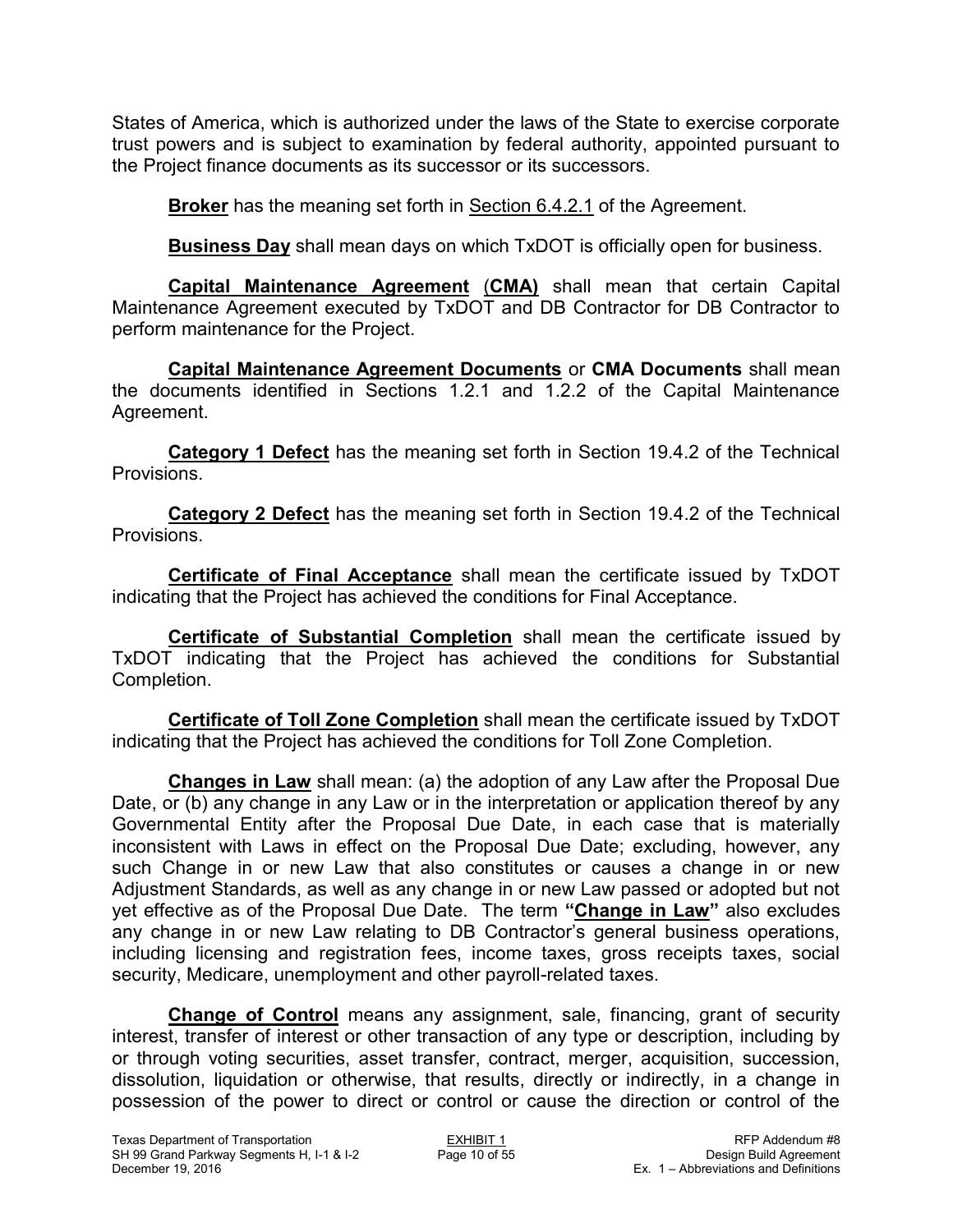States of America, which is authorized under the laws of the State to exercise corporate trust powers and is subject to examination by federal authority, appointed pursuant to the Project finance documents as its successor or its successors.

**Broker** has the meaning set forth in Section 6.4.2.1 of the Agreement.

**Business Day** shall mean days on which TxDOT is officially open for business.

**Capital Maintenance Agreement** (**CMA)** shall mean that certain Capital Maintenance Agreement executed by TxDOT and DB Contractor for DB Contractor to perform maintenance for the Project.

**Capital Maintenance Agreement Documents** or **CMA Documents** shall mean the documents identified in Sections 1.2.1 and 1.2.2 of the Capital Maintenance Agreement.

**Category 1 Defect** has the meaning set forth in Section 19.4.2 of the Technical Provisions.

**Category 2 Defect** has the meaning set forth in Section 19.4.2 of the Technical Provisions.

**Certificate of Final Acceptance** shall mean the certificate issued by TxDOT indicating that the Project has achieved the conditions for Final Acceptance.

**Certificate of Substantial Completion** shall mean the certificate issued by TxDOT indicating that the Project has achieved the conditions for Substantial Completion.

**Certificate of Toll Zone Completion** shall mean the certificate issued by TxDOT indicating that the Project has achieved the conditions for Toll Zone Completion.

**Changes in Law** shall mean: (a) the adoption of any Law after the Proposal Due Date, or (b) any change in any Law or in the interpretation or application thereof by any Governmental Entity after the Proposal Due Date, in each case that is materially inconsistent with Laws in effect on the Proposal Due Date; excluding, however, any such Change in or new Law that also constitutes or causes a change in or new Adjustment Standards, as well as any change in or new Law passed or adopted but not yet effective as of the Proposal Due Date. The term **"Change in Law"** also excludes any change in or new Law relating to DB Contractor's general business operations, including licensing and registration fees, income taxes, gross receipts taxes, social security, Medicare, unemployment and other payroll-related taxes.

**Change of Control** means any assignment, sale, financing, grant of security interest, transfer of interest or other transaction of any type or description, including by or through voting securities, asset transfer, contract, merger, acquisition, succession, dissolution, liquidation or otherwise, that results, directly or indirectly, in a change in possession of the power to direct or control or cause the direction or control of the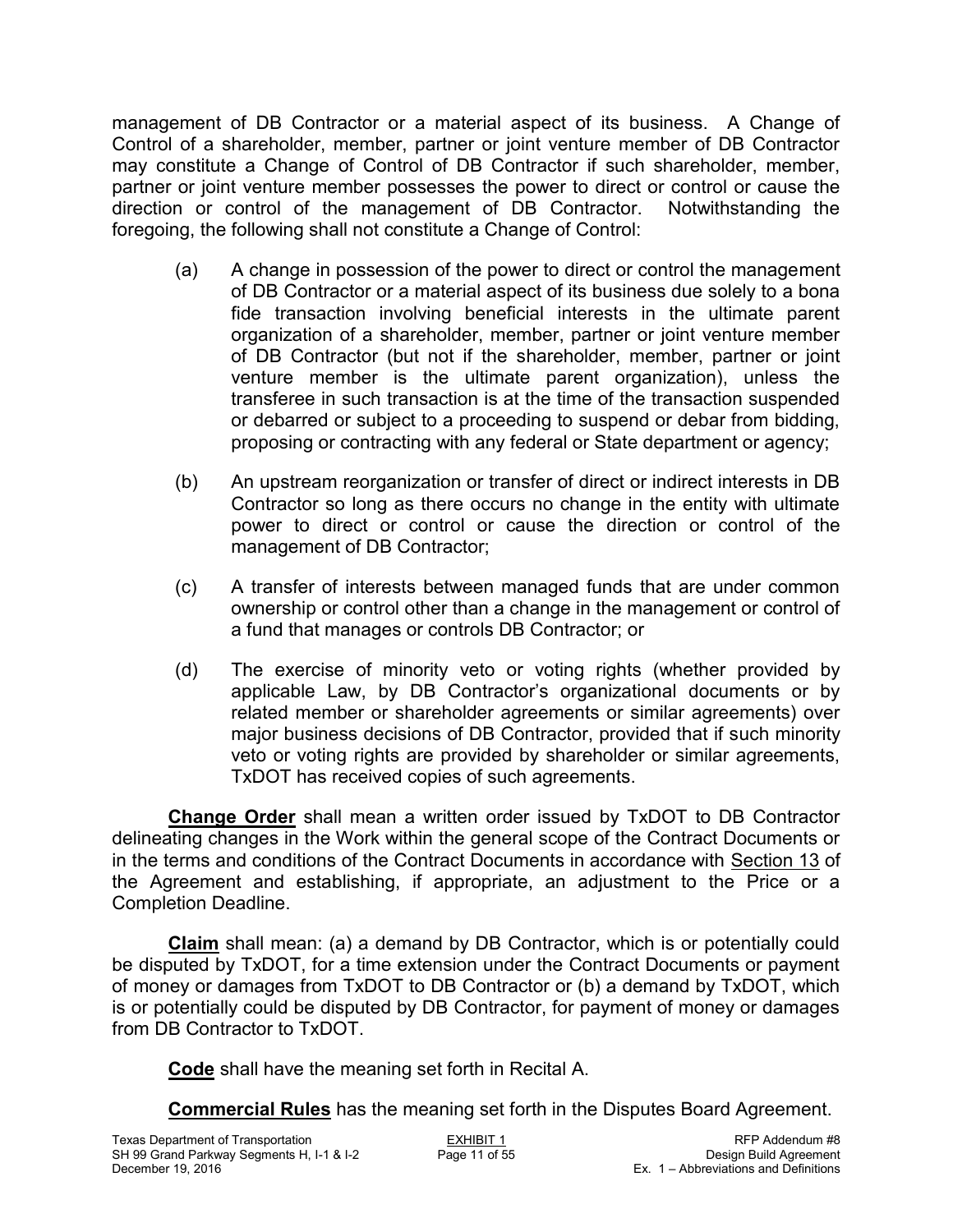management of DB Contractor or a material aspect of its business. A Change of Control of a shareholder, member, partner or joint venture member of DB Contractor may constitute a Change of Control of DB Contractor if such shareholder, member, partner or joint venture member possesses the power to direct or control or cause the direction or control of the management of DB Contractor. Notwithstanding the foregoing, the following shall not constitute a Change of Control:

- (a) A change in possession of the power to direct or control the management of DB Contractor or a material aspect of its business due solely to a bona fide transaction involving beneficial interests in the ultimate parent organization of a shareholder, member, partner or joint venture member of DB Contractor (but not if the shareholder, member, partner or joint venture member is the ultimate parent organization), unless the transferee in such transaction is at the time of the transaction suspended or debarred or subject to a proceeding to suspend or debar from bidding, proposing or contracting with any federal or State department or agency;
- (b) An upstream reorganization or transfer of direct or indirect interests in DB Contractor so long as there occurs no change in the entity with ultimate power to direct or control or cause the direction or control of the management of DB Contractor;
- (c) A transfer of interests between managed funds that are under common ownership or control other than a change in the management or control of a fund that manages or controls DB Contractor; or
- (d) The exercise of minority veto or voting rights (whether provided by applicable Law, by DB Contractor's organizational documents or by related member or shareholder agreements or similar agreements) over major business decisions of DB Contractor, provided that if such minority veto or voting rights are provided by shareholder or similar agreements, TxDOT has received copies of such agreements.

**Change Order** shall mean a written order issued by TxDOT to DB Contractor delineating changes in the Work within the general scope of the Contract Documents or in the terms and conditions of the Contract Documents in accordance with Section 13 of the Agreement and establishing, if appropriate, an adjustment to the Price or a Completion Deadline.

**Claim** shall mean: (a) a demand by DB Contractor, which is or potentially could be disputed by TxDOT, for a time extension under the Contract Documents or payment of money or damages from TxDOT to DB Contractor or (b) a demand by TxDOT, which is or potentially could be disputed by DB Contractor, for payment of money or damages from DB Contractor to TxDOT.

**Code** shall have the meaning set forth in Recital A.

**Commercial Rules** has the meaning set forth in the Disputes Board Agreement.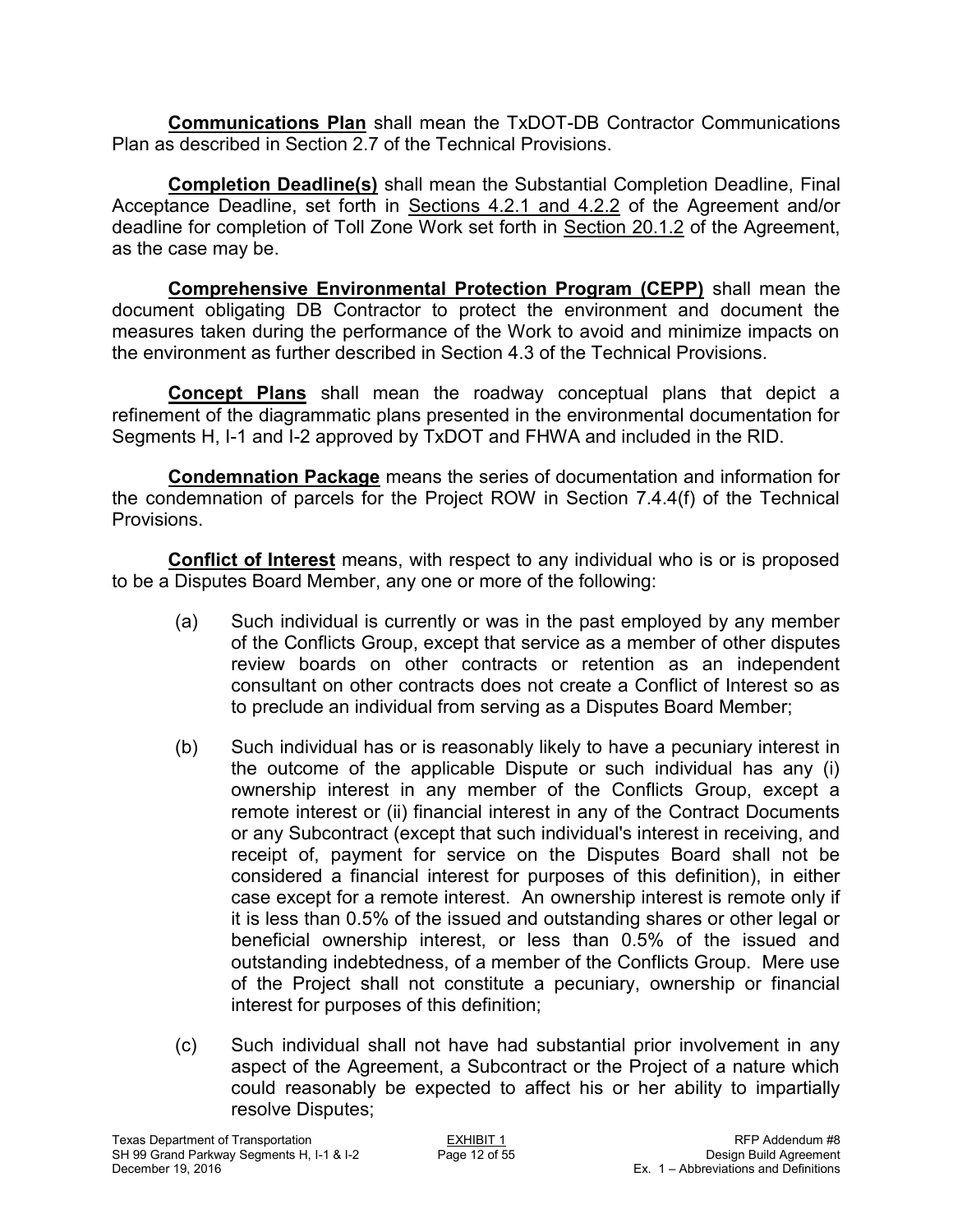**Communications Plan** shall mean the TxDOT-DB Contractor Communications Plan as described in Section 2.7 of the Technical Provisions.

**Completion Deadline(s)** shall mean the Substantial Completion Deadline, Final Acceptance Deadline, set forth in Sections 4.2.1 and 4.2.2 of the Agreement and/or deadline for completion of Toll Zone Work set forth in Section 20.1.2 of the Agreement, as the case may be.

**Comprehensive Environmental Protection Program (CEPP)** shall mean the document obligating DB Contractor to protect the environment and document the measures taken during the performance of the Work to avoid and minimize impacts on the environment as further described in Section 4.3 of the Technical Provisions.

**Concept Plans** shall mean the roadway conceptual plans that depict a refinement of the diagrammatic plans presented in the environmental documentation for Segments H, I-1 and I-2 approved by TxDOT and FHWA and included in the RID.

**Condemnation Package** means the series of documentation and information for the condemnation of parcels for the Project ROW in Section 7.4.4(f) of the Technical Provisions.

**Conflict of Interest** means, with respect to any individual who is or is proposed to be a Disputes Board Member, any one or more of the following:

- (a) Such individual is currently or was in the past employed by any member of the Conflicts Group, except that service as a member of other disputes review boards on other contracts or retention as an independent consultant on other contracts does not create a Conflict of Interest so as to preclude an individual from serving as a Disputes Board Member;
- (b) Such individual has or is reasonably likely to have a pecuniary interest in the outcome of the applicable Dispute or such individual has any (i) ownership interest in any member of the Conflicts Group, except a remote interest or (ii) financial interest in any of the Contract Documents or any Subcontract (except that such individual's interest in receiving, and receipt of, payment for service on the Disputes Board shall not be considered a financial interest for purposes of this definition), in either case except for a remote interest. An ownership interest is remote only if it is less than 0.5% of the issued and outstanding shares or other legal or beneficial ownership interest, or less than 0.5% of the issued and outstanding indebtedness, of a member of the Conflicts Group. Mere use of the Project shall not constitute a pecuniary, ownership or financial interest for purposes of this definition;
- (c) Such individual shall not have had substantial prior involvement in any aspect of the Agreement, a Subcontract or the Project of a nature which could reasonably be expected to affect his or her ability to impartially resolve Disputes;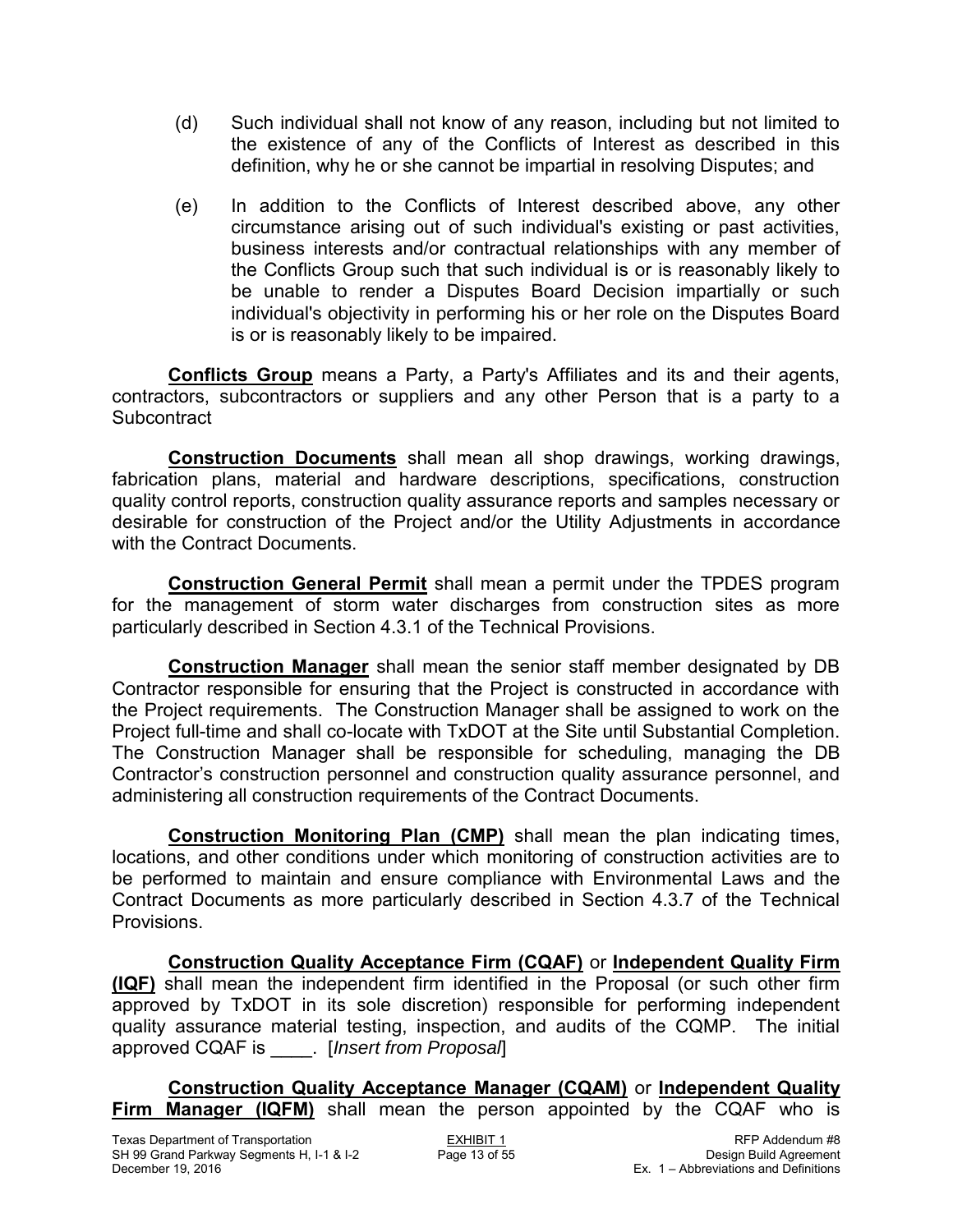- (d) Such individual shall not know of any reason, including but not limited to the existence of any of the Conflicts of Interest as described in this definition, why he or she cannot be impartial in resolving Disputes; and
- (e) In addition to the Conflicts of Interest described above, any other circumstance arising out of such individual's existing or past activities, business interests and/or contractual relationships with any member of the Conflicts Group such that such individual is or is reasonably likely to be unable to render a Disputes Board Decision impartially or such individual's objectivity in performing his or her role on the Disputes Board is or is reasonably likely to be impaired.

**Conflicts Group** means a Party, a Party's Affiliates and its and their agents, contractors, subcontractors or suppliers and any other Person that is a party to a **Subcontract** 

**Construction Documents** shall mean all shop drawings, working drawings, fabrication plans, material and hardware descriptions, specifications, construction quality control reports, construction quality assurance reports and samples necessary or desirable for construction of the Project and/or the Utility Adjustments in accordance with the Contract Documents.

**Construction General Permit** shall mean a permit under the TPDES program for the management of storm water discharges from construction sites as more particularly described in Section 4.3.1 of the Technical Provisions.

**Construction Manager** shall mean the senior staff member designated by DB Contractor responsible for ensuring that the Project is constructed in accordance with the Project requirements. The Construction Manager shall be assigned to work on the Project full-time and shall co-locate with TxDOT at the Site until Substantial Completion. The Construction Manager shall be responsible for scheduling, managing the DB Contractor's construction personnel and construction quality assurance personnel, and administering all construction requirements of the Contract Documents.

**Construction Monitoring Plan (CMP)** shall mean the plan indicating times, locations, and other conditions under which monitoring of construction activities are to be performed to maintain and ensure compliance with Environmental Laws and the Contract Documents as more particularly described in Section 4.3.7 of the Technical Provisions.

**Construction Quality Acceptance Firm (CQAF)** or **Independent Quality Firm (IQF)** shall mean the independent firm identified in the Proposal (or such other firm approved by TxDOT in its sole discretion) responsible for performing independent quality assurance material testing, inspection, and audits of the CQMP. The initial approved CQAF is \_\_\_\_. [*Insert from Proposal*]

**Construction Quality Acceptance Manager (CQAM)** or **Independent Quality Firm Manager (IQFM)** shall mean the person appointed by the CQAF who is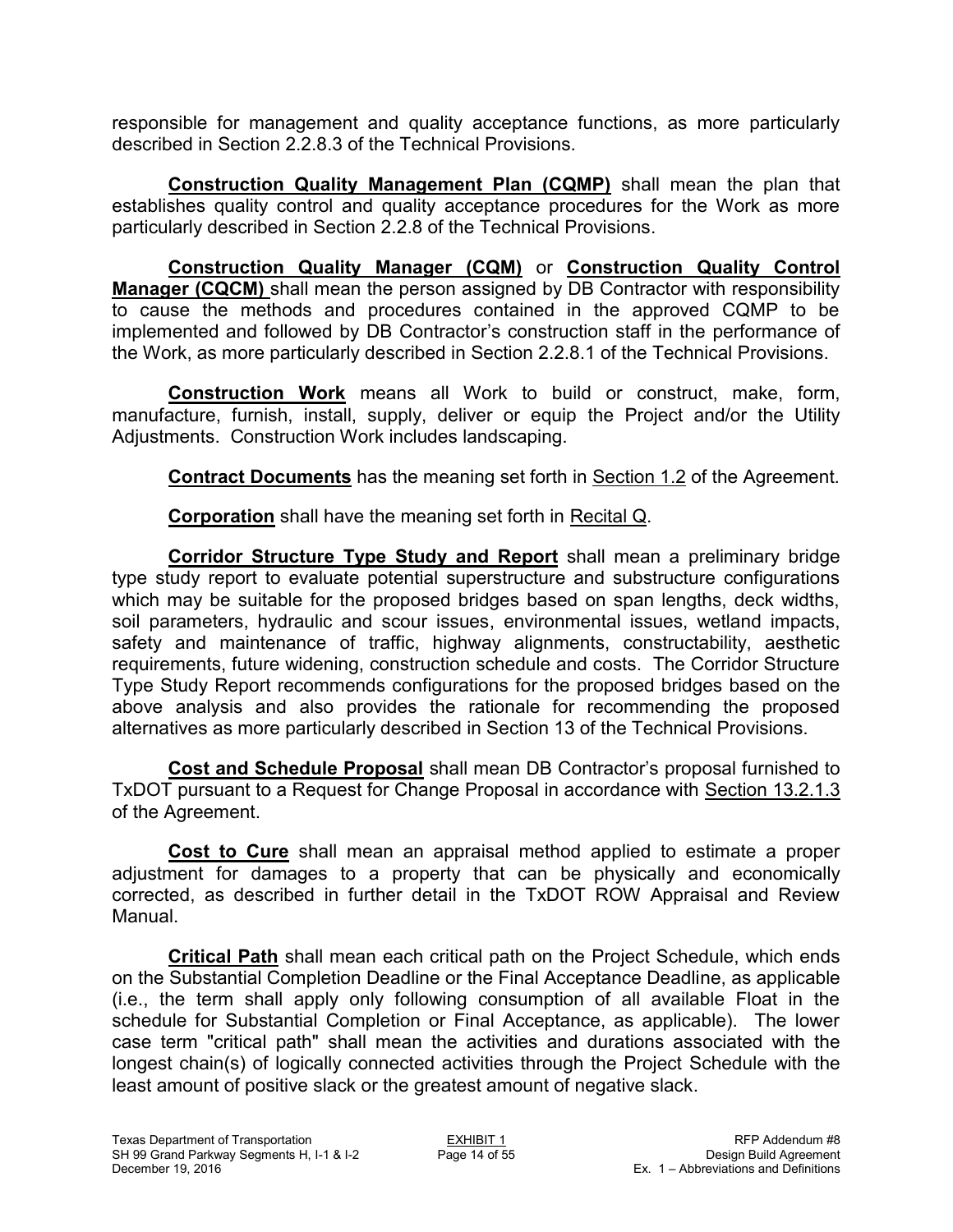responsible for management and quality acceptance functions, as more particularly described in Section 2.2.8.3 of the Technical Provisions.

**Construction Quality Management Plan (CQMP)** shall mean the plan that establishes quality control and quality acceptance procedures for the Work as more particularly described in Section 2.2.8 of the Technical Provisions.

**Construction Quality Manager (CQM)** or **Construction Quality Control Manager (CQCM)** shall mean the person assigned by DB Contractor with responsibility to cause the methods and procedures contained in the approved CQMP to be implemented and followed by DB Contractor's construction staff in the performance of the Work, as more particularly described in Section 2.2.8.1 of the Technical Provisions.

**Construction Work** means all Work to build or construct, make, form, manufacture, furnish, install, supply, deliver or equip the Project and/or the Utility Adjustments. Construction Work includes landscaping.

**Contract Documents** has the meaning set forth in Section 1.2 of the Agreement.

**Corporation** shall have the meaning set forth in Recital Q.

**Corridor Structure Type Study and Report** shall mean a preliminary bridge type study report to evaluate potential superstructure and substructure configurations which may be suitable for the proposed bridges based on span lengths, deck widths, soil parameters, hydraulic and scour issues, environmental issues, wetland impacts, safety and maintenance of traffic, highway alignments, constructability, aesthetic requirements, future widening, construction schedule and costs. The Corridor Structure Type Study Report recommends configurations for the proposed bridges based on the above analysis and also provides the rationale for recommending the proposed alternatives as more particularly described in Section 13 of the Technical Provisions.

**Cost and Schedule Proposal** shall mean DB Contractor's proposal furnished to TxDOT pursuant to a Request for Change Proposal in accordance with Section 13.2.1.3 of the Agreement.

**Cost to Cure** shall mean an appraisal method applied to estimate a proper adjustment for damages to a property that can be physically and economically corrected, as described in further detail in the TxDOT ROW Appraisal and Review Manual.

**Critical Path** shall mean each critical path on the Project Schedule, which ends on the Substantial Completion Deadline or the Final Acceptance Deadline, as applicable (i.e., the term shall apply only following consumption of all available Float in the schedule for Substantial Completion or Final Acceptance, as applicable). The lower case term "critical path" shall mean the activities and durations associated with the longest chain(s) of logically connected activities through the Project Schedule with the least amount of positive slack or the greatest amount of negative slack.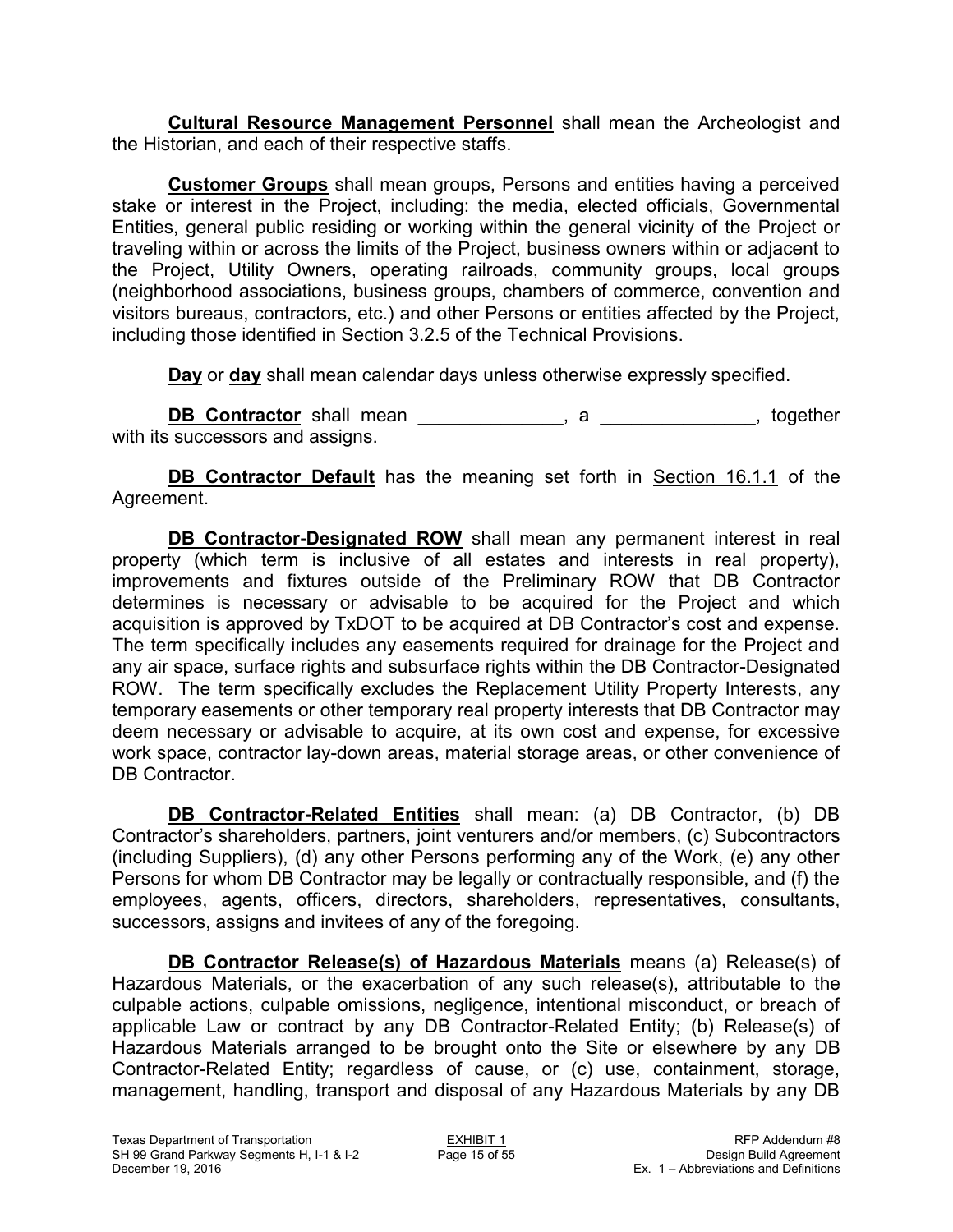**Cultural Resource Management Personnel** shall mean the Archeologist and the Historian, and each of their respective staffs.

**Customer Groups** shall mean groups, Persons and entities having a perceived stake or interest in the Project, including: the media, elected officials, Governmental Entities, general public residing or working within the general vicinity of the Project or traveling within or across the limits of the Project, business owners within or adjacent to the Project, Utility Owners, operating railroads, community groups, local groups (neighborhood associations, business groups, chambers of commerce, convention and visitors bureaus, contractors, etc.) and other Persons or entities affected by the Project, including those identified in Section 3.2.5 of the Technical Provisions.

**Day** or **day** shall mean calendar days unless otherwise expressly specified.

**DB Contractor** shall mean \_\_\_\_\_\_\_\_\_\_\_\_\_\_, a \_\_\_\_\_\_\_\_\_\_\_\_\_\_\_, together with its successors and assigns.

**DB Contractor Default** has the meaning set forth in Section 16.1.1 of the Agreement.

**DB Contractor-Designated ROW** shall mean any permanent interest in real property (which term is inclusive of all estates and interests in real property), improvements and fixtures outside of the Preliminary ROW that DB Contractor determines is necessary or advisable to be acquired for the Project and which acquisition is approved by TxDOT to be acquired at DB Contractor's cost and expense. The term specifically includes any easements required for drainage for the Project and any air space, surface rights and subsurface rights within the DB Contractor-Designated ROW. The term specifically excludes the Replacement Utility Property Interests, any temporary easements or other temporary real property interests that DB Contractor may deem necessary or advisable to acquire, at its own cost and expense, for excessive work space, contractor lay-down areas, material storage areas, or other convenience of DB Contractor.

**DB Contractor-Related Entities** shall mean: (a) DB Contractor, (b) DB Contractor's shareholders, partners, joint venturers and/or members, (c) Subcontractors (including Suppliers), (d) any other Persons performing any of the Work, (e) any other Persons for whom DB Contractor may be legally or contractually responsible, and (f) the employees, agents, officers, directors, shareholders, representatives, consultants, successors, assigns and invitees of any of the foregoing.

**DB Contractor Release(s) of Hazardous Materials** means (a) Release(s) of Hazardous Materials, or the exacerbation of any such release(s), attributable to the culpable actions, culpable omissions, negligence, intentional misconduct, or breach of applicable Law or contract by any DB Contractor-Related Entity; (b) Release(s) of Hazardous Materials arranged to be brought onto the Site or elsewhere by any DB Contractor-Related Entity; regardless of cause, or (c) use, containment, storage, management, handling, transport and disposal of any Hazardous Materials by any DB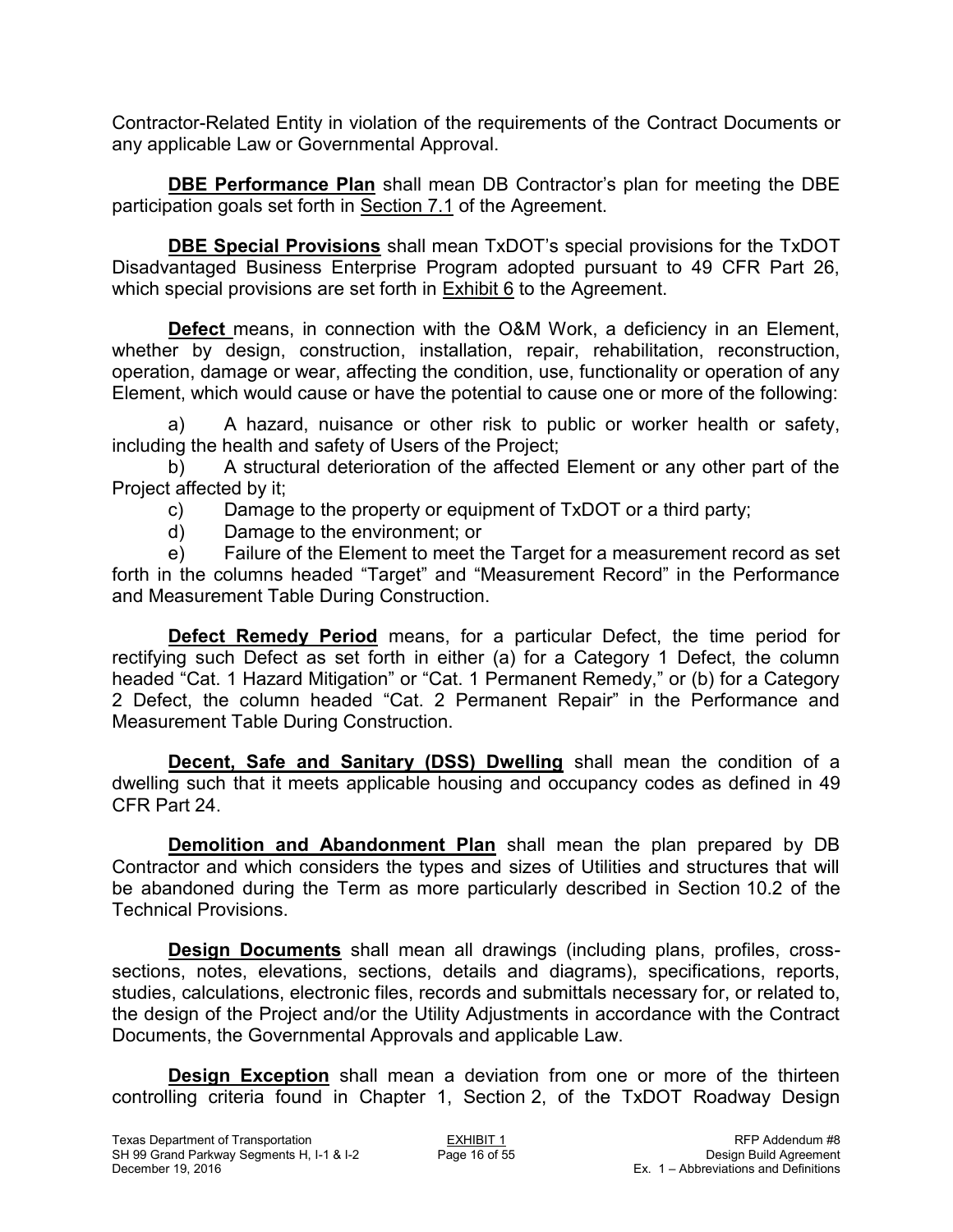Contractor-Related Entity in violation of the requirements of the Contract Documents or any applicable Law or Governmental Approval.

**DBE Performance Plan** shall mean DB Contractor's plan for meeting the DBE participation goals set forth in Section 7.1 of the Agreement.

**DBE Special Provisions** shall mean TxDOT's special provisions for the TxDOT Disadvantaged Business Enterprise Program adopted pursuant to 49 CFR Part 26, which special provisions are set forth in  $Exhibit 6$  to the Agreement.

**Defect** means, in connection with the O&M Work, a deficiency in an Element, whether by design, construction, installation, repair, rehabilitation, reconstruction, operation, damage or wear, affecting the condition, use, functionality or operation of any Element, which would cause or have the potential to cause one or more of the following:

a) A hazard, nuisance or other risk to public or worker health or safety, including the health and safety of Users of the Project;

b) A structural deterioration of the affected Element or any other part of the Project affected by it;

- c) Damage to the property or equipment of TxDOT or a third party;
- d) Damage to the environment; or

e) Failure of the Element to meet the Target for a measurement record as set forth in the columns headed "Target" and "Measurement Record" in the Performance and Measurement Table During Construction.

**Defect Remedy Period** means, for a particular Defect, the time period for rectifying such Defect as set forth in either (a) for a Category 1 Defect, the column headed "Cat. 1 Hazard Mitigation" or "Cat. 1 Permanent Remedy," or (b) for a Category 2 Defect, the column headed "Cat. 2 Permanent Repair" in the Performance and Measurement Table During Construction.

**Decent, Safe and Sanitary (DSS) Dwelling** shall mean the condition of a dwelling such that it meets applicable housing and occupancy codes as defined in 49 CFR Part 24.

**Demolition and Abandonment Plan** shall mean the plan prepared by DB Contractor and which considers the types and sizes of Utilities and structures that will be abandoned during the Term as more particularly described in Section 10.2 of the Technical Provisions.

**Design Documents** shall mean all drawings (including plans, profiles, crosssections, notes, elevations, sections, details and diagrams), specifications, reports, studies, calculations, electronic files, records and submittals necessary for, or related to, the design of the Project and/or the Utility Adjustments in accordance with the Contract Documents, the Governmental Approvals and applicable Law.

**Design Exception** shall mean a deviation from one or more of the thirteen controlling criteria found in Chapter 1, Section 2, of the TxDOT Roadway Design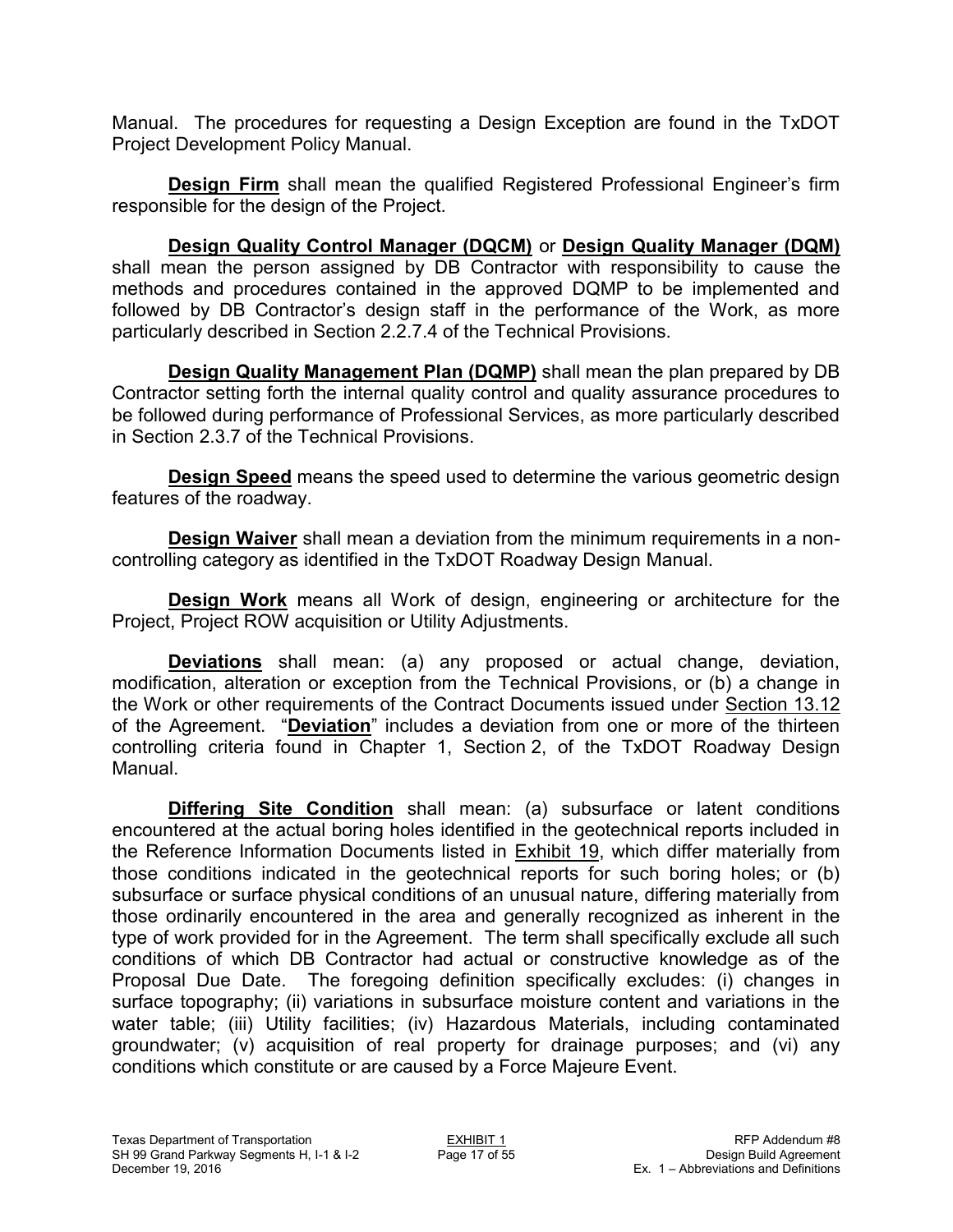Manual. The procedures for requesting a Design Exception are found in the TxDOT Project Development Policy Manual.

**Design Firm** shall mean the qualified Registered Professional Engineer's firm responsible for the design of the Project.

**Design Quality Control Manager (DQCM)** or **Design Quality Manager (DQM)** shall mean the person assigned by DB Contractor with responsibility to cause the methods and procedures contained in the approved DQMP to be implemented and followed by DB Contractor's design staff in the performance of the Work, as more particularly described in Section 2.2.7.4 of the Technical Provisions.

**Design Quality Management Plan (DQMP)** shall mean the plan prepared by DB Contractor setting forth the internal quality control and quality assurance procedures to be followed during performance of Professional Services, as more particularly described in Section 2.3.7 of the Technical Provisions.

**Design Speed** means the speed used to determine the various geometric design features of the roadway.

**Design Waiver** shall mean a deviation from the minimum requirements in a noncontrolling category as identified in the TxDOT Roadway Design Manual.

**Design Work** means all Work of design, engineering or architecture for the Project, Project ROW acquisition or Utility Adjustments.

**Deviations** shall mean: (a) any proposed or actual change, deviation, modification, alteration or exception from the Technical Provisions, or (b) a change in the Work or other requirements of the Contract Documents issued under Section 13.12 of the Agreement. "**Deviation**" includes a deviation from one or more of the thirteen controlling criteria found in Chapter 1, Section 2, of the TxDOT Roadway Design Manual.

**Differing Site Condition** shall mean: (a) subsurface or latent conditions encountered at the actual boring holes identified in the geotechnical reports included in the Reference Information Documents listed in Exhibit 19, which differ materially from those conditions indicated in the geotechnical reports for such boring holes; or (b) subsurface or surface physical conditions of an unusual nature, differing materially from those ordinarily encountered in the area and generally recognized as inherent in the type of work provided for in the Agreement. The term shall specifically exclude all such conditions of which DB Contractor had actual or constructive knowledge as of the Proposal Due Date. The foregoing definition specifically excludes: (i) changes in surface topography; (ii) variations in subsurface moisture content and variations in the water table; (iii) Utility facilities; (iv) Hazardous Materials, including contaminated groundwater; (v) acquisition of real property for drainage purposes; and (vi) any conditions which constitute or are caused by a Force Majeure Event.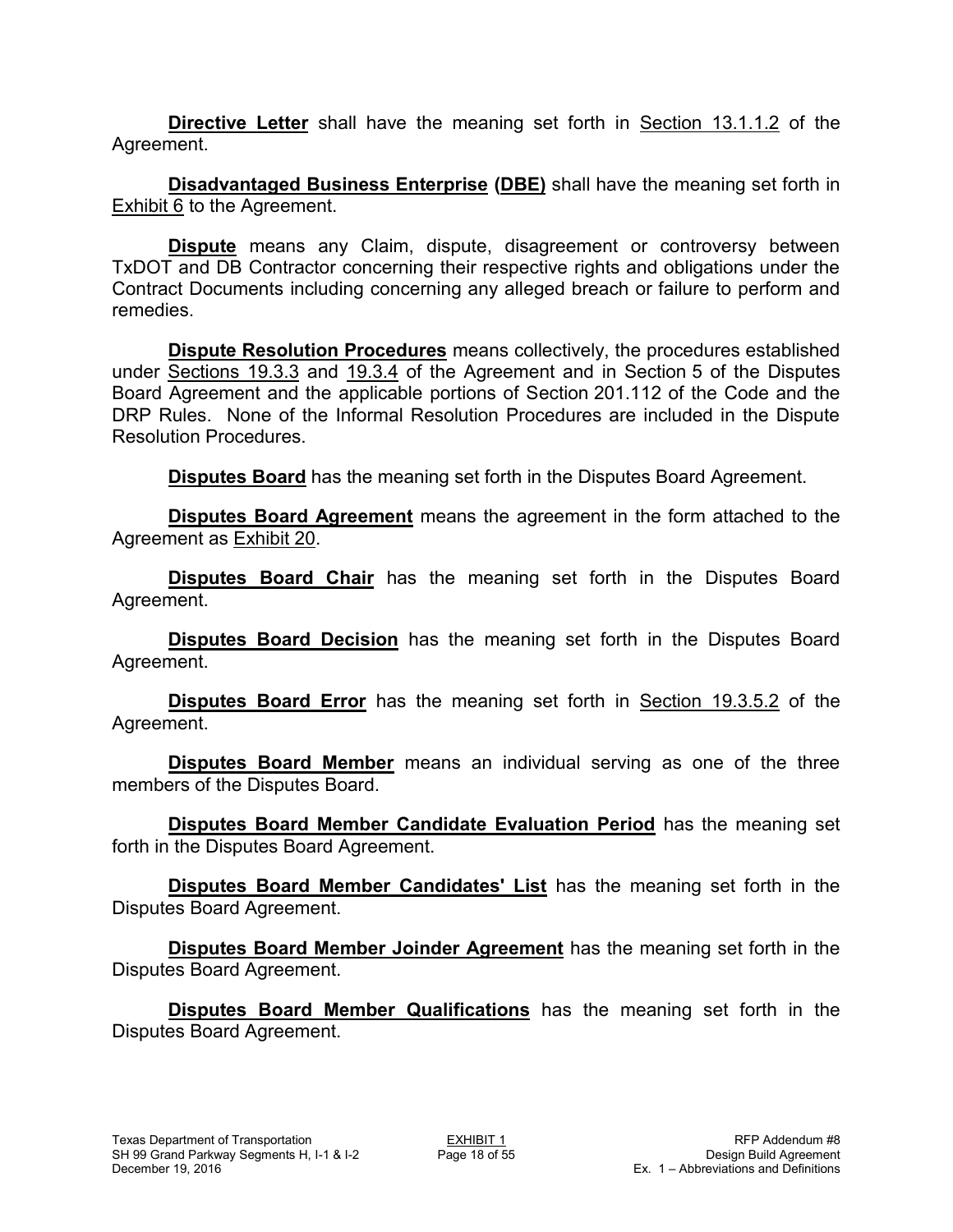**Directive Letter** shall have the meaning set forth in Section 13.1.1.2 of the Agreement.

**Disadvantaged Business Enterprise (DBE)** shall have the meaning set forth in Exhibit 6 to the Agreement.

**Dispute** means any Claim, dispute, disagreement or controversy between TxDOT and DB Contractor concerning their respective rights and obligations under the Contract Documents including concerning any alleged breach or failure to perform and remedies.

**Dispute Resolution Procedures** means collectively, the procedures established under Sections 19.3.3 and 19.3.4 of the Agreement and in Section 5 of the Disputes Board Agreement and the applicable portions of Section 201.112 of the Code and the DRP Rules. None of the Informal Resolution Procedures are included in the Dispute Resolution Procedures.

**Disputes Board** has the meaning set forth in the Disputes Board Agreement.

**Disputes Board Agreement** means the agreement in the form attached to the Agreement as Exhibit 20.

**Disputes Board Chair** has the meaning set forth in the Disputes Board Agreement.

**Disputes Board Decision** has the meaning set forth in the Disputes Board Agreement.

**Disputes Board Error** has the meaning set forth in Section 19.3.5.2 of the Agreement.

**Disputes Board Member** means an individual serving as one of the three members of the Disputes Board.

**Disputes Board Member Candidate Evaluation Period** has the meaning set forth in the Disputes Board Agreement.

**Disputes Board Member Candidates' List** has the meaning set forth in the Disputes Board Agreement.

**Disputes Board Member Joinder Agreement** has the meaning set forth in the Disputes Board Agreement.

**Disputes Board Member Qualifications** has the meaning set forth in the Disputes Board Agreement.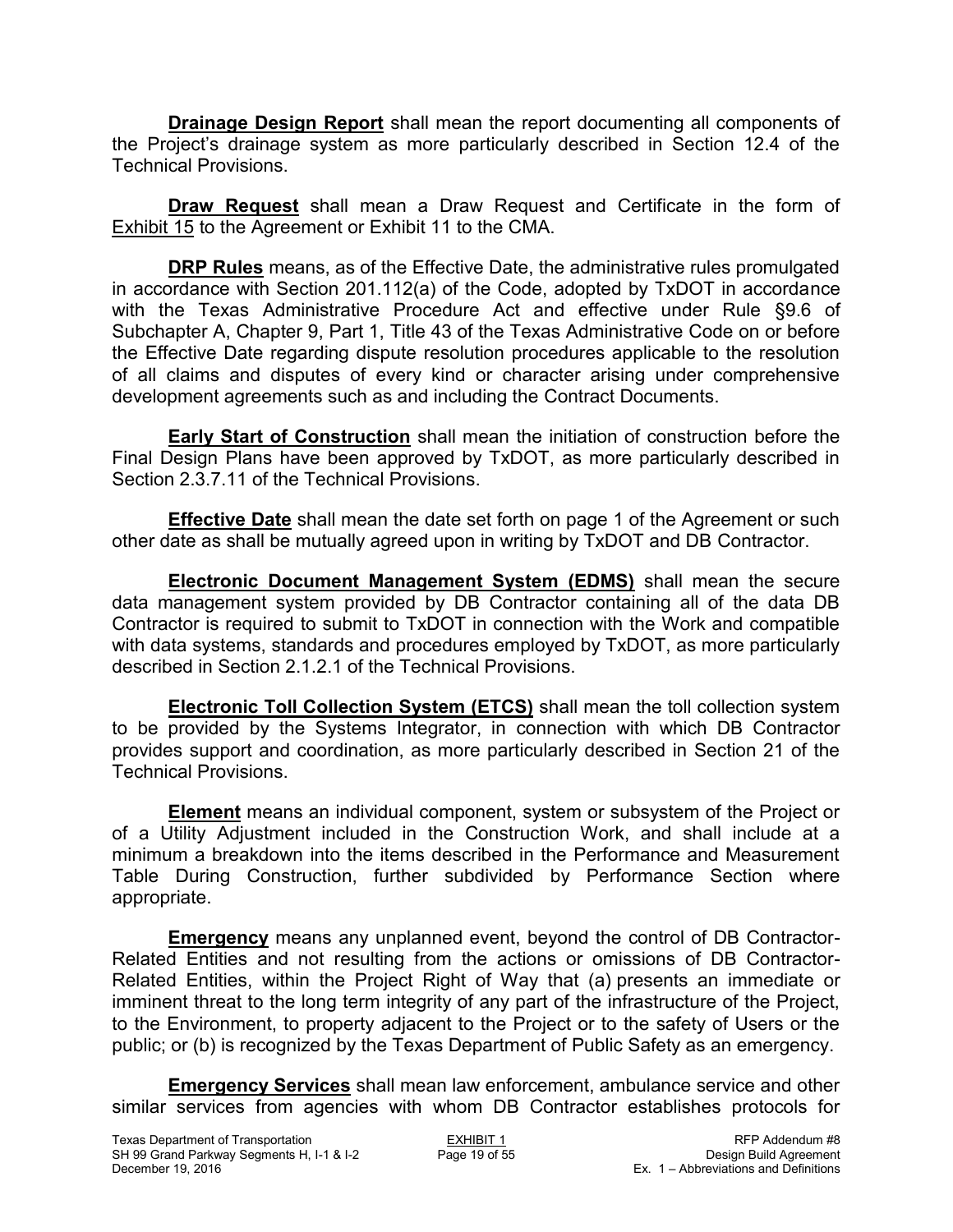**Drainage Design Report** shall mean the report documenting all components of the Project's drainage system as more particularly described in Section 12.4 of the Technical Provisions.

**Draw Request** shall mean a Draw Request and Certificate in the form of Exhibit 15 to the Agreement or Exhibit 11 to the CMA.

**DRP Rules** means, as of the Effective Date, the administrative rules promulgated in accordance with Section 201.112(a) of the Code, adopted by TxDOT in accordance with the Texas Administrative Procedure Act and effective under Rule §9.6 of Subchapter A, Chapter 9, Part 1, Title 43 of the Texas Administrative Code on or before the Effective Date regarding dispute resolution procedures applicable to the resolution of all claims and disputes of every kind or character arising under comprehensive development agreements such as and including the Contract Documents.

**Early Start of Construction** shall mean the initiation of construction before the Final Design Plans have been approved by TxDOT, as more particularly described in Section 2.3.7.11 of the Technical Provisions.

**Effective Date** shall mean the date set forth on page 1 of the Agreement or such other date as shall be mutually agreed upon in writing by TxDOT and DB Contractor.

**Electronic Document Management System (EDMS)** shall mean the secure data management system provided by DB Contractor containing all of the data DB Contractor is required to submit to TxDOT in connection with the Work and compatible with data systems, standards and procedures employed by TxDOT, as more particularly described in Section 2.1.2.1 of the Technical Provisions.

**Electronic Toll Collection System (ETCS)** shall mean the toll collection system to be provided by the Systems Integrator, in connection with which DB Contractor provides support and coordination, as more particularly described in Section 21 of the Technical Provisions.

**Element** means an individual component, system or subsystem of the Project or of a Utility Adjustment included in the Construction Work, and shall include at a minimum a breakdown into the items described in the Performance and Measurement Table During Construction, further subdivided by Performance Section where appropriate.

**Emergency** means any unplanned event, beyond the control of DB Contractor-Related Entities and not resulting from the actions or omissions of DB Contractor-Related Entities, within the Project Right of Way that (a) presents an immediate or imminent threat to the long term integrity of any part of the infrastructure of the Project, to the Environment, to property adjacent to the Project or to the safety of Users or the public; or (b) is recognized by the Texas Department of Public Safety as an emergency.

**Emergency Services** shall mean law enforcement, ambulance service and other similar services from agencies with whom DB Contractor establishes protocols for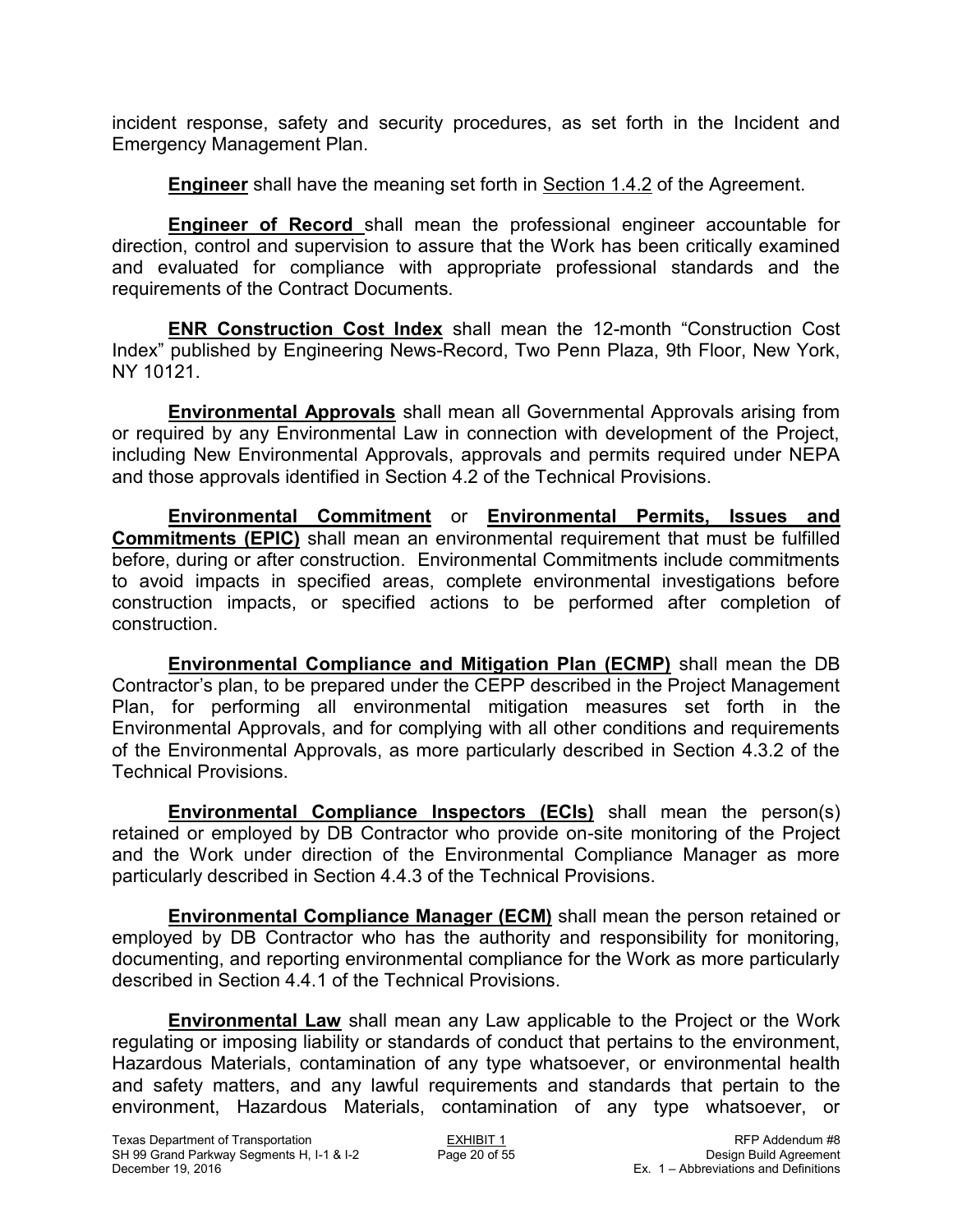incident response, safety and security procedures, as set forth in the Incident and Emergency Management Plan.

**Engineer** shall have the meaning set forth in Section 1.4.2 of the Agreement.

**Engineer of Record** shall mean the professional engineer accountable for direction, control and supervision to assure that the Work has been critically examined and evaluated for compliance with appropriate professional standards and the requirements of the Contract Documents.

**ENR Construction Cost Index** shall mean the 12-month "Construction Cost Index" published by Engineering News-Record, Two Penn Plaza, 9th Floor, New York, NY 10121.

**Environmental Approvals** shall mean all Governmental Approvals arising from or required by any Environmental Law in connection with development of the Project, including New Environmental Approvals, approvals and permits required under NEPA and those approvals identified in Section 4.2 of the Technical Provisions.

**Environmental Commitment** or **Environmental Permits, Issues and Commitments (EPIC)** shall mean an environmental requirement that must be fulfilled before, during or after construction. Environmental Commitments include commitments to avoid impacts in specified areas, complete environmental investigations before construction impacts, or specified actions to be performed after completion of construction.

**Environmental Compliance and Mitigation Plan (ECMP)** shall mean the DB Contractor's plan, to be prepared under the CEPP described in the Project Management Plan, for performing all environmental mitigation measures set forth in the Environmental Approvals, and for complying with all other conditions and requirements of the Environmental Approvals, as more particularly described in Section 4.3.2 of the Technical Provisions.

**Environmental Compliance Inspectors (ECIs)** shall mean the person(s) retained or employed by DB Contractor who provide on-site monitoring of the Project and the Work under direction of the Environmental Compliance Manager as more particularly described in Section 4.4.3 of the Technical Provisions.

**Environmental Compliance Manager (ECM)** shall mean the person retained or employed by DB Contractor who has the authority and responsibility for monitoring, documenting, and reporting environmental compliance for the Work as more particularly described in Section 4.4.1 of the Technical Provisions.

**Environmental Law** shall mean any Law applicable to the Project or the Work regulating or imposing liability or standards of conduct that pertains to the environment, Hazardous Materials, contamination of any type whatsoever, or environmental health and safety matters, and any lawful requirements and standards that pertain to the environment, Hazardous Materials, contamination of any type whatsoever, or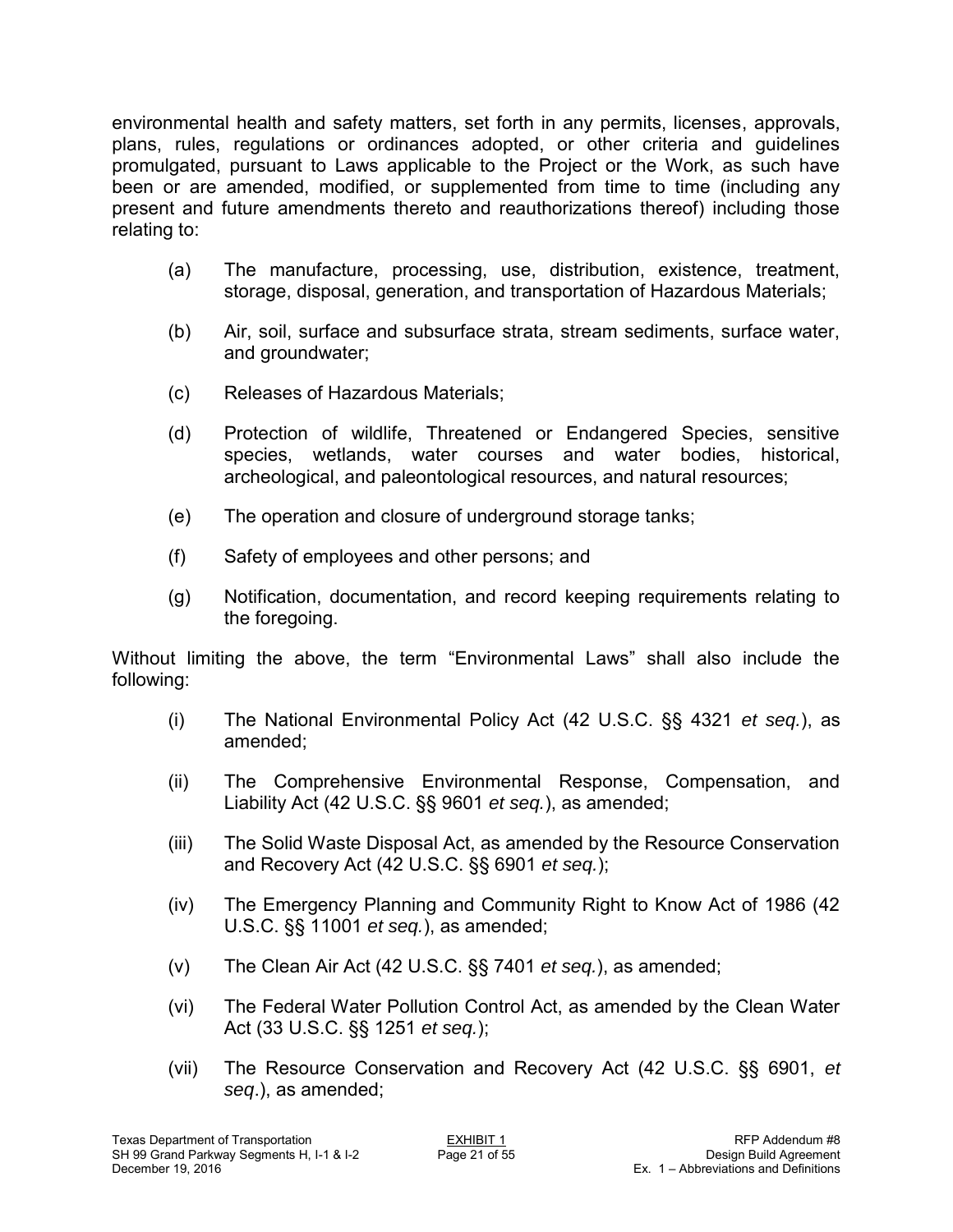environmental health and safety matters, set forth in any permits, licenses, approvals, plans, rules, regulations or ordinances adopted, or other criteria and guidelines promulgated, pursuant to Laws applicable to the Project or the Work, as such have been or are amended, modified, or supplemented from time to time (including any present and future amendments thereto and reauthorizations thereof) including those relating to:

- (a) The manufacture, processing, use, distribution, existence, treatment, storage, disposal, generation, and transportation of Hazardous Materials;
- (b) Air, soil, surface and subsurface strata, stream sediments, surface water, and groundwater;
- (c) Releases of Hazardous Materials;
- (d) Protection of wildlife, Threatened or Endangered Species, sensitive species, wetlands, water courses and water bodies, historical, archeological, and paleontological resources, and natural resources;
- (e) The operation and closure of underground storage tanks;
- (f) Safety of employees and other persons; and
- (g) Notification, documentation, and record keeping requirements relating to the foregoing.

Without limiting the above, the term "Environmental Laws" shall also include the following:

- (i) The National Environmental Policy Act (42 U.S.C. §§ 4321 *et seq.*), as amended;
- (ii) The Comprehensive Environmental Response, Compensation, and Liability Act (42 U.S.C. §§ 9601 *et seq.*), as amended;
- (iii) The Solid Waste Disposal Act, as amended by the Resource Conservation and Recovery Act (42 U.S.C. §§ 6901 *et seq.*);
- (iv) The Emergency Planning and Community Right to Know Act of 1986 (42 U.S.C. §§ 11001 *et seq.*), as amended;
- (v) The Clean Air Act (42 U.S.C. §§ 7401 *et seq.*), as amended;
- (vi) The Federal Water Pollution Control Act, as amended by the Clean Water Act (33 U.S.C. §§ 1251 *et seq.*);
- (vii) The Resource Conservation and Recovery Act (42 U.S.C. §§ 6901, *et seq*.), as amended;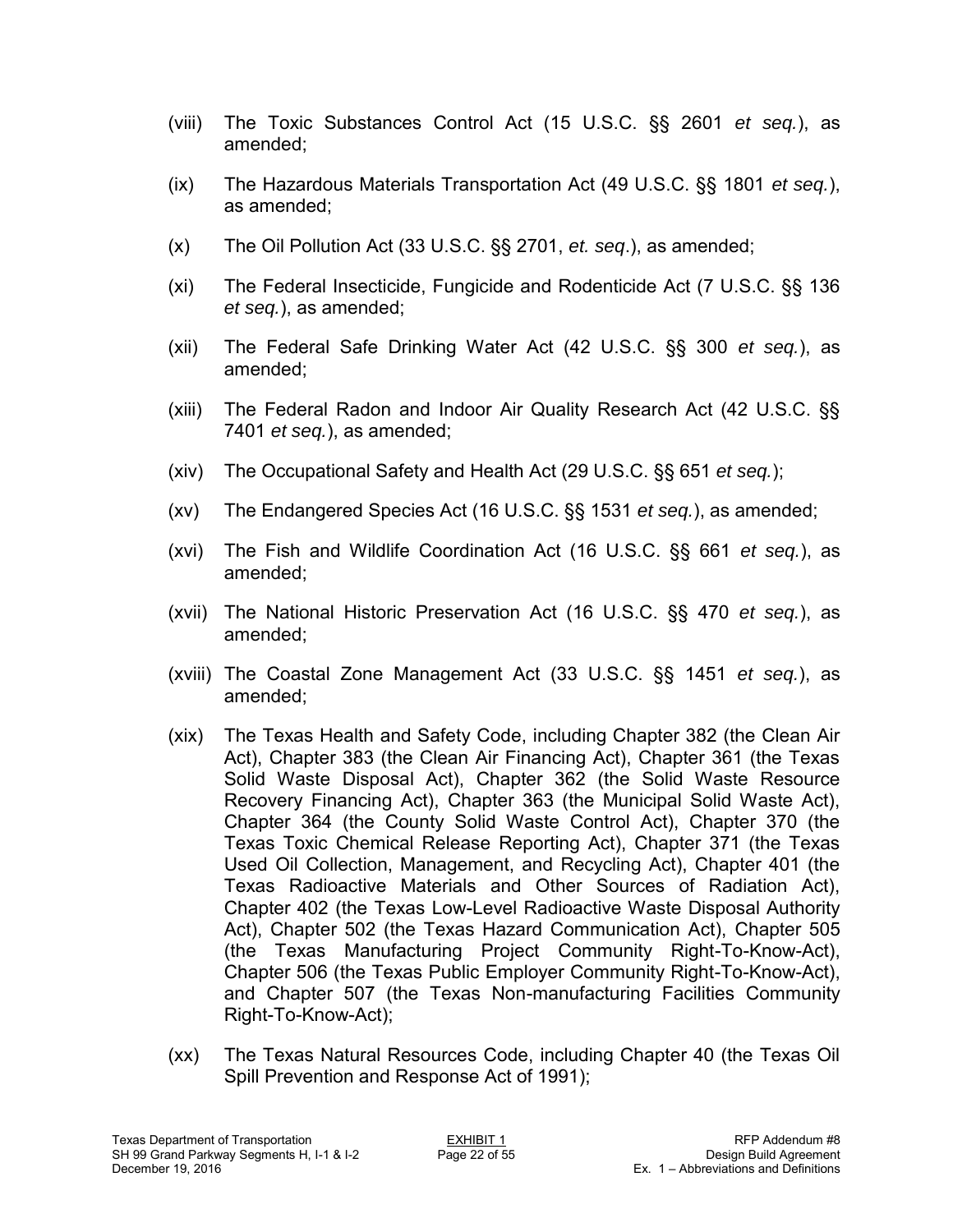- (viii) The Toxic Substances Control Act (15 U.S.C. §§ 2601 *et seq.*), as amended;
- (ix) The Hazardous Materials Transportation Act (49 U.S.C. §§ 1801 *et seq.*), as amended;
- (x) The Oil Pollution Act (33 U.S.C. §§ 2701, *et. seq*.), as amended;
- (xi) The Federal Insecticide, Fungicide and Rodenticide Act (7 U.S.C. §§ 136 *et seq.*), as amended;
- (xii) The Federal Safe Drinking Water Act (42 U.S.C. §§ 300 *et seq.*), as amended;
- (xiii) The Federal Radon and Indoor Air Quality Research Act (42 U.S.C. §§ 7401 *et seq.*), as amended;
- (xiv) The Occupational Safety and Health Act (29 U.S.C. §§ 651 *et seq.*);
- (xv) The Endangered Species Act (16 U.S.C. §§ 1531 *et seq.*), as amended;
- (xvi) The Fish and Wildlife Coordination Act (16 U.S.C. §§ 661 *et seq.*), as amended;
- (xvii) The National Historic Preservation Act (16 U.S.C. §§ 470 *et seq.*), as amended;
- (xviii) The Coastal Zone Management Act (33 U.S.C. §§ 1451 *et seq.*), as amended;
- (xix) The Texas Health and Safety Code, including Chapter 382 (the Clean Air Act), Chapter 383 (the Clean Air Financing Act), Chapter 361 (the Texas Solid Waste Disposal Act), Chapter 362 (the Solid Waste Resource Recovery Financing Act), Chapter 363 (the Municipal Solid Waste Act), Chapter 364 (the County Solid Waste Control Act), Chapter 370 (the Texas Toxic Chemical Release Reporting Act), Chapter 371 (the Texas Used Oil Collection, Management, and Recycling Act), Chapter 401 (the Texas Radioactive Materials and Other Sources of Radiation Act), Chapter 402 (the Texas Low-Level Radioactive Waste Disposal Authority Act), Chapter 502 (the Texas Hazard Communication Act), Chapter 505 (the Texas Manufacturing Project Community Right-To-Know-Act), Chapter 506 (the Texas Public Employer Community Right-To-Know-Act), and Chapter 507 (the Texas Non-manufacturing Facilities Community Right-To-Know-Act);
- (xx) The Texas Natural Resources Code, including Chapter 40 (the Texas Oil Spill Prevention and Response Act of 1991);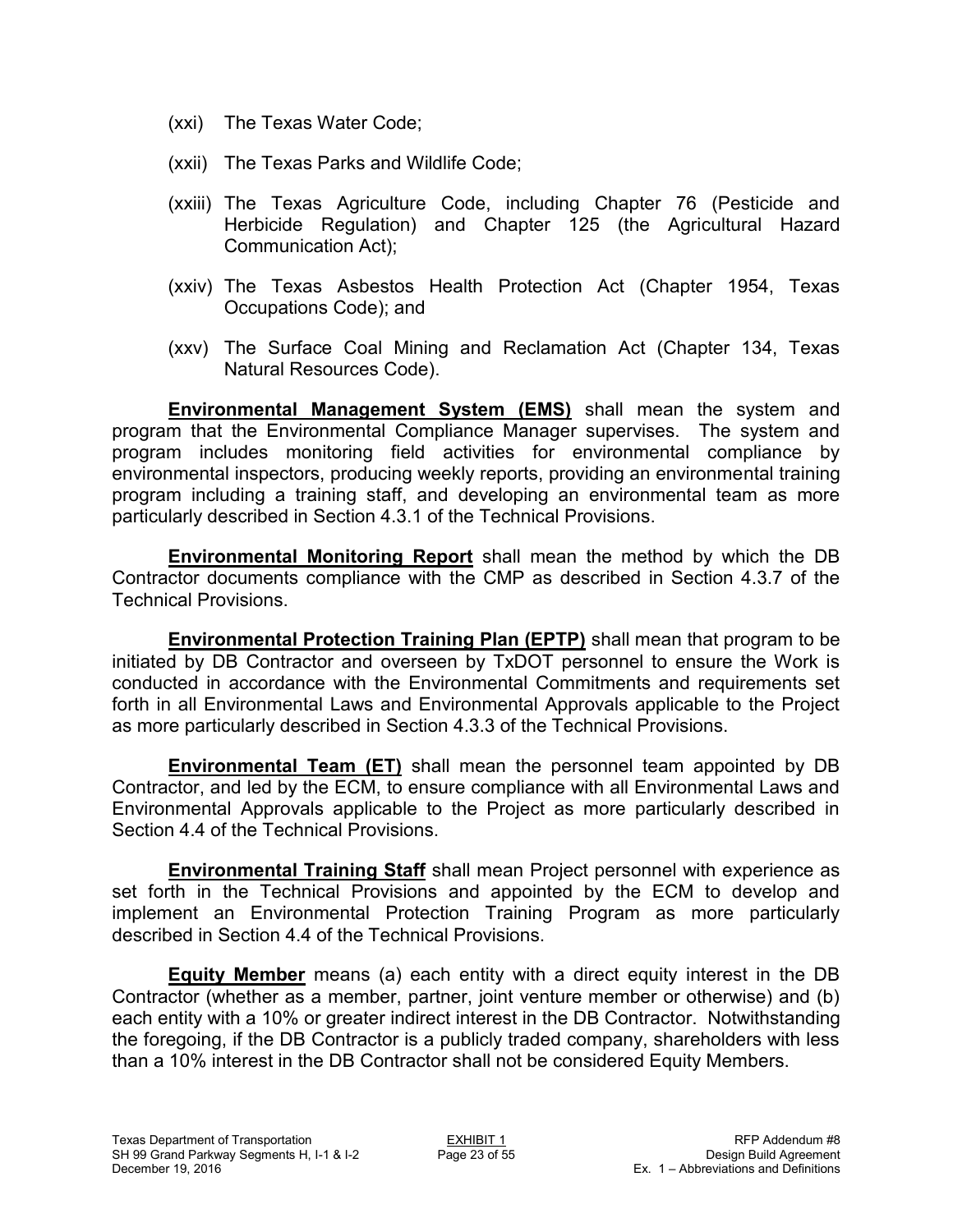- (xxi) The Texas Water Code;
- (xxii) The Texas Parks and Wildlife Code;
- (xxiii) The Texas Agriculture Code, including Chapter 76 (Pesticide and Herbicide Regulation) and Chapter 125 (the Agricultural Hazard Communication Act);
- (xxiv) The Texas Asbestos Health Protection Act (Chapter 1954, Texas Occupations Code); and
- (xxv) The Surface Coal Mining and Reclamation Act (Chapter 134, Texas Natural Resources Code).

**Environmental Management System (EMS)** shall mean the system and program that the Environmental Compliance Manager supervises. The system and program includes monitoring field activities for environmental compliance by environmental inspectors, producing weekly reports, providing an environmental training program including a training staff, and developing an environmental team as more particularly described in Section 4.3.1 of the Technical Provisions.

**Environmental Monitoring Report** shall mean the method by which the DB Contractor documents compliance with the CMP as described in Section 4.3.7 of the Technical Provisions.

**Environmental Protection Training Plan (EPTP)** shall mean that program to be initiated by DB Contractor and overseen by TxDOT personnel to ensure the Work is conducted in accordance with the Environmental Commitments and requirements set forth in all Environmental Laws and Environmental Approvals applicable to the Project as more particularly described in Section 4.3.3 of the Technical Provisions.

**Environmental Team (ET)** shall mean the personnel team appointed by DB Contractor, and led by the ECM, to ensure compliance with all Environmental Laws and Environmental Approvals applicable to the Project as more particularly described in Section 4.4 of the Technical Provisions.

**Environmental Training Staff** shall mean Project personnel with experience as set forth in the Technical Provisions and appointed by the ECM to develop and implement an Environmental Protection Training Program as more particularly described in Section 4.4 of the Technical Provisions.

**Equity Member** means (a) each entity with a direct equity interest in the DB Contractor (whether as a member, partner, joint venture member or otherwise) and (b) each entity with a 10% or greater indirect interest in the DB Contractor. Notwithstanding the foregoing, if the DB Contractor is a publicly traded company, shareholders with less than a 10% interest in the DB Contractor shall not be considered Equity Members.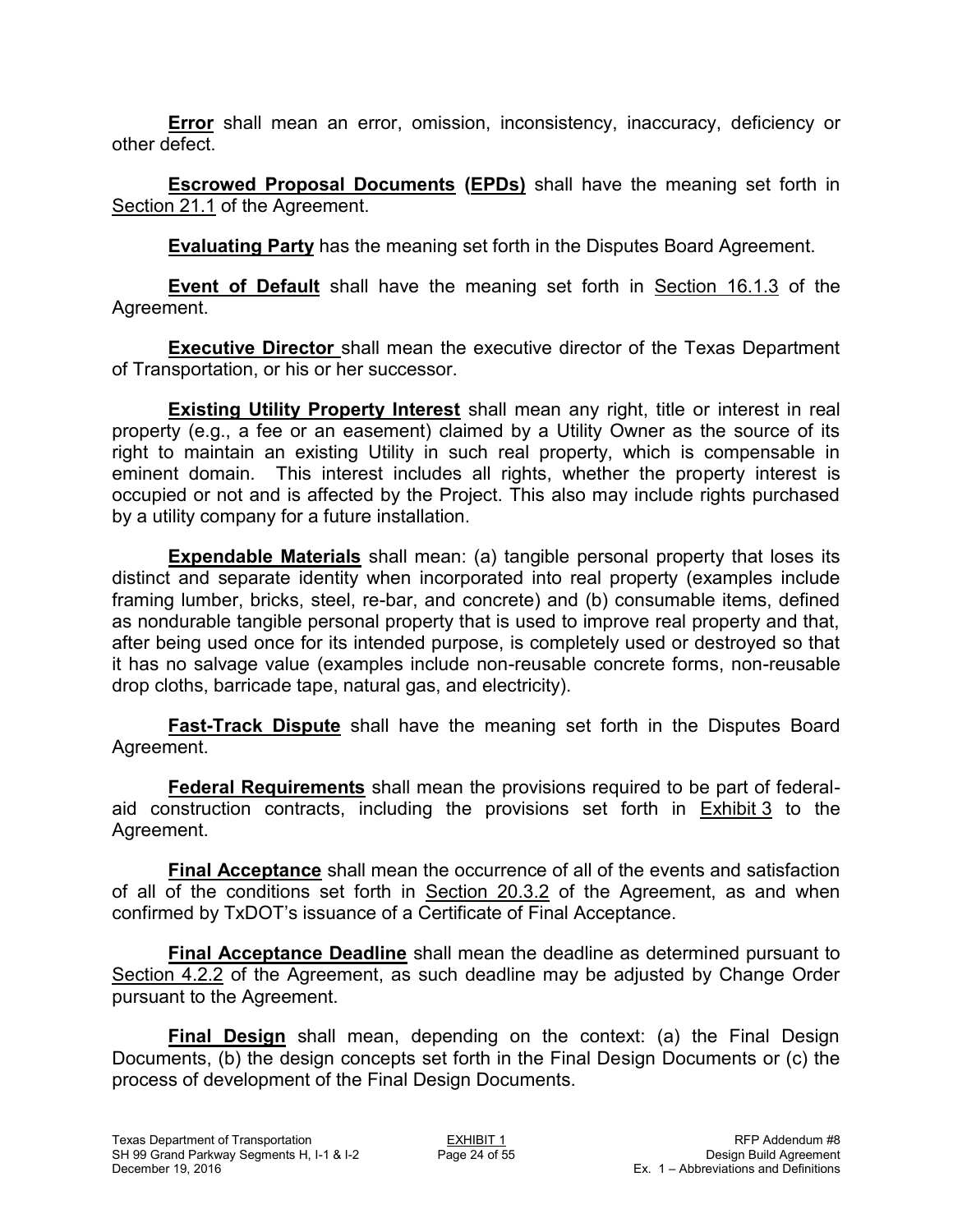**Error** shall mean an error, omission, inconsistency, inaccuracy, deficiency or other defect.

**Escrowed Proposal Documents (EPDs)** shall have the meaning set forth in Section 21.1 of the Agreement.

**Evaluating Party** has the meaning set forth in the Disputes Board Agreement.

**Event of Default** shall have the meaning set forth in Section 16.1.3 of the Agreement.

**Executive Director** shall mean the executive director of the Texas Department of Transportation, or his or her successor.

**Existing Utility Property Interest** shall mean any right, title or interest in real property (e.g., a fee or an easement) claimed by a Utility Owner as the source of its right to maintain an existing Utility in such real property, which is compensable in eminent domain. This interest includes all rights, whether the property interest is occupied or not and is affected by the Project. This also may include rights purchased by a utility company for a future installation.

**Expendable Materials** shall mean: (a) tangible personal property that loses its distinct and separate identity when incorporated into real property (examples include framing lumber, bricks, steel, re-bar, and concrete) and (b) consumable items, defined as nondurable tangible personal property that is used to improve real property and that, after being used once for its intended purpose, is completely used or destroyed so that it has no salvage value (examples include non-reusable concrete forms, non-reusable drop cloths, barricade tape, natural gas, and electricity).

**Fast-Track Dispute** shall have the meaning set forth in the Disputes Board Agreement.

**Federal Requirements** shall mean the provisions required to be part of federalaid construction contracts, including the provisions set forth in Exhibit 3 to the Agreement.

**Final Acceptance** shall mean the occurrence of all of the events and satisfaction of all of the conditions set forth in Section 20.3.2 of the Agreement, as and when confirmed by TxDOT's issuance of a Certificate of Final Acceptance.

**Final Acceptance Deadline** shall mean the deadline as determined pursuant to Section 4.2.2 of the Agreement, as such deadline may be adjusted by Change Order pursuant to the Agreement.

**Final Design** shall mean, depending on the context: (a) the Final Design Documents, (b) the design concepts set forth in the Final Design Documents or (c) the process of development of the Final Design Documents.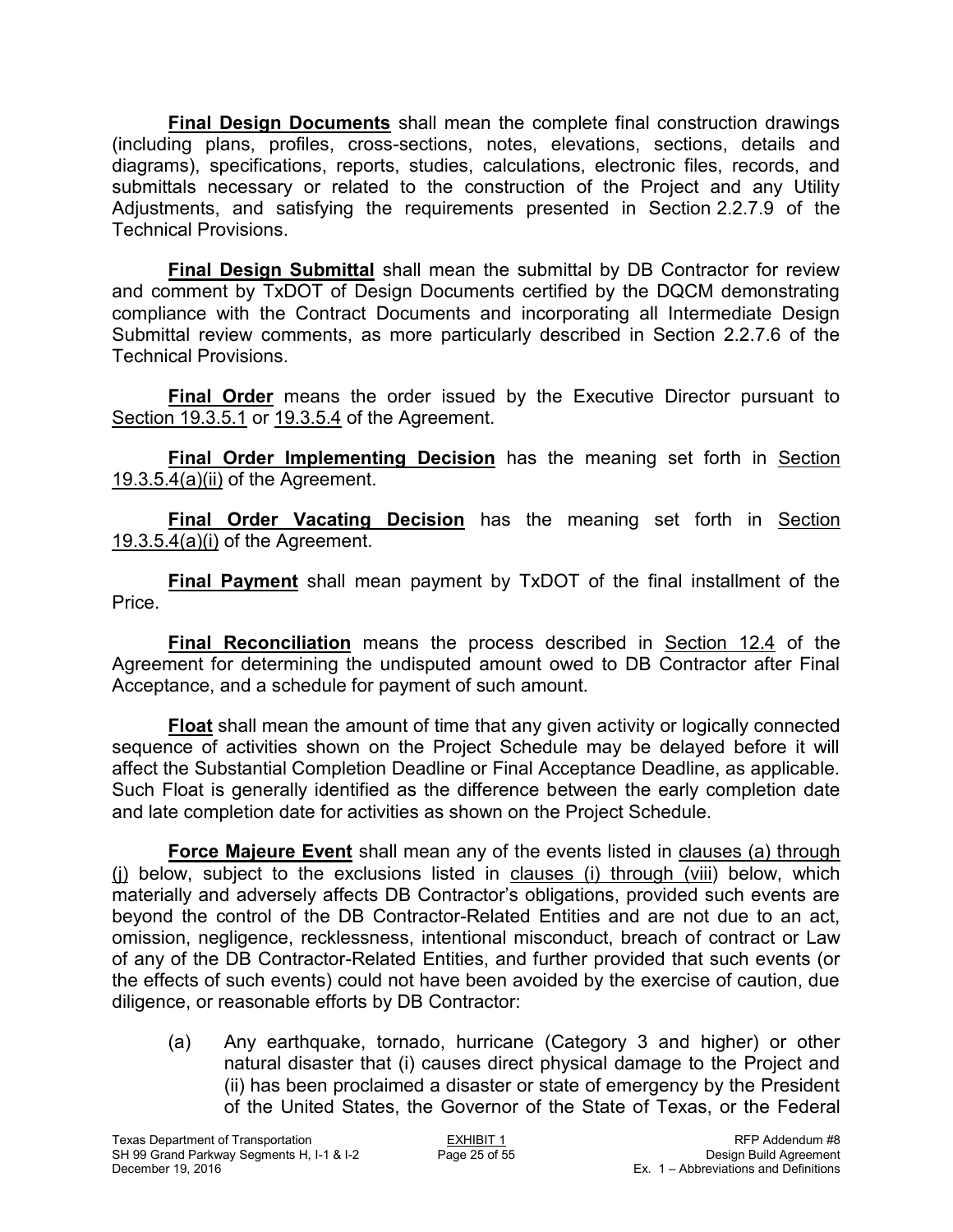**Final Design Documents** shall mean the complete final construction drawings (including plans, profiles, cross-sections, notes, elevations, sections, details and diagrams), specifications, reports, studies, calculations, electronic files, records, and submittals necessary or related to the construction of the Project and any Utility Adjustments, and satisfying the requirements presented in Section 2.2.7.9 of the Technical Provisions.

**Final Design Submittal** shall mean the submittal by DB Contractor for review and comment by TxDOT of Design Documents certified by the DQCM demonstrating compliance with the Contract Documents and incorporating all Intermediate Design Submittal review comments, as more particularly described in Section 2.2.7.6 of the Technical Provisions.

**Final Order** means the order issued by the Executive Director pursuant to Section 19.3.5.1 or 19.3.5.4 of the Agreement.

**Final Order Implementing Decision** has the meaning set forth in Section 19.3.5.4(a)(ii) of the Agreement.

**Final Order Vacating Decision** has the meaning set forth in Section 19.3.5.4(a)(i) of the Agreement.

**Final Payment** shall mean payment by TxDOT of the final installment of the Price.

**Final Reconciliation** means the process described in Section 12.4 of the Agreement for determining the undisputed amount owed to DB Contractor after Final Acceptance, and a schedule for payment of such amount.

**Float** shall mean the amount of time that any given activity or logically connected sequence of activities shown on the Project Schedule may be delayed before it will affect the Substantial Completion Deadline or Final Acceptance Deadline, as applicable. Such Float is generally identified as the difference between the early completion date and late completion date for activities as shown on the Project Schedule.

**Force Majeure Event** shall mean any of the events listed in clauses (a) through (j) below, subject to the exclusions listed in clauses (i) through (viii) below, which materially and adversely affects DB Contractor's obligations, provided such events are beyond the control of the DB Contractor-Related Entities and are not due to an act, omission, negligence, recklessness, intentional misconduct, breach of contract or Law of any of the DB Contractor-Related Entities, and further provided that such events (or the effects of such events) could not have been avoided by the exercise of caution, due diligence, or reasonable efforts by DB Contractor:

(a) Any earthquake, tornado, hurricane (Category 3 and higher) or other natural disaster that (i) causes direct physical damage to the Project and (ii) has been proclaimed a disaster or state of emergency by the President of the United States, the Governor of the State of Texas, or the Federal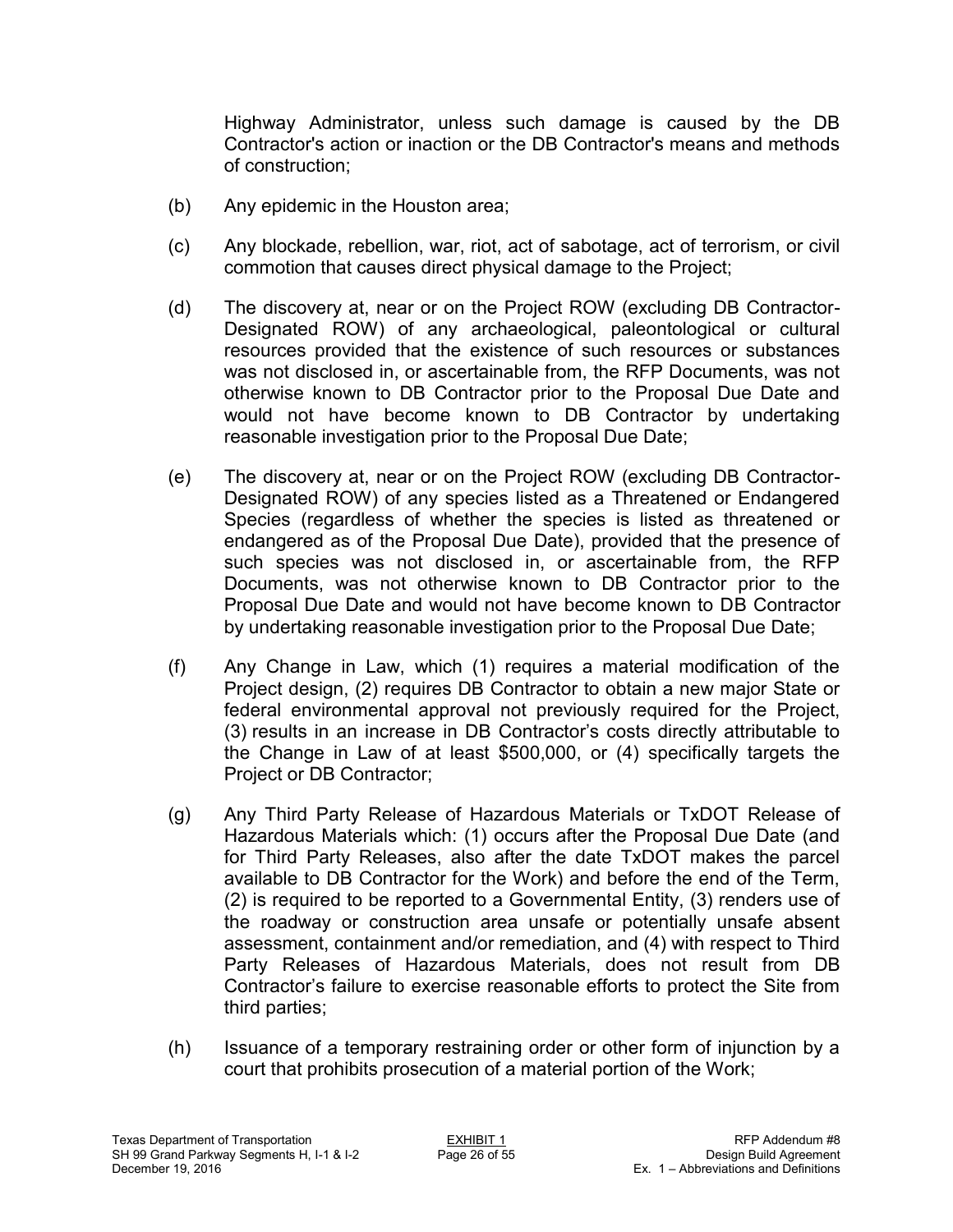Highway Administrator, unless such damage is caused by the DB Contractor's action or inaction or the DB Contractor's means and methods of construction;

- (b) Any epidemic in the Houston area;
- (c) Any blockade, rebellion, war, riot, act of sabotage, act of terrorism, or civil commotion that causes direct physical damage to the Project;
- (d) The discovery at, near or on the Project ROW (excluding DB Contractor-Designated ROW) of any archaeological, paleontological or cultural resources provided that the existence of such resources or substances was not disclosed in, or ascertainable from, the RFP Documents, was not otherwise known to DB Contractor prior to the Proposal Due Date and would not have become known to DB Contractor by undertaking reasonable investigation prior to the Proposal Due Date;
- (e) The discovery at, near or on the Project ROW (excluding DB Contractor-Designated ROW) of any species listed as a Threatened or Endangered Species (regardless of whether the species is listed as threatened or endangered as of the Proposal Due Date), provided that the presence of such species was not disclosed in, or ascertainable from, the RFP Documents, was not otherwise known to DB Contractor prior to the Proposal Due Date and would not have become known to DB Contractor by undertaking reasonable investigation prior to the Proposal Due Date;
- (f) Any Change in Law, which (1) requires a material modification of the Project design, (2) requires DB Contractor to obtain a new major State or federal environmental approval not previously required for the Project, (3) results in an increase in DB Contractor's costs directly attributable to the Change in Law of at least \$500,000, or (4) specifically targets the Project or DB Contractor;
- (g) Any Third Party Release of Hazardous Materials or TxDOT Release of Hazardous Materials which: (1) occurs after the Proposal Due Date (and for Third Party Releases, also after the date TxDOT makes the parcel available to DB Contractor for the Work) and before the end of the Term, (2) is required to be reported to a Governmental Entity, (3) renders use of the roadway or construction area unsafe or potentially unsafe absent assessment, containment and/or remediation, and (4) with respect to Third Party Releases of Hazardous Materials, does not result from DB Contractor's failure to exercise reasonable efforts to protect the Site from third parties;
- (h) Issuance of a temporary restraining order or other form of injunction by a court that prohibits prosecution of a material portion of the Work;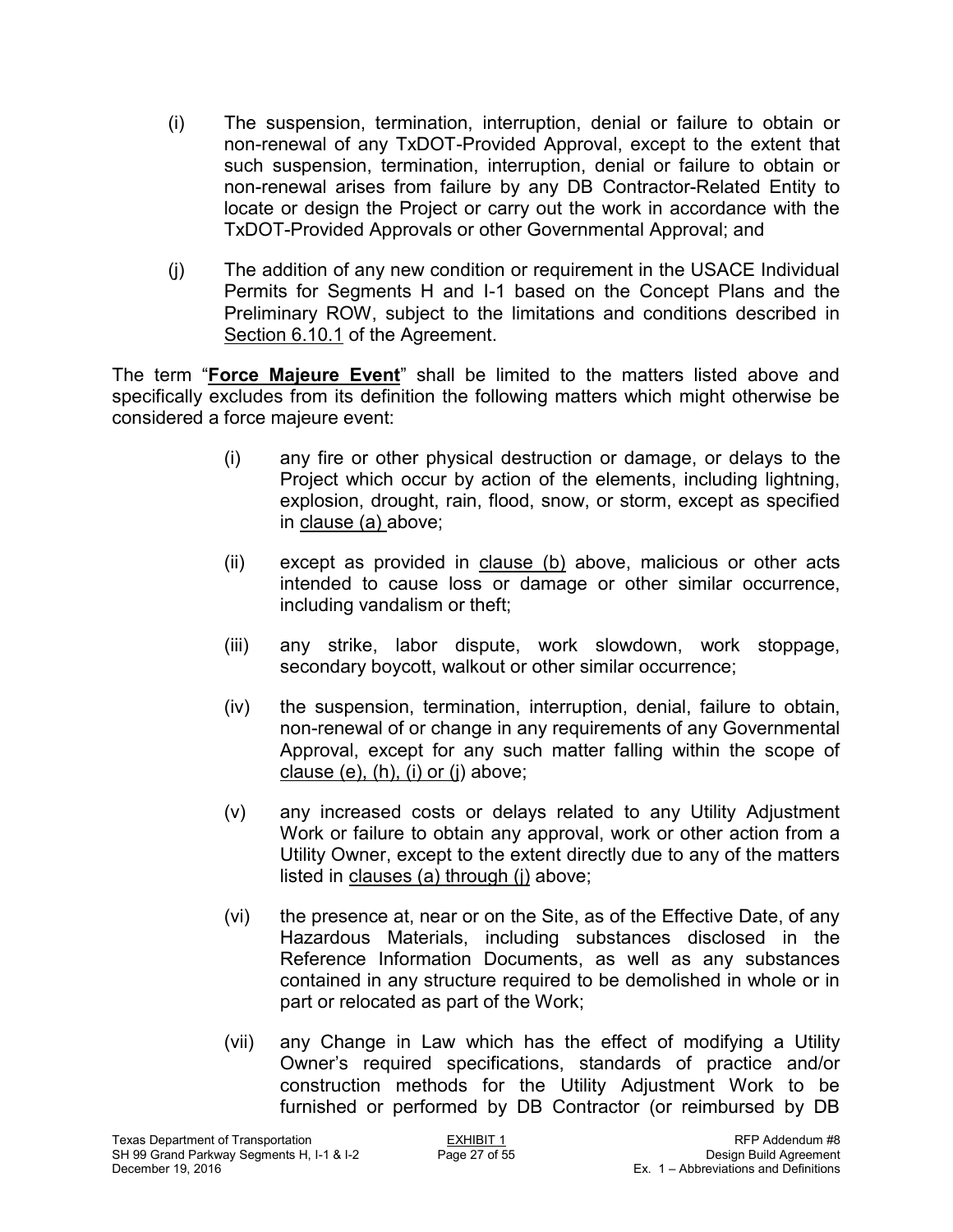- (i) The suspension, termination, interruption, denial or failure to obtain or non-renewal of any TxDOT-Provided Approval, except to the extent that such suspension, termination, interruption, denial or failure to obtain or non-renewal arises from failure by any DB Contractor-Related Entity to locate or design the Project or carry out the work in accordance with the TxDOT-Provided Approvals or other Governmental Approval; and
- (j) The addition of any new condition or requirement in the USACE Individual Permits for Segments H and I-1 based on the Concept Plans and the Preliminary ROW, subject to the limitations and conditions described in Section 6.10.1 of the Agreement.

The term "**Force Majeure Event**" shall be limited to the matters listed above and specifically excludes from its definition the following matters which might otherwise be considered a force majeure event:

- (i) any fire or other physical destruction or damage, or delays to the Project which occur by action of the elements, including lightning, explosion, drought, rain, flood, snow, or storm, except as specified in clause (a) above;
- (ii) except as provided in clause  $(b)$  above, malicious or other acts intended to cause loss or damage or other similar occurrence, including vandalism or theft;
- (iii) any strike, labor dispute, work slowdown, work stoppage, secondary boycott, walkout or other similar occurrence;
- (iv) the suspension, termination, interruption, denial, failure to obtain, non-renewal of or change in any requirements of any Governmental Approval, except for any such matter falling within the scope of clause  $(e)$ ,  $(h)$ ,  $(i)$  or  $(i)$  above;
- (v) any increased costs or delays related to any Utility Adjustment Work or failure to obtain any approval, work or other action from a Utility Owner, except to the extent directly due to any of the matters listed in clauses (a) through (j) above;
- (vi) the presence at, near or on the Site, as of the Effective Date, of any Hazardous Materials, including substances disclosed in the Reference Information Documents, as well as any substances contained in any structure required to be demolished in whole or in part or relocated as part of the Work;
- (vii) any Change in Law which has the effect of modifying a Utility Owner's required specifications, standards of practice and/or construction methods for the Utility Adjustment Work to be furnished or performed by DB Contractor (or reimbursed by DB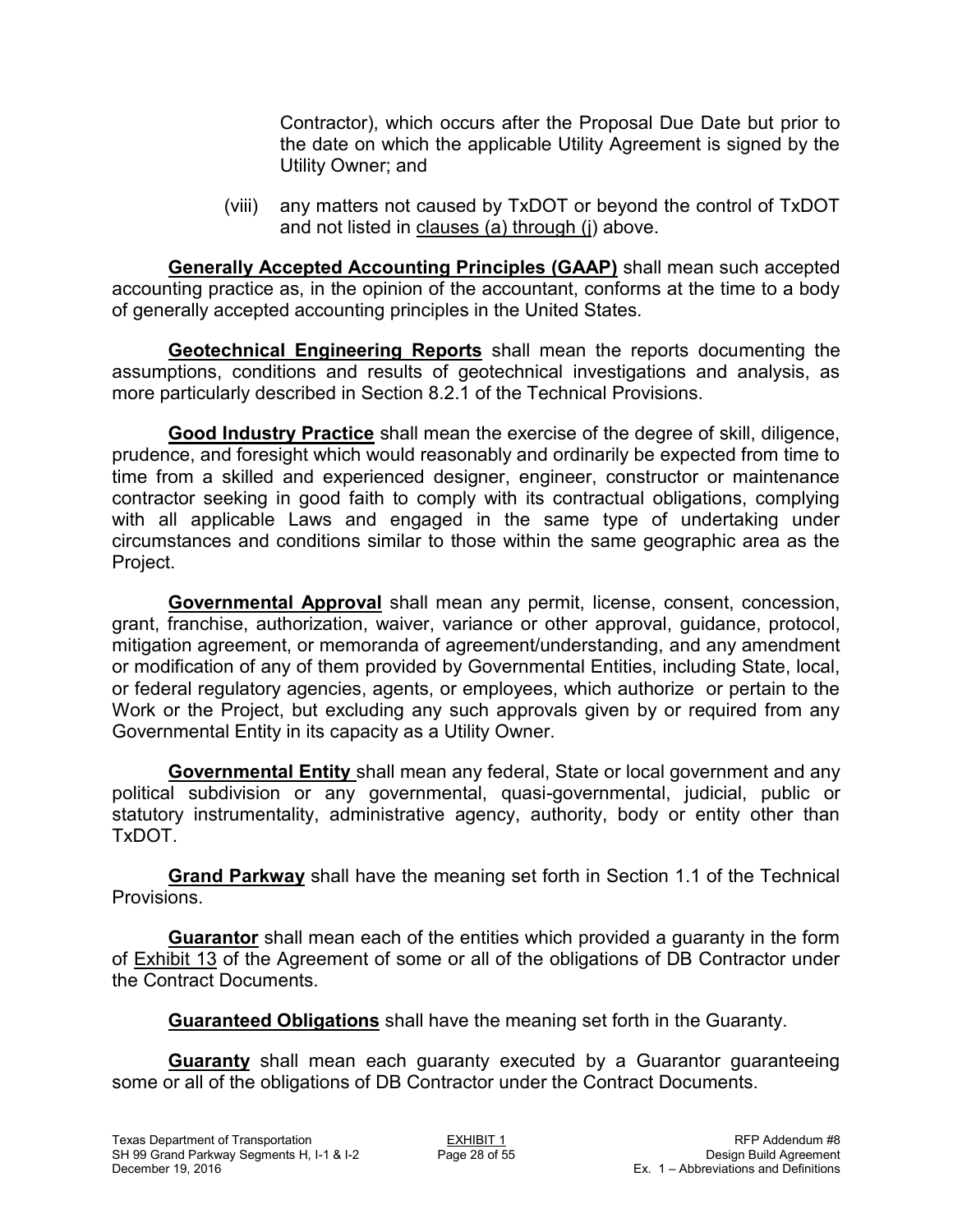Contractor), which occurs after the Proposal Due Date but prior to the date on which the applicable Utility Agreement is signed by the Utility Owner; and

(viii) any matters not caused by TxDOT or beyond the control of TxDOT and not listed in clauses (a) through (j) above.

**Generally Accepted Accounting Principles (GAAP)** shall mean such accepted accounting practice as, in the opinion of the accountant, conforms at the time to a body of generally accepted accounting principles in the United States.

**Geotechnical Engineering Reports** shall mean the reports documenting the assumptions, conditions and results of geotechnical investigations and analysis, as more particularly described in Section 8.2.1 of the Technical Provisions.

**Good Industry Practice** shall mean the exercise of the degree of skill, diligence, prudence, and foresight which would reasonably and ordinarily be expected from time to time from a skilled and experienced designer, engineer, constructor or maintenance contractor seeking in good faith to comply with its contractual obligations, complying with all applicable Laws and engaged in the same type of undertaking under circumstances and conditions similar to those within the same geographic area as the Project.

**Governmental Approval** shall mean any permit, license, consent, concession, grant, franchise, authorization, waiver, variance or other approval, guidance, protocol, mitigation agreement, or memoranda of agreement/understanding, and any amendment or modification of any of them provided by Governmental Entities, including State, local, or federal regulatory agencies, agents, or employees, which authorize or pertain to the Work or the Project, but excluding any such approvals given by or required from any Governmental Entity in its capacity as a Utility Owner.

**Governmental Entity** shall mean any federal, State or local government and any political subdivision or any governmental, quasi-governmental, judicial, public or statutory instrumentality, administrative agency, authority, body or entity other than TxDOT.

**Grand Parkway** shall have the meaning set forth in Section 1.1 of the Technical Provisions.

**Guarantor** shall mean each of the entities which provided a guaranty in the form of Exhibit 13 of the Agreement of some or all of the obligations of DB Contractor under the Contract Documents.

**Guaranteed Obligations** shall have the meaning set forth in the Guaranty.

**Guaranty** shall mean each guaranty executed by a Guarantor guaranteeing some or all of the obligations of DB Contractor under the Contract Documents.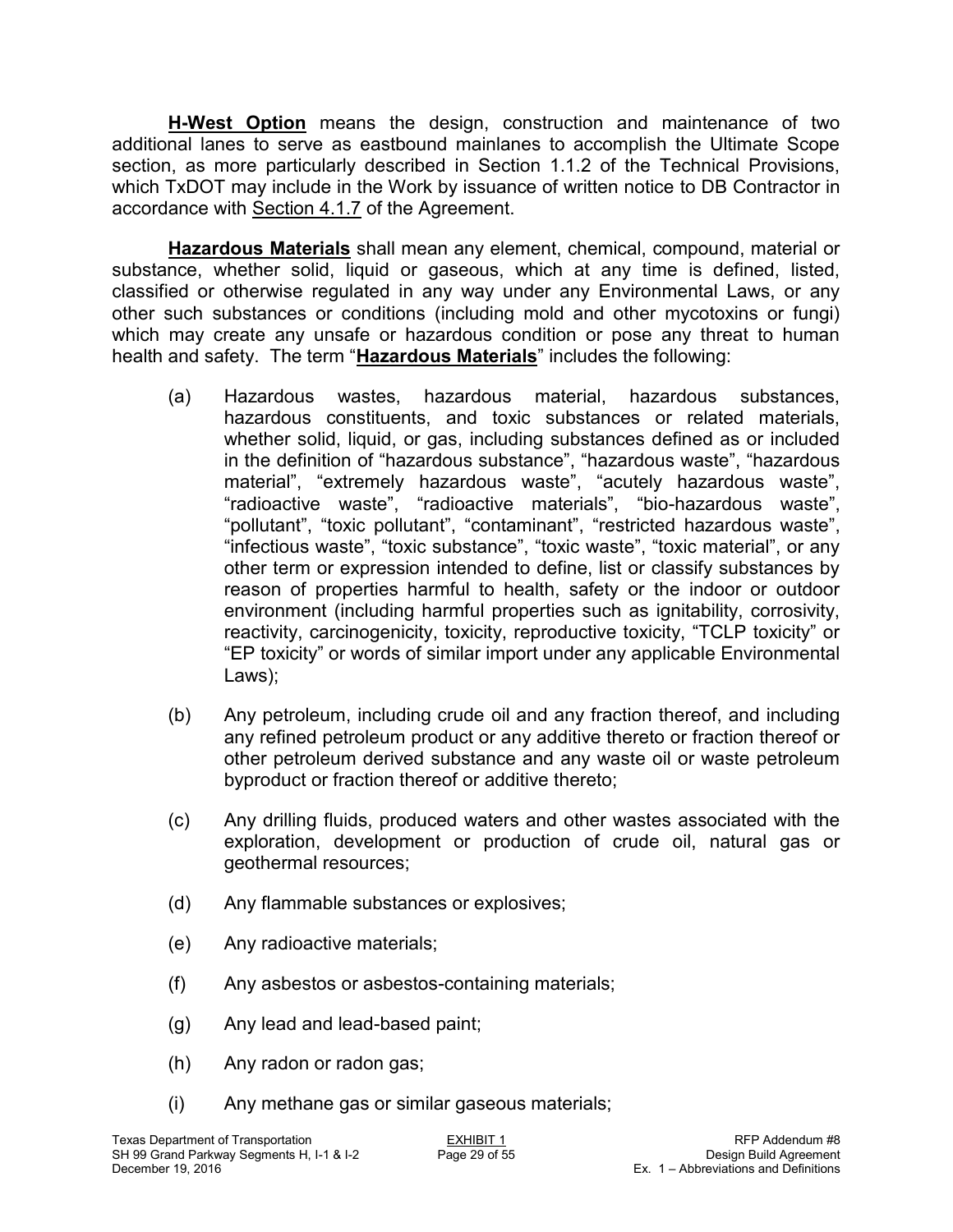**H-West Option** means the design, construction and maintenance of two additional lanes to serve as eastbound mainlanes to accomplish the Ultimate Scope section, as more particularly described in Section 1.1.2 of the Technical Provisions, which TxDOT may include in the Work by issuance of written notice to DB Contractor in accordance with Section 4.1.7 of the Agreement.

**Hazardous Materials** shall mean any element, chemical, compound, material or substance, whether solid, liquid or gaseous, which at any time is defined, listed, classified or otherwise regulated in any way under any Environmental Laws, or any other such substances or conditions (including mold and other mycotoxins or fungi) which may create any unsafe or hazardous condition or pose any threat to human health and safety. The term "**Hazardous Materials**" includes the following:

- (a) Hazardous wastes, hazardous material, hazardous substances, hazardous constituents, and toxic substances or related materials, whether solid, liquid, or gas, including substances defined as or included in the definition of "hazardous substance", "hazardous waste", "hazardous material", "extremely hazardous waste", "acutely hazardous waste", "radioactive waste", "radioactive materials", "bio-hazardous waste", "pollutant", "toxic pollutant", "contaminant", "restricted hazardous waste", "infectious waste", "toxic substance", "toxic waste", "toxic material", or any other term or expression intended to define, list or classify substances by reason of properties harmful to health, safety or the indoor or outdoor environment (including harmful properties such as ignitability, corrosivity, reactivity, carcinogenicity, toxicity, reproductive toxicity, "TCLP toxicity" or "EP toxicity" or words of similar import under any applicable Environmental Laws);
- (b) Any petroleum, including crude oil and any fraction thereof, and including any refined petroleum product or any additive thereto or fraction thereof or other petroleum derived substance and any waste oil or waste petroleum byproduct or fraction thereof or additive thereto;
- (c) Any drilling fluids, produced waters and other wastes associated with the exploration, development or production of crude oil, natural gas or geothermal resources;
- (d) Any flammable substances or explosives;
- (e) Any radioactive materials;
- (f) Any asbestos or asbestos-containing materials;
- (g) Any lead and lead-based paint;
- (h) Any radon or radon gas;
- (i) Any methane gas or similar gaseous materials;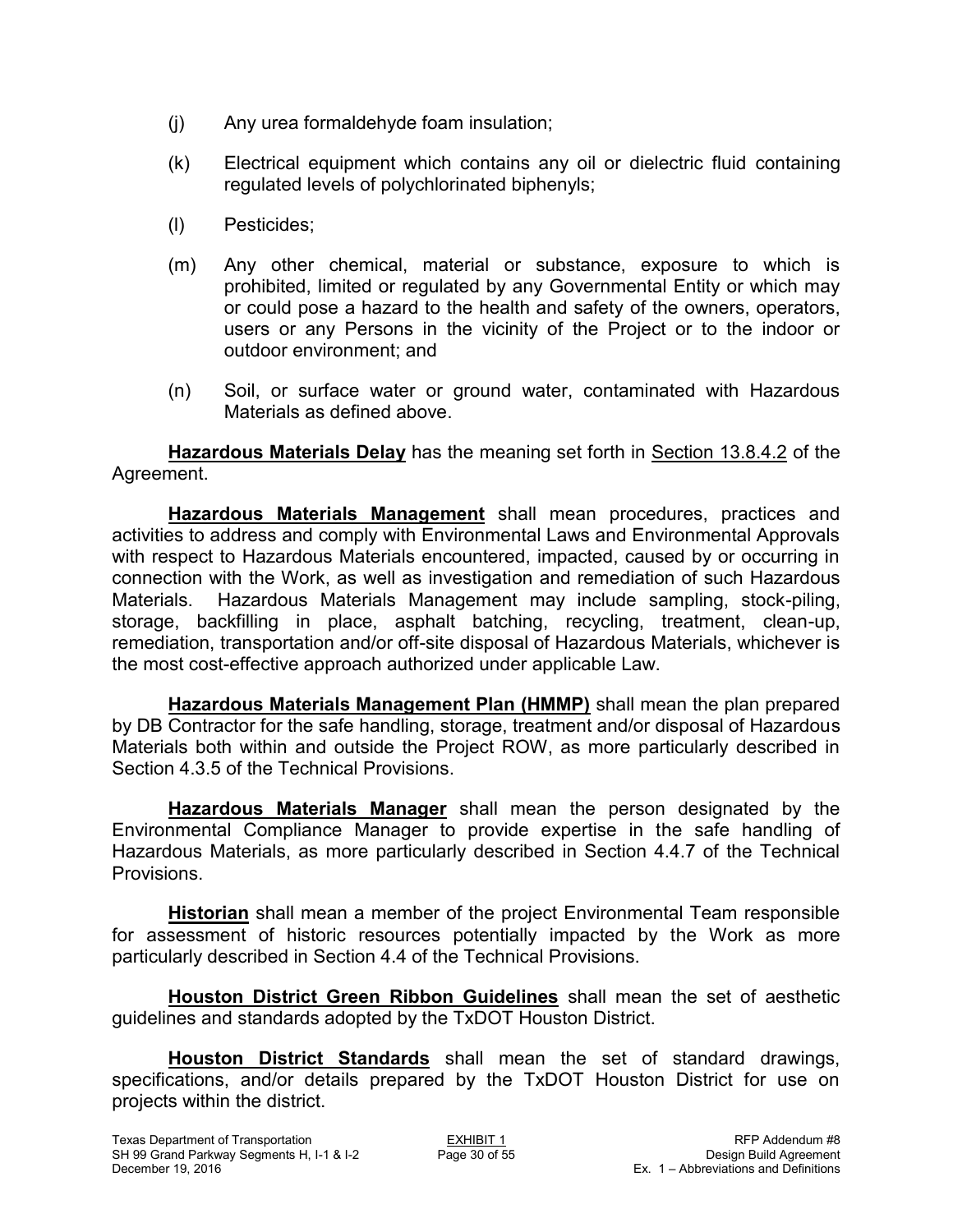- (j) Any urea formaldehyde foam insulation;
- (k) Electrical equipment which contains any oil or dielectric fluid containing regulated levels of polychlorinated biphenyls;
- (l) Pesticides;
- (m) Any other chemical, material or substance, exposure to which is prohibited, limited or regulated by any Governmental Entity or which may or could pose a hazard to the health and safety of the owners, operators, users or any Persons in the vicinity of the Project or to the indoor or outdoor environment; and
- (n) Soil, or surface water or ground water, contaminated with Hazardous Materials as defined above.

**Hazardous Materials Delay** has the meaning set forth in Section 13.8.4.2 of the Agreement.

**Hazardous Materials Management** shall mean procedures, practices and activities to address and comply with Environmental Laws and Environmental Approvals with respect to Hazardous Materials encountered, impacted, caused by or occurring in connection with the Work, as well as investigation and remediation of such Hazardous Materials. Hazardous Materials Management may include sampling, stock-piling, storage, backfilling in place, asphalt batching, recycling, treatment, clean-up, remediation, transportation and/or off-site disposal of Hazardous Materials, whichever is the most cost-effective approach authorized under applicable Law.

**Hazardous Materials Management Plan (HMMP)** shall mean the plan prepared by DB Contractor for the safe handling, storage, treatment and/or disposal of Hazardous Materials both within and outside the Project ROW, as more particularly described in Section 4.3.5 of the Technical Provisions.

**Hazardous Materials Manager** shall mean the person designated by the Environmental Compliance Manager to provide expertise in the safe handling of Hazardous Materials, as more particularly described in Section 4.4.7 of the Technical Provisions.

**Historian** shall mean a member of the project Environmental Team responsible for assessment of historic resources potentially impacted by the Work as more particularly described in Section 4.4 of the Technical Provisions.

**Houston District Green Ribbon Guidelines** shall mean the set of aesthetic guidelines and standards adopted by the TxDOT Houston District.

**Houston District Standards** shall mean the set of standard drawings, specifications, and/or details prepared by the TxDOT Houston District for use on projects within the district.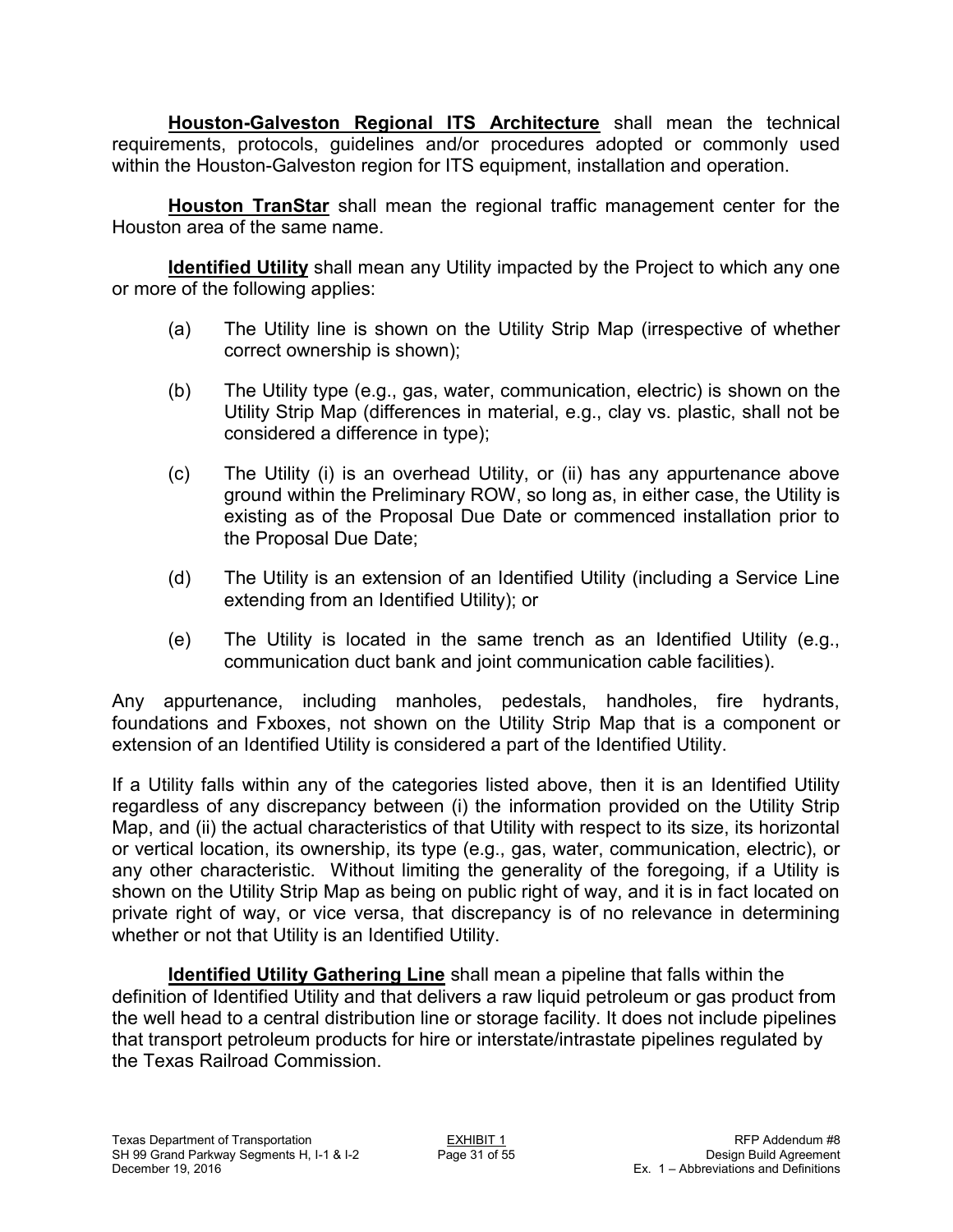**Houston-Galveston Regional ITS Architecture** shall mean the technical requirements, protocols, guidelines and/or procedures adopted or commonly used within the Houston-Galveston region for ITS equipment, installation and operation.

**Houston TranStar** shall mean the regional traffic management center for the Houston area of the same name.

**Identified Utility** shall mean any Utility impacted by the Project to which any one or more of the following applies:

- (a) The Utility line is shown on the Utility Strip Map (irrespective of whether correct ownership is shown);
- (b) The Utility type (e.g., gas, water, communication, electric) is shown on the Utility Strip Map (differences in material, e.g., clay vs. plastic, shall not be considered a difference in type);
- (c) The Utility (i) is an overhead Utility, or (ii) has any appurtenance above ground within the Preliminary ROW, so long as, in either case, the Utility is existing as of the Proposal Due Date or commenced installation prior to the Proposal Due Date;
- (d) The Utility is an extension of an Identified Utility (including a Service Line extending from an Identified Utility); or
- (e) The Utility is located in the same trench as an Identified Utility (e.g., communication duct bank and joint communication cable facilities).

Any appurtenance, including manholes, pedestals, handholes, fire hydrants, foundations and Fxboxes, not shown on the Utility Strip Map that is a component or extension of an Identified Utility is considered a part of the Identified Utility.

If a Utility falls within any of the categories listed above, then it is an Identified Utility regardless of any discrepancy between (i) the information provided on the Utility Strip Map, and (ii) the actual characteristics of that Utility with respect to its size, its horizontal or vertical location, its ownership, its type (e.g., gas, water, communication, electric), or any other characteristic. Without limiting the generality of the foregoing, if a Utility is shown on the Utility Strip Map as being on public right of way, and it is in fact located on private right of way, or vice versa, that discrepancy is of no relevance in determining whether or not that Utility is an Identified Utility.

**Identified Utility Gathering Line** shall mean a pipeline that falls within the definition of Identified Utility and that delivers a raw liquid petroleum or gas product from the well head to a central distribution line or storage facility. It does not include pipelines that transport petroleum products for hire or interstate/intrastate pipelines regulated by the Texas Railroad Commission.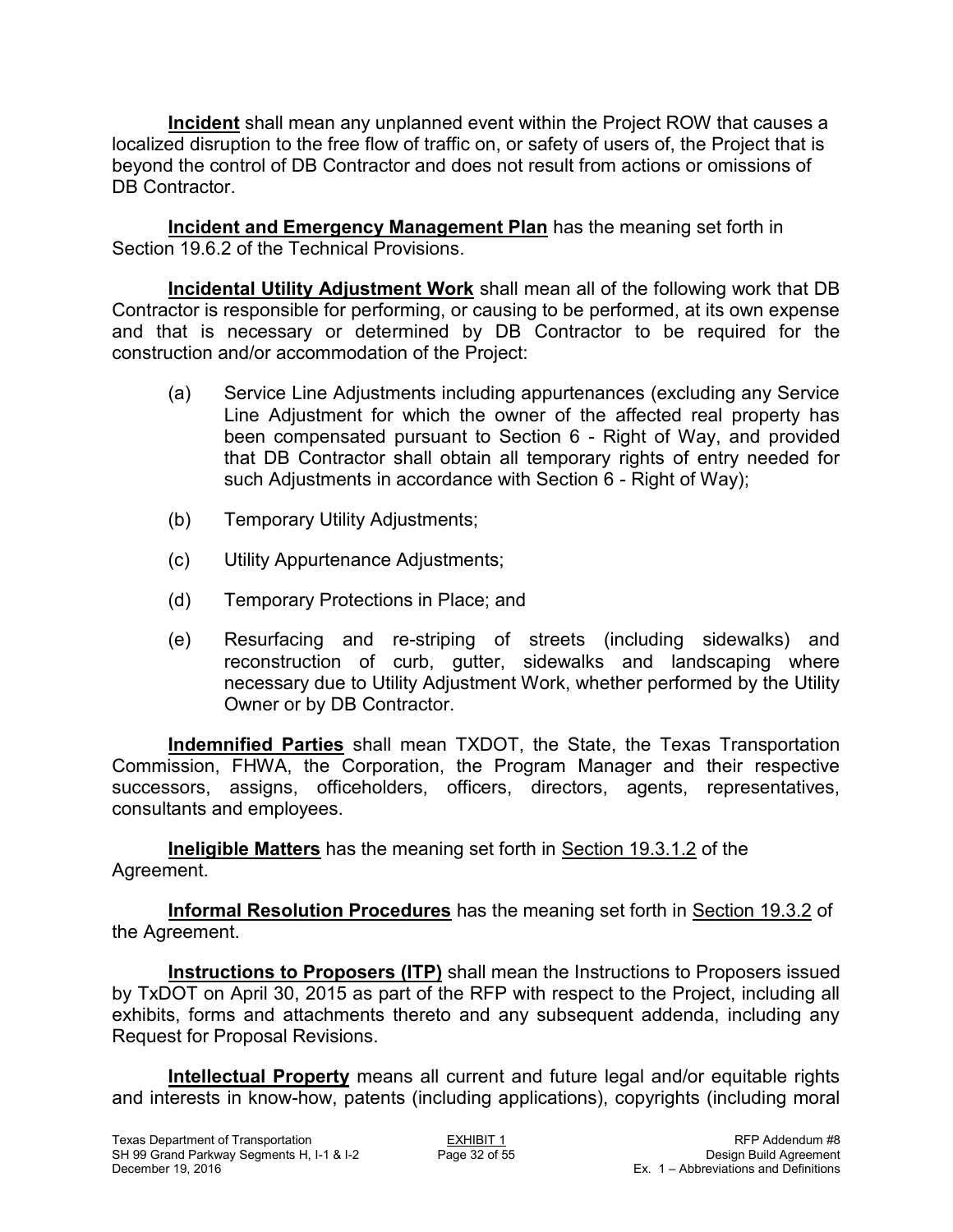**Incident** shall mean any unplanned event within the Project ROW that causes a localized disruption to the free flow of traffic on, or safety of users of, the Project that is beyond the control of DB Contractor and does not result from actions or omissions of DB Contractor.

**Incident and Emergency Management Plan** has the meaning set forth in Section 19.6.2 of the Technical Provisions.

**Incidental Utility Adjustment Work** shall mean all of the following work that DB Contractor is responsible for performing, or causing to be performed, at its own expense and that is necessary or determined by DB Contractor to be required for the construction and/or accommodation of the Project:

- (a) Service Line Adjustments including appurtenances (excluding any Service Line Adjustment for which the owner of the affected real property has been compensated pursuant to Section 6 - Right of Way, and provided that DB Contractor shall obtain all temporary rights of entry needed for such Adjustments in accordance with Section 6 - Right of Way);
- (b) Temporary Utility Adjustments;
- (c) Utility Appurtenance Adjustments;
- (d) Temporary Protections in Place; and
- (e) Resurfacing and re-striping of streets (including sidewalks) and reconstruction of curb, gutter, sidewalks and landscaping where necessary due to Utility Adjustment Work, whether performed by the Utility Owner or by DB Contractor.

**Indemnified Parties** shall mean TXDOT, the State, the Texas Transportation Commission, FHWA, the Corporation, the Program Manager and their respective successors, assigns, officeholders, officers, directors, agents, representatives, consultants and employees.

**Ineligible Matters** has the meaning set forth in Section 19.3.1.2 of the Agreement.

**Informal Resolution Procedures** has the meaning set forth in Section 19.3.2 of the Agreement.

**Instructions to Proposers (ITP)** shall mean the Instructions to Proposers issued by TxDOT on April 30, 2015 as part of the RFP with respect to the Project, including all exhibits, forms and attachments thereto and any subsequent addenda, including any Request for Proposal Revisions.

**Intellectual Property** means all current and future legal and/or equitable rights and interests in know-how, patents (including applications), copyrights (including moral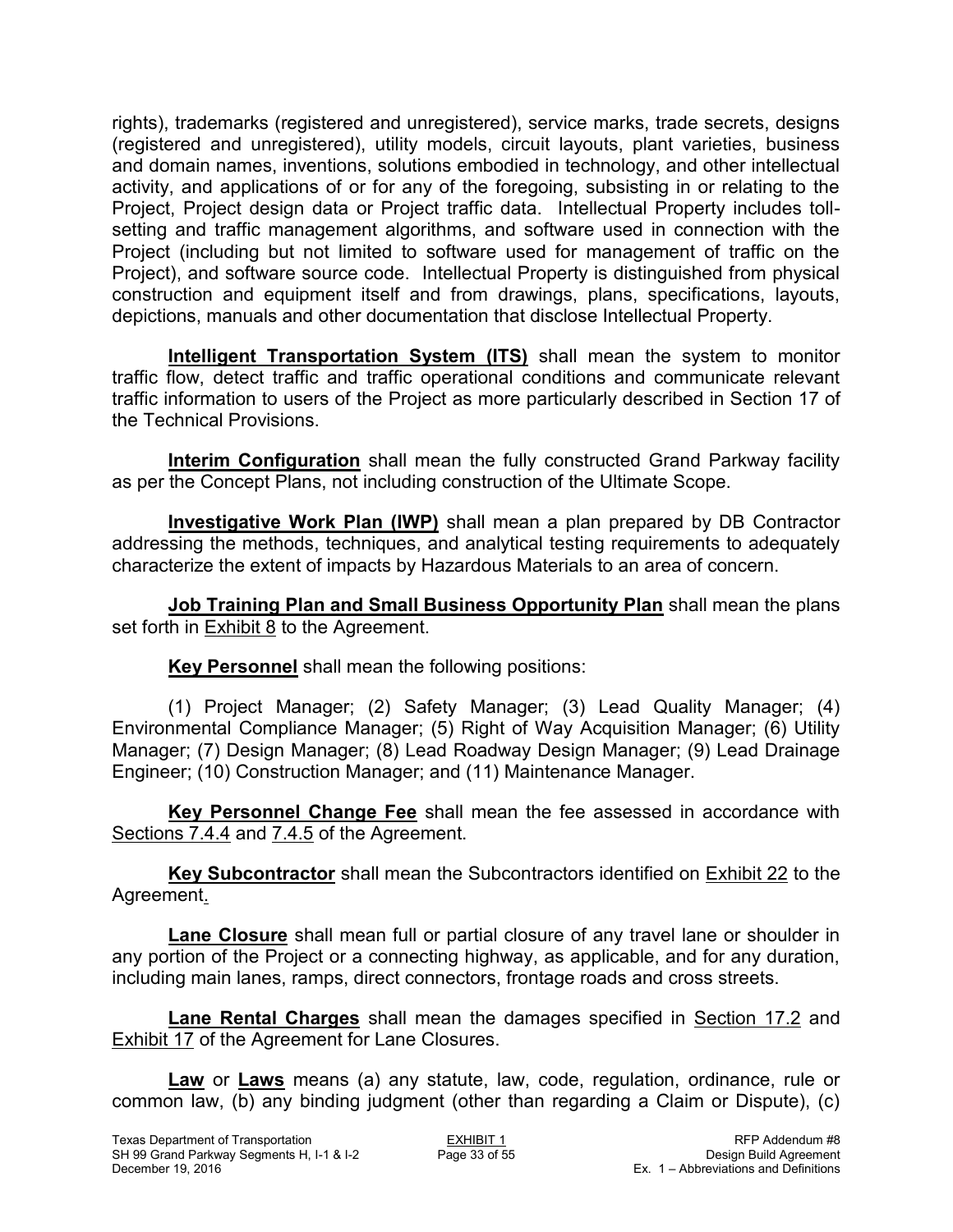rights), trademarks (registered and unregistered), service marks, trade secrets, designs (registered and unregistered), utility models, circuit layouts, plant varieties, business and domain names, inventions, solutions embodied in technology, and other intellectual activity, and applications of or for any of the foregoing, subsisting in or relating to the Project, Project design data or Project traffic data. Intellectual Property includes tollsetting and traffic management algorithms, and software used in connection with the Project (including but not limited to software used for management of traffic on the Project), and software source code. Intellectual Property is distinguished from physical construction and equipment itself and from drawings, plans, specifications, layouts, depictions, manuals and other documentation that disclose Intellectual Property.

**Intelligent Transportation System (ITS)** shall mean the system to monitor traffic flow, detect traffic and traffic operational conditions and communicate relevant traffic information to users of the Project as more particularly described in Section 17 of the Technical Provisions.

**Interim Configuration** shall mean the fully constructed Grand Parkway facility as per the Concept Plans, not including construction of the Ultimate Scope.

**Investigative Work Plan (IWP)** shall mean a plan prepared by DB Contractor addressing the methods, techniques, and analytical testing requirements to adequately characterize the extent of impacts by Hazardous Materials to an area of concern.

**Job Training Plan and Small Business Opportunity Plan** shall mean the plans set forth in Exhibit 8 to the Agreement.

**Key Personnel** shall mean the following positions:

(1) Project Manager; (2) Safety Manager; (3) Lead Quality Manager; (4) Environmental Compliance Manager; (5) Right of Way Acquisition Manager; (6) Utility Manager; (7) Design Manager; (8) Lead Roadway Design Manager; (9) Lead Drainage Engineer; (10) Construction Manager; and (11) Maintenance Manager.

**Key Personnel Change Fee** shall mean the fee assessed in accordance with Sections 7.4.4 and 7.4.5 of the Agreement.

**Key Subcontractor** shall mean the Subcontractors identified on Exhibit 22 to the Agreement.

**Lane Closure** shall mean full or partial closure of any travel lane or shoulder in any portion of the Project or a connecting highway, as applicable, and for any duration, including main lanes, ramps, direct connectors, frontage roads and cross streets.

Lane Rental Charges shall mean the damages specified in Section 17.2 and Exhibit 17 of the Agreement for Lane Closures.

**Law** or **Laws** means (a) any statute, law, code, regulation, ordinance, rule or common law, (b) any binding judgment (other than regarding a Claim or Dispute), (c)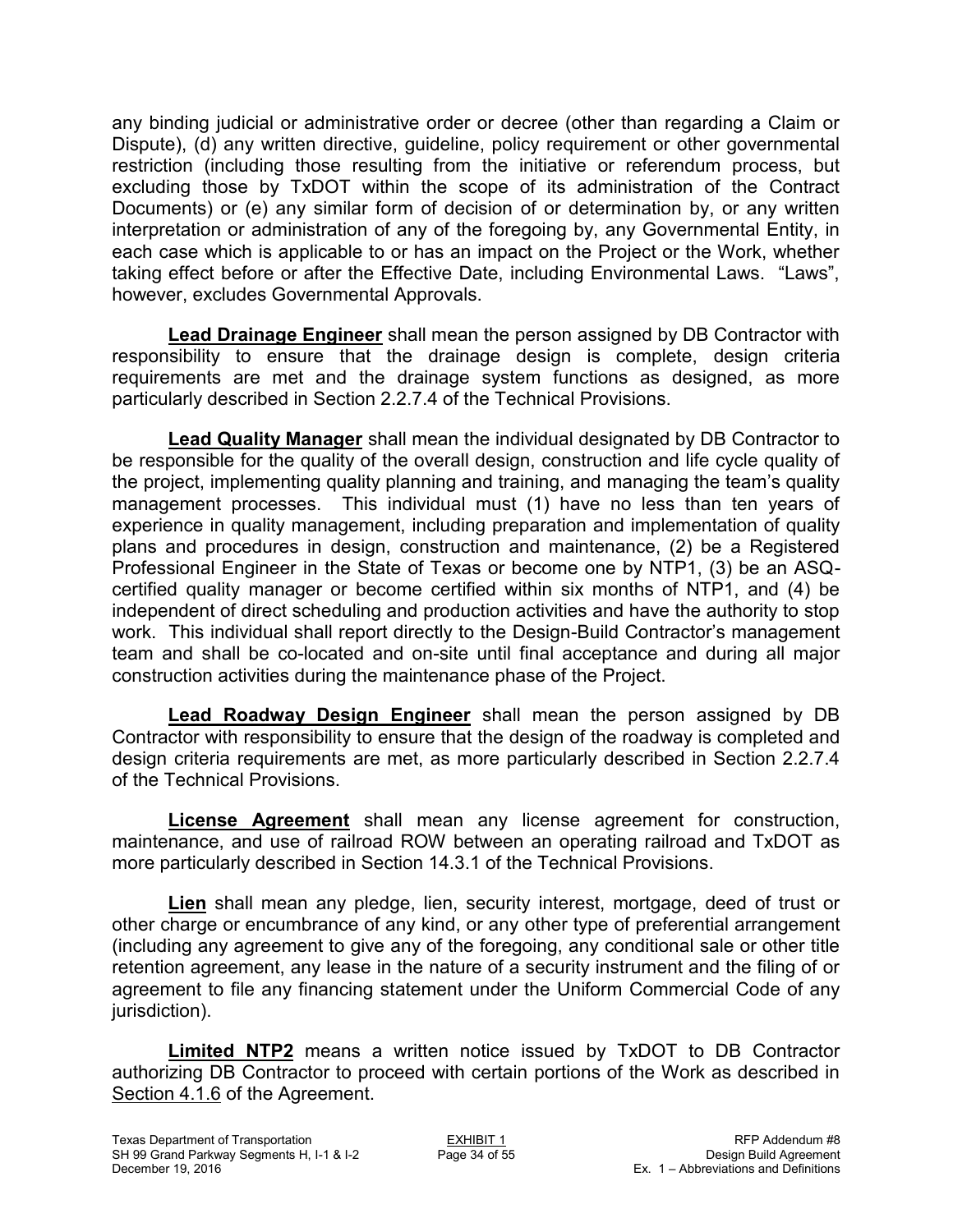any binding judicial or administrative order or decree (other than regarding a Claim or Dispute), (d) any written directive, guideline, policy requirement or other governmental restriction (including those resulting from the initiative or referendum process, but excluding those by TxDOT within the scope of its administration of the Contract Documents) or (e) any similar form of decision of or determination by, or any written interpretation or administration of any of the foregoing by, any Governmental Entity, in each case which is applicable to or has an impact on the Project or the Work, whether taking effect before or after the Effective Date, including Environmental Laws. "Laws", however, excludes Governmental Approvals.

**Lead Drainage Engineer** shall mean the person assigned by DB Contractor with responsibility to ensure that the drainage design is complete, design criteria requirements are met and the drainage system functions as designed, as more particularly described in Section 2.2.7.4 of the Technical Provisions.

**Lead Quality Manager** shall mean the individual designated by DB Contractor to be responsible for the quality of the overall design, construction and life cycle quality of the project, implementing quality planning and training, and managing the team's quality management processes. This individual must (1) have no less than ten years of experience in quality management, including preparation and implementation of quality plans and procedures in design, construction and maintenance, (2) be a Registered Professional Engineer in the State of Texas or become one by NTP1, (3) be an ASQcertified quality manager or become certified within six months of NTP1, and (4) be independent of direct scheduling and production activities and have the authority to stop work. This individual shall report directly to the Design-Build Contractor's management team and shall be co-located and on-site until final acceptance and during all major construction activities during the maintenance phase of the Project.

**Lead Roadway Design Engineer** shall mean the person assigned by DB Contractor with responsibility to ensure that the design of the roadway is completed and design criteria requirements are met, as more particularly described in Section 2.2.7.4 of the Technical Provisions.

**License Agreement** shall mean any license agreement for construction, maintenance, and use of railroad ROW between an operating railroad and TxDOT as more particularly described in Section 14.3.1 of the Technical Provisions.

**Lien** shall mean any pledge, lien, security interest, mortgage, deed of trust or other charge or encumbrance of any kind, or any other type of preferential arrangement (including any agreement to give any of the foregoing, any conditional sale or other title retention agreement, any lease in the nature of a security instrument and the filing of or agreement to file any financing statement under the Uniform Commercial Code of any jurisdiction).

**Limited NTP2** means a written notice issued by TxDOT to DB Contractor authorizing DB Contractor to proceed with certain portions of the Work as described in Section 4.1.6 of the Agreement.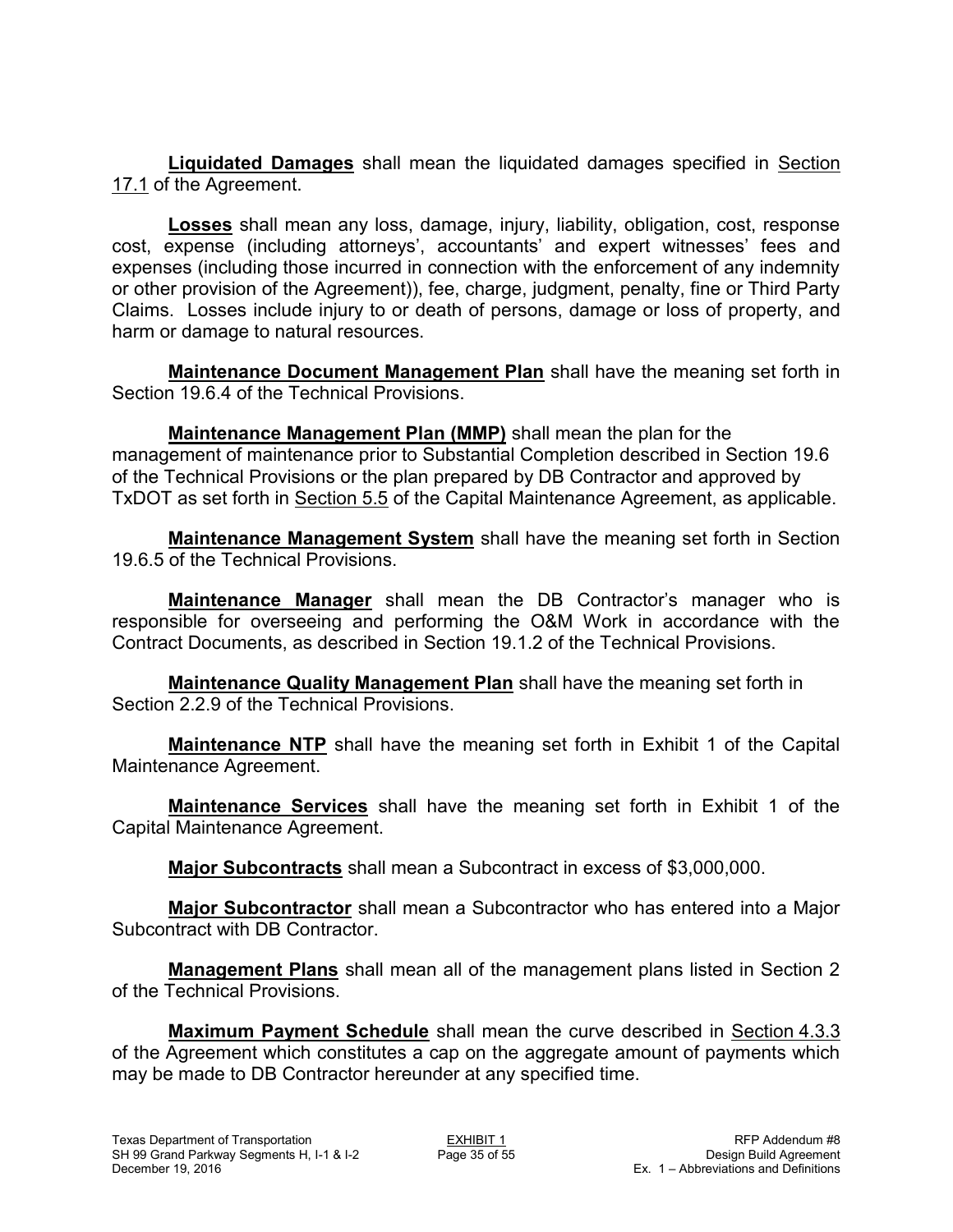**Liquidated Damages** shall mean the liquidated damages specified in Section 17.1 of the Agreement.

**Losses** shall mean any loss, damage, injury, liability, obligation, cost, response cost, expense (including attorneys', accountants' and expert witnesses' fees and expenses (including those incurred in connection with the enforcement of any indemnity or other provision of the Agreement)), fee, charge, judgment, penalty, fine or Third Party Claims. Losses include injury to or death of persons, damage or loss of property, and harm or damage to natural resources.

**Maintenance Document Management Plan** shall have the meaning set forth in Section 19.6.4 of the Technical Provisions.

**Maintenance Management Plan (MMP)** shall mean the plan for the management of maintenance prior to Substantial Completion described in Section 19.6 of the Technical Provisions or the plan prepared by DB Contractor and approved by TxDOT as set forth in Section 5.5 of the Capital Maintenance Agreement, as applicable.

**Maintenance Management System** shall have the meaning set forth in Section 19.6.5 of the Technical Provisions.

**Maintenance Manager** shall mean the DB Contractor's manager who is responsible for overseeing and performing the O&M Work in accordance with the Contract Documents, as described in Section 19.1.2 of the Technical Provisions.

**Maintenance Quality Management Plan** shall have the meaning set forth in Section 2.2.9 of the Technical Provisions.

**Maintenance NTP** shall have the meaning set forth in Exhibit 1 of the Capital Maintenance Agreement.

**Maintenance Services** shall have the meaning set forth in Exhibit 1 of the Capital Maintenance Agreement.

**Major Subcontracts** shall mean a Subcontract in excess of \$3,000,000.

**Major Subcontractor** shall mean a Subcontractor who has entered into a Major Subcontract with DB Contractor.

**Management Plans** shall mean all of the management plans listed in Section 2 of the Technical Provisions.

**Maximum Payment Schedule** shall mean the curve described in Section 4.3.3 of the Agreement which constitutes a cap on the aggregate amount of payments which may be made to DB Contractor hereunder at any specified time.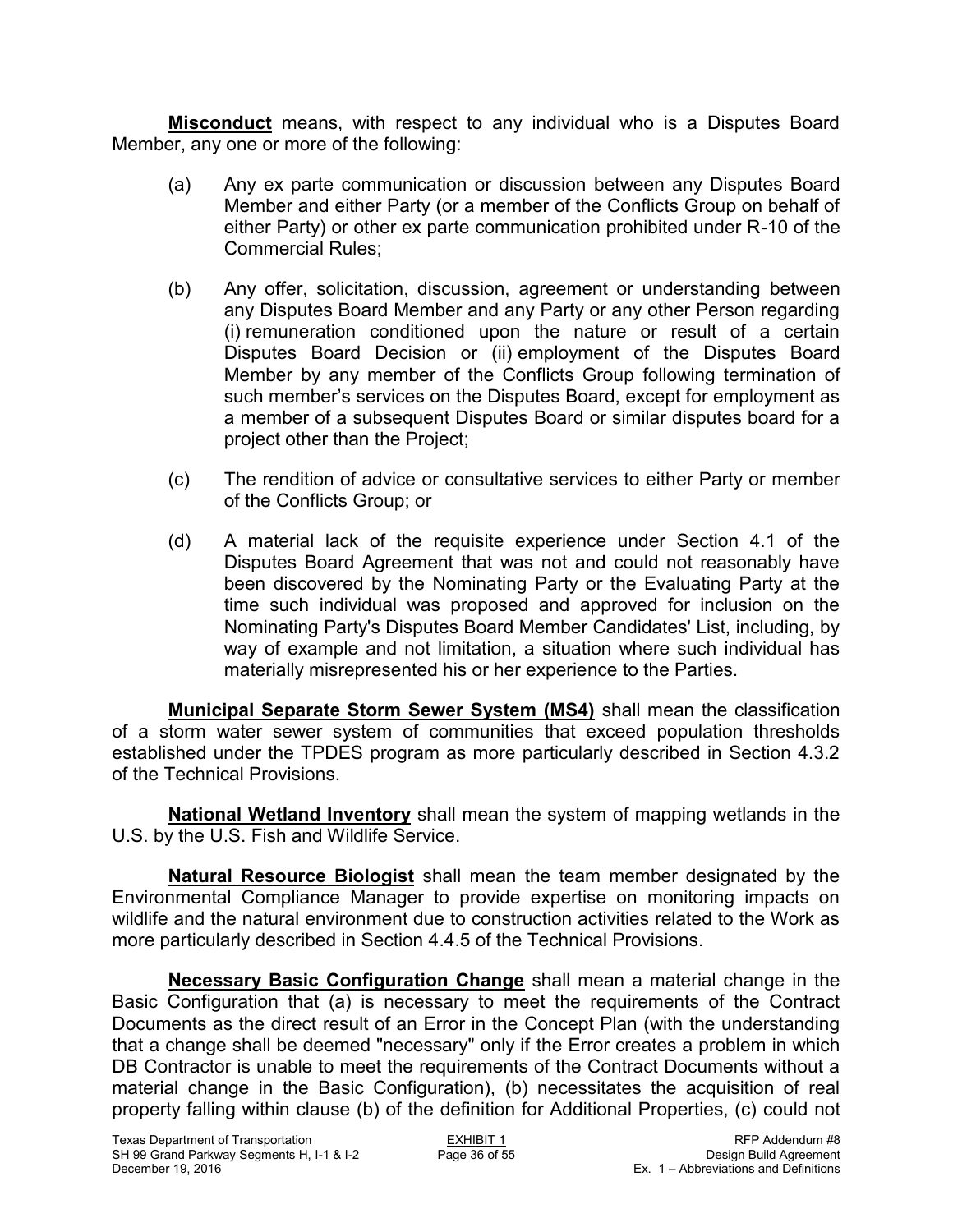**Misconduct** means, with respect to any individual who is a Disputes Board Member, any one or more of the following:

- (a) Any ex parte communication or discussion between any Disputes Board Member and either Party (or a member of the Conflicts Group on behalf of either Party) or other ex parte communication prohibited under R-10 of the Commercial Rules;
- (b) Any offer, solicitation, discussion, agreement or understanding between any Disputes Board Member and any Party or any other Person regarding (i) remuneration conditioned upon the nature or result of a certain Disputes Board Decision or (ii) employment of the Disputes Board Member by any member of the Conflicts Group following termination of such member's services on the Disputes Board, except for employment as a member of a subsequent Disputes Board or similar disputes board for a project other than the Project;
- (c) The rendition of advice or consultative services to either Party or member of the Conflicts Group; or
- (d) A material lack of the requisite experience under Section 4.1 of the Disputes Board Agreement that was not and could not reasonably have been discovered by the Nominating Party or the Evaluating Party at the time such individual was proposed and approved for inclusion on the Nominating Party's Disputes Board Member Candidates' List, including, by way of example and not limitation, a situation where such individual has materially misrepresented his or her experience to the Parties.

**Municipal Separate Storm Sewer System (MS4)** shall mean the classification of a storm water sewer system of communities that exceed population thresholds established under the TPDES program as more particularly described in Section 4.3.2 of the Technical Provisions.

**National Wetland Inventory** shall mean the system of mapping wetlands in the U.S. by the U.S. Fish and Wildlife Service.

**Natural Resource Biologist** shall mean the team member designated by the Environmental Compliance Manager to provide expertise on monitoring impacts on wildlife and the natural environment due to construction activities related to the Work as more particularly described in Section 4.4.5 of the Technical Provisions.

**Necessary Basic Configuration Change** shall mean a material change in the Basic Configuration that (a) is necessary to meet the requirements of the Contract Documents as the direct result of an Error in the Concept Plan (with the understanding that a change shall be deemed "necessary" only if the Error creates a problem in which DB Contractor is unable to meet the requirements of the Contract Documents without a material change in the Basic Configuration), (b) necessitates the acquisition of real property falling within clause (b) of the definition for Additional Properties, (c) could not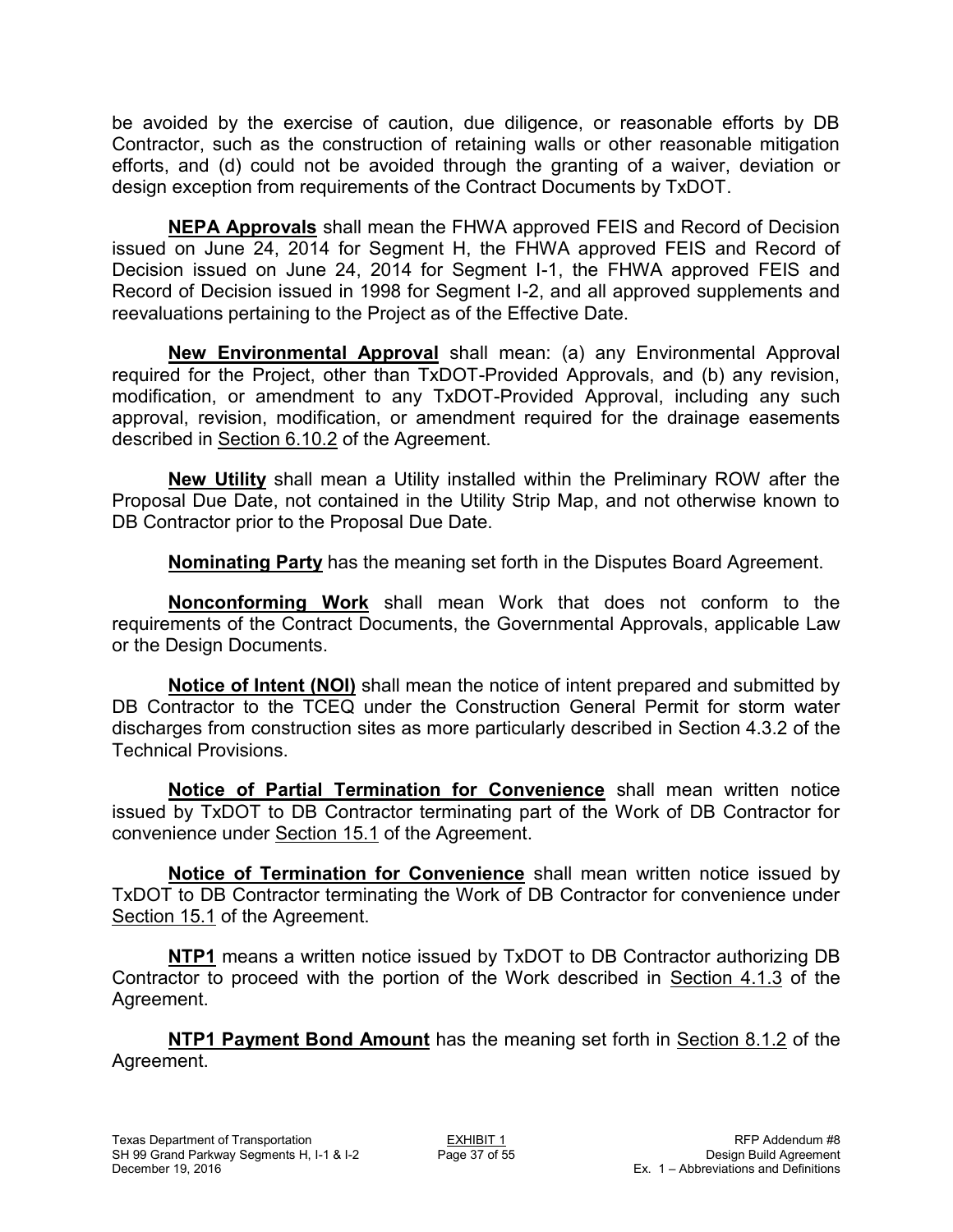be avoided by the exercise of caution, due diligence, or reasonable efforts by DB Contractor, such as the construction of retaining walls or other reasonable mitigation efforts, and (d) could not be avoided through the granting of a waiver, deviation or design exception from requirements of the Contract Documents by TxDOT.

**NEPA Approvals** shall mean the FHWA approved FEIS and Record of Decision issued on June 24, 2014 for Segment H, the FHWA approved FEIS and Record of Decision issued on June 24, 2014 for Segment I-1, the FHWA approved FEIS and Record of Decision issued in 1998 for Segment I-2, and all approved supplements and reevaluations pertaining to the Project as of the Effective Date.

**New Environmental Approval** shall mean: (a) any Environmental Approval required for the Project, other than TxDOT-Provided Approvals, and (b) any revision, modification, or amendment to any TxDOT-Provided Approval, including any such approval, revision, modification, or amendment required for the drainage easements described in Section 6.10.2 of the Agreement.

**New Utility** shall mean a Utility installed within the Preliminary ROW after the Proposal Due Date, not contained in the Utility Strip Map, and not otherwise known to DB Contractor prior to the Proposal Due Date.

**Nominating Party** has the meaning set forth in the Disputes Board Agreement.

**Nonconforming Work** shall mean Work that does not conform to the requirements of the Contract Documents, the Governmental Approvals, applicable Law or the Design Documents.

**Notice of Intent (NOI)** shall mean the notice of intent prepared and submitted by DB Contractor to the TCEQ under the Construction General Permit for storm water discharges from construction sites as more particularly described in Section 4.3.2 of the Technical Provisions.

**Notice of Partial Termination for Convenience** shall mean written notice issued by TxDOT to DB Contractor terminating part of the Work of DB Contractor for convenience under Section 15.1 of the Agreement.

**Notice of Termination for Convenience** shall mean written notice issued by TxDOT to DB Contractor terminating the Work of DB Contractor for convenience under Section 15.1 of the Agreement.

**NTP1** means a written notice issued by TxDOT to DB Contractor authorizing DB Contractor to proceed with the portion of the Work described in Section 4.1.3 of the Agreement.

**NTP1 Payment Bond Amount** has the meaning set forth in Section 8.1.2 of the Agreement.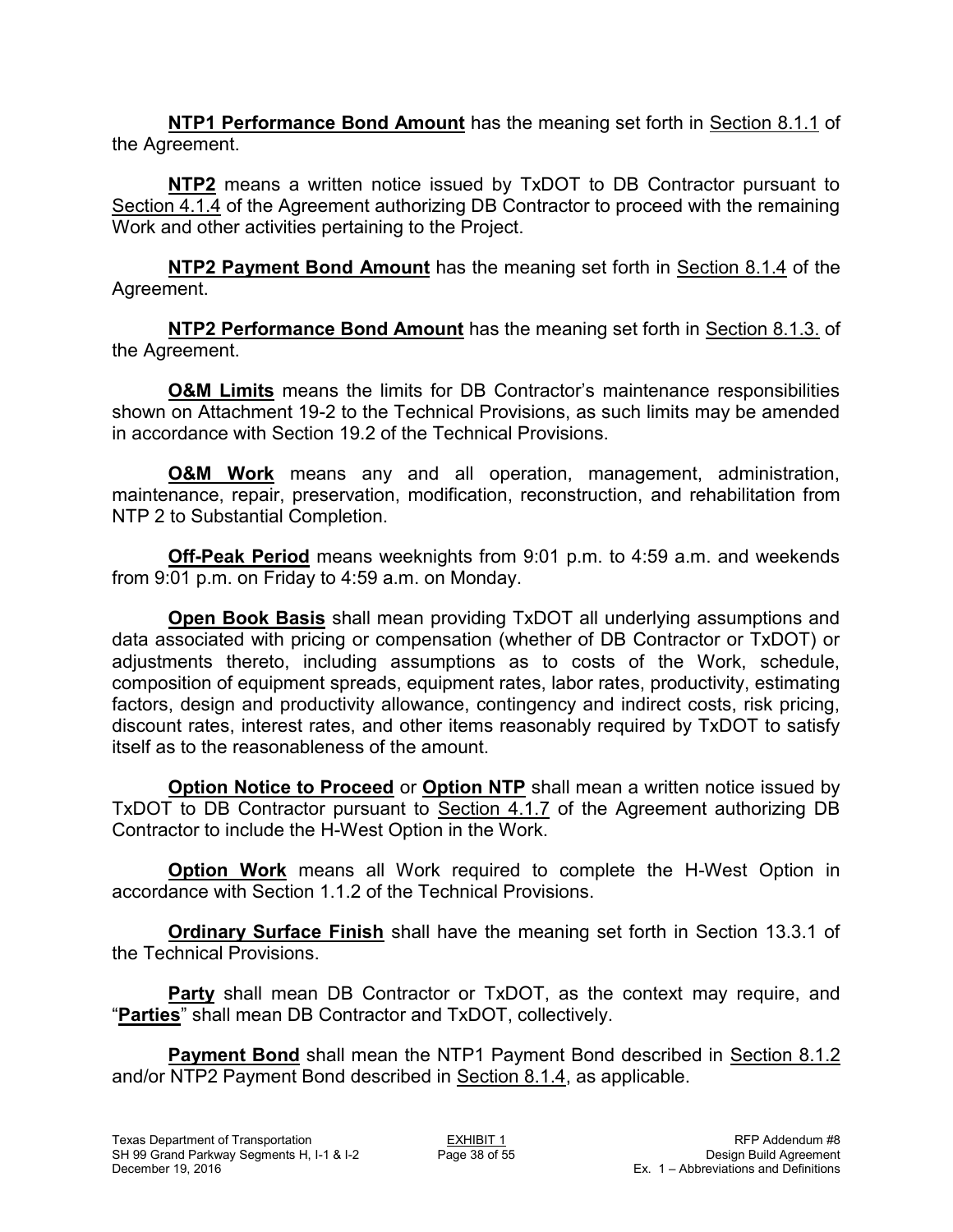**NTP1 Performance Bond Amount** has the meaning set forth in Section 8.1.1 of the Agreement.

**NTP2** means a written notice issued by TxDOT to DB Contractor pursuant to Section 4.1.4 of the Agreement authorizing DB Contractor to proceed with the remaining Work and other activities pertaining to the Project.

**NTP2 Payment Bond Amount** has the meaning set forth in Section 8.1.4 of the Agreement.

**NTP2 Performance Bond Amount** has the meaning set forth in Section 8.1.3. of the Agreement.

**O&M Limits** means the limits for DB Contractor's maintenance responsibilities shown on Attachment 19-2 to the Technical Provisions, as such limits may be amended in accordance with Section 19.2 of the Technical Provisions.

**O&M Work** means any and all operation, management, administration, maintenance, repair, preservation, modification, reconstruction, and rehabilitation from NTP 2 to Substantial Completion.

**Off-Peak Period** means weeknights from 9:01 p.m. to 4:59 a.m. and weekends from 9:01 p.m. on Friday to 4:59 a.m. on Monday.

**Open Book Basis** shall mean providing TxDOT all underlying assumptions and data associated with pricing or compensation (whether of DB Contractor or TxDOT) or adjustments thereto, including assumptions as to costs of the Work, schedule, composition of equipment spreads, equipment rates, labor rates, productivity, estimating factors, design and productivity allowance, contingency and indirect costs, risk pricing, discount rates, interest rates, and other items reasonably required by TxDOT to satisfy itself as to the reasonableness of the amount.

**Option Notice to Proceed** or **Option NTP** shall mean a written notice issued by TxDOT to DB Contractor pursuant to Section 4.1.7 of the Agreement authorizing DB Contractor to include the H-West Option in the Work.

**Option Work** means all Work required to complete the H-West Option in accordance with Section 1.1.2 of the Technical Provisions.

**Ordinary Surface Finish** shall have the meaning set forth in Section 13.3.1 of the Technical Provisions.

**Party** shall mean DB Contractor or TxDOT, as the context may require, and "**Parties**" shall mean DB Contractor and TxDOT, collectively.

**Payment Bond** shall mean the NTP1 Payment Bond described in Section 8.1.2 and/or NTP2 Payment Bond described in Section 8.1.4, as applicable.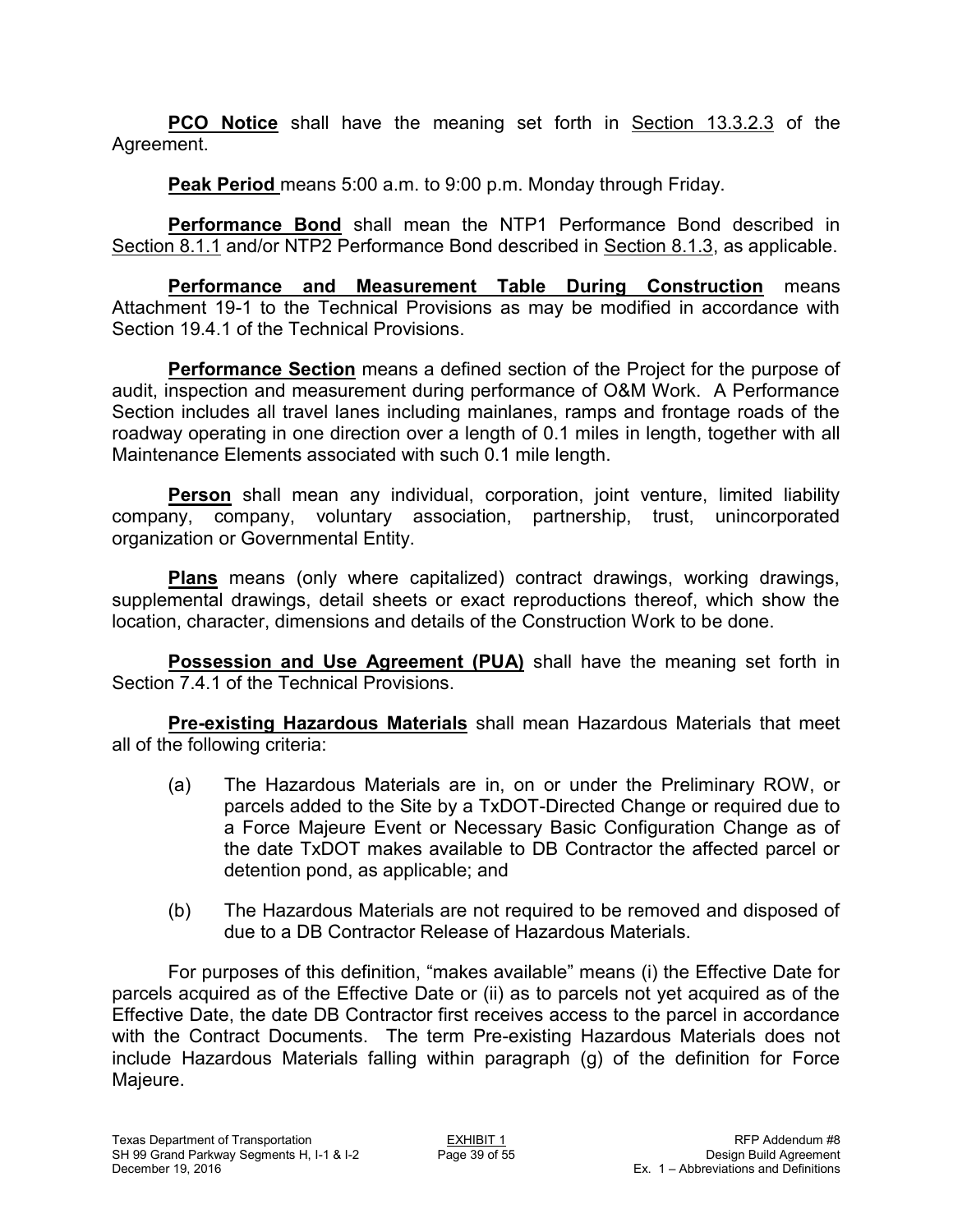**PCO Notice** shall have the meaning set forth in Section 13.3.2.3 of the Agreement.

**Peak Period** means 5:00 a.m. to 9:00 p.m. Monday through Friday.

**Performance Bond** shall mean the NTP1 Performance Bond described in Section 8.1.1 and/or NTP2 Performance Bond described in Section 8.1.3, as applicable.

**Performance and Measurement Table During Construction** means Attachment 19-1 to the Technical Provisions as may be modified in accordance with Section 19.4.1 of the Technical Provisions.

**Performance Section** means a defined section of the Project for the purpose of audit, inspection and measurement during performance of O&M Work. A Performance Section includes all travel lanes including mainlanes, ramps and frontage roads of the roadway operating in one direction over a length of 0.1 miles in length, together with all Maintenance Elements associated with such 0.1 mile length.

**Person** shall mean any individual, corporation, joint venture, limited liability company, company, voluntary association, partnership, trust, unincorporated organization or Governmental Entity.

**Plans** means (only where capitalized) contract drawings, working drawings, supplemental drawings, detail sheets or exact reproductions thereof, which show the location, character, dimensions and details of the Construction Work to be done.

**Possession and Use Agreement (PUA)** shall have the meaning set forth in Section 7.4.1 of the Technical Provisions.

**Pre-existing Hazardous Materials** shall mean Hazardous Materials that meet all of the following criteria:

- (a) The Hazardous Materials are in, on or under the Preliminary ROW, or parcels added to the Site by a TxDOT-Directed Change or required due to a Force Majeure Event or Necessary Basic Configuration Change as of the date TxDOT makes available to DB Contractor the affected parcel or detention pond, as applicable; and
- (b) The Hazardous Materials are not required to be removed and disposed of due to a DB Contractor Release of Hazardous Materials.

For purposes of this definition, "makes available" means (i) the Effective Date for parcels acquired as of the Effective Date or (ii) as to parcels not yet acquired as of the Effective Date, the date DB Contractor first receives access to the parcel in accordance with the Contract Documents. The term Pre-existing Hazardous Materials does not include Hazardous Materials falling within paragraph (g) of the definition for Force Majeure.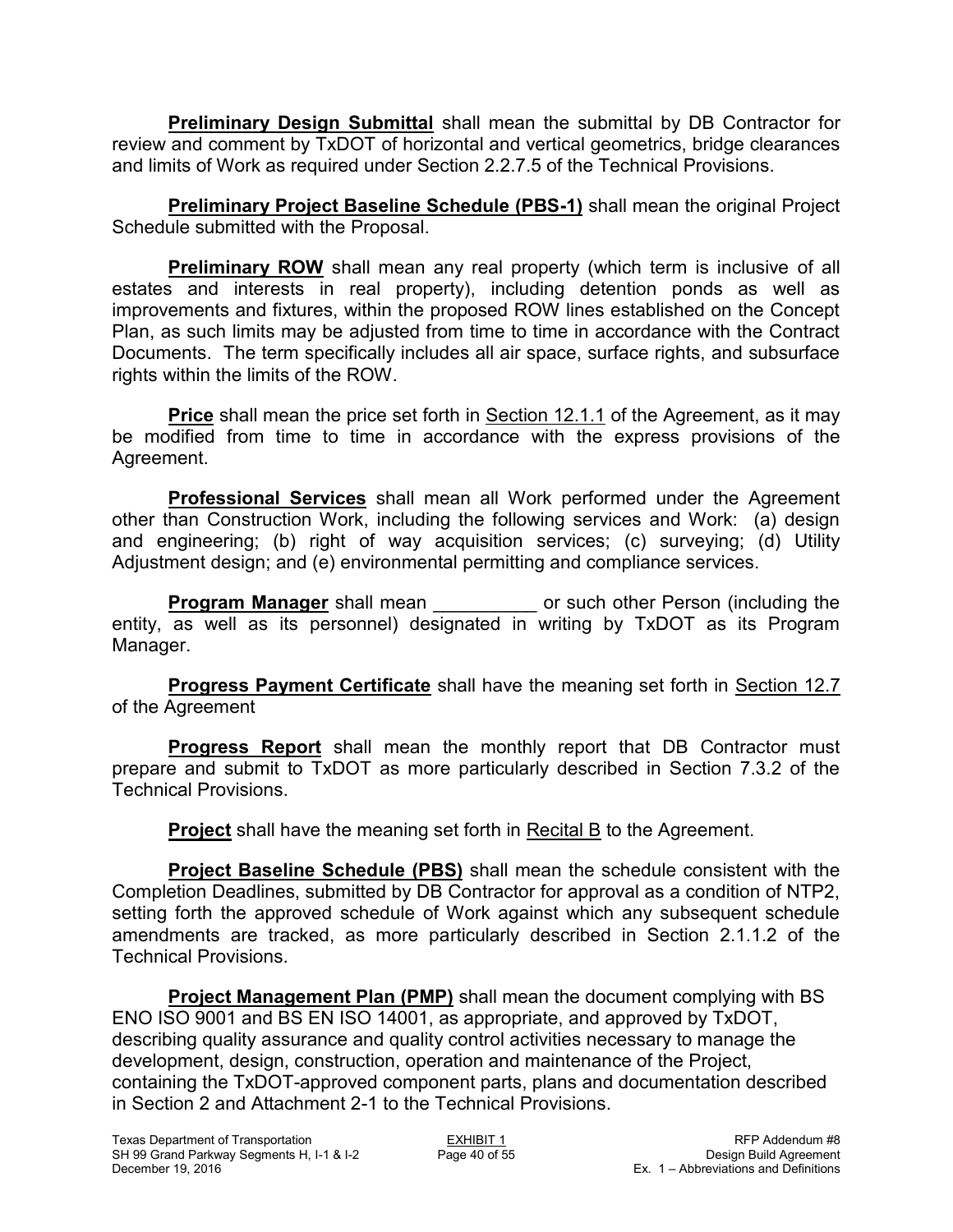**Preliminary Design Submittal** shall mean the submittal by DB Contractor for review and comment by TxDOT of horizontal and vertical geometrics, bridge clearances and limits of Work as required under Section 2.2.7.5 of the Technical Provisions.

**Preliminary Project Baseline Schedule (PBS-1)** shall mean the original Project Schedule submitted with the Proposal.

**Preliminary ROW** shall mean any real property (which term is inclusive of all estates and interests in real property), including detention ponds as well as improvements and fixtures, within the proposed ROW lines established on the Concept Plan, as such limits may be adjusted from time to time in accordance with the Contract Documents. The term specifically includes all air space, surface rights, and subsurface rights within the limits of the ROW.

**Price** shall mean the price set forth in Section 12.1.1 of the Agreement, as it may be modified from time to time in accordance with the express provisions of the Agreement.

**Professional Services** shall mean all Work performed under the Agreement other than Construction Work, including the following services and Work: (a) design and engineering; (b) right of way acquisition services; (c) surveying; (d) Utility Adjustment design; and (e) environmental permitting and compliance services.

**Program Manager** shall mean **be only of such other Person (including the** entity, as well as its personnel) designated in writing by TxDOT as its Program Manager.

**Progress Payment Certificate** shall have the meaning set forth in Section 12.7 of the Agreement

**Progress Report** shall mean the monthly report that DB Contractor must prepare and submit to TxDOT as more particularly described in Section 7.3.2 of the Technical Provisions.

**Project** shall have the meaning set forth in Recital B to the Agreement.

**Project Baseline Schedule (PBS)** shall mean the schedule consistent with the Completion Deadlines, submitted by DB Contractor for approval as a condition of NTP2, setting forth the approved schedule of Work against which any subsequent schedule amendments are tracked, as more particularly described in Section 2.1.1.2 of the Technical Provisions.

 **Project Management Plan (PMP)** shall mean the document complying with BS ENO ISO 9001 and BS EN ISO 14001, as appropriate, and approved by TxDOT, describing quality assurance and quality control activities necessary to manage the development, design, construction, operation and maintenance of the Project, containing the TxDOT-approved component parts, plans and documentation described in Section 2 and Attachment 2-1 to the Technical Provisions.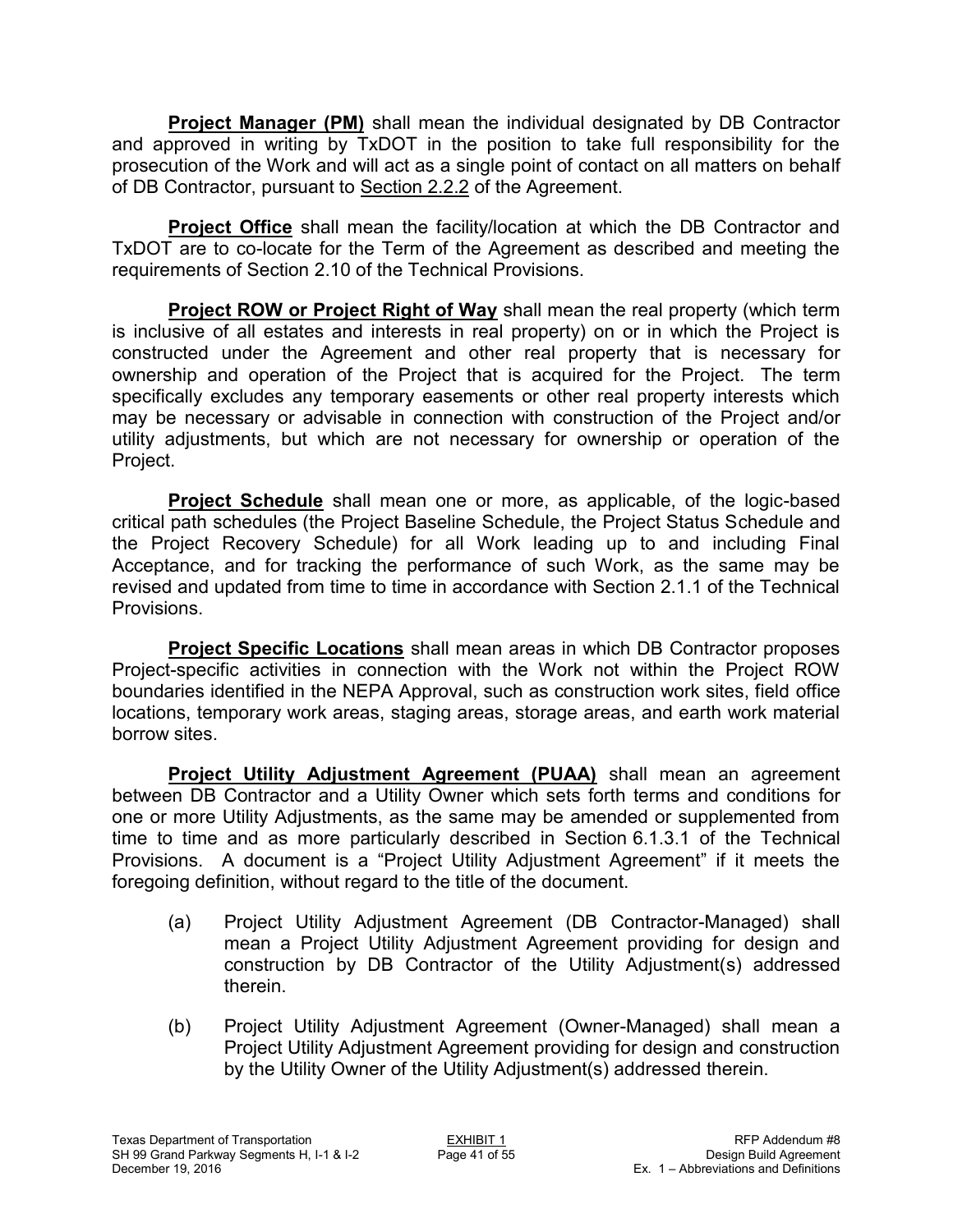**Project Manager (PM)** shall mean the individual designated by DB Contractor and approved in writing by TxDOT in the position to take full responsibility for the prosecution of the Work and will act as a single point of contact on all matters on behalf of DB Contractor, pursuant to Section 2.2.2 of the Agreement.

**Project Office** shall mean the facility/location at which the DB Contractor and TxDOT are to co-locate for the Term of the Agreement as described and meeting the requirements of Section 2.10 of the Technical Provisions.

**Project ROW or Project Right of Way** shall mean the real property (which term is inclusive of all estates and interests in real property) on or in which the Project is constructed under the Agreement and other real property that is necessary for ownership and operation of the Project that is acquired for the Project. The term specifically excludes any temporary easements or other real property interests which may be necessary or advisable in connection with construction of the Project and/or utility adjustments, but which are not necessary for ownership or operation of the Project.

**Project Schedule** shall mean one or more, as applicable, of the logic-based critical path schedules (the Project Baseline Schedule, the Project Status Schedule and the Project Recovery Schedule) for all Work leading up to and including Final Acceptance, and for tracking the performance of such Work, as the same may be revised and updated from time to time in accordance with Section 2.1.1 of the Technical Provisions.

**Project Specific Locations** shall mean areas in which DB Contractor proposes Project-specific activities in connection with the Work not within the Project ROW boundaries identified in the NEPA Approval, such as construction work sites, field office locations, temporary work areas, staging areas, storage areas, and earth work material borrow sites.

**Project Utility Adjustment Agreement (PUAA)** shall mean an agreement between DB Contractor and a Utility Owner which sets forth terms and conditions for one or more Utility Adjustments, as the same may be amended or supplemented from time to time and as more particularly described in Section 6.1.3.1 of the Technical Provisions. A document is a "Project Utility Adjustment Agreement" if it meets the foregoing definition, without regard to the title of the document.

- (a) Project Utility Adjustment Agreement (DB Contractor-Managed) shall mean a Project Utility Adjustment Agreement providing for design and construction by DB Contractor of the Utility Adjustment(s) addressed therein.
- (b) Project Utility Adjustment Agreement (Owner-Managed) shall mean a Project Utility Adjustment Agreement providing for design and construction by the Utility Owner of the Utility Adjustment(s) addressed therein.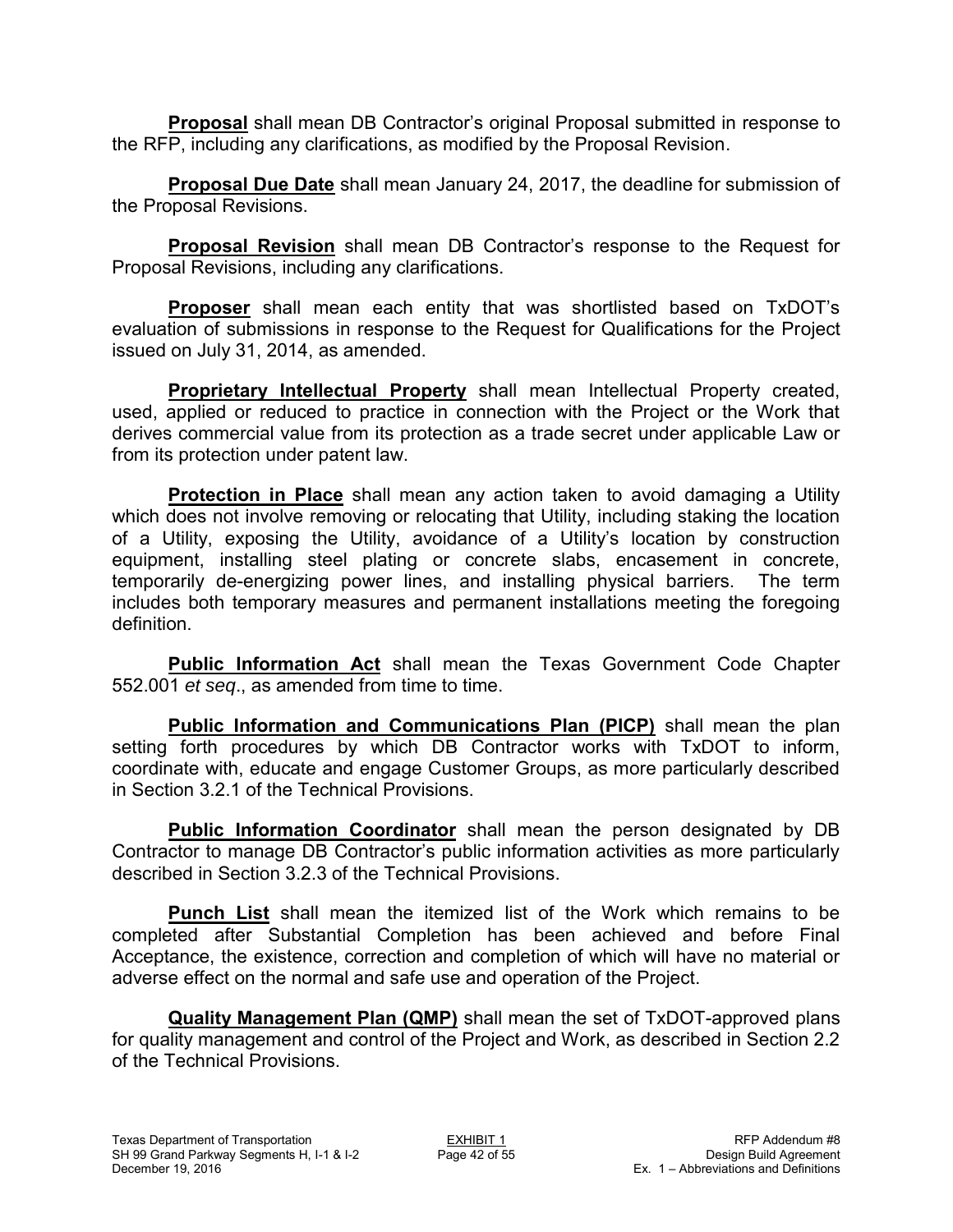**Proposal** shall mean DB Contractor's original Proposal submitted in response to the RFP, including any clarifications, as modified by the Proposal Revision.

**Proposal Due Date** shall mean January 24, 2017, the deadline for submission of the Proposal Revisions.

**Proposal Revision** shall mean DB Contractor's response to the Request for Proposal Revisions, including any clarifications.

**Proposer** shall mean each entity that was shortlisted based on TxDOT's evaluation of submissions in response to the Request for Qualifications for the Project issued on July 31, 2014, as amended.

**Proprietary Intellectual Property** shall mean Intellectual Property created, used, applied or reduced to practice in connection with the Project or the Work that derives commercial value from its protection as a trade secret under applicable Law or from its protection under patent law.

**Protection in Place** shall mean any action taken to avoid damaging a Utility which does not involve removing or relocating that Utility, including staking the location of a Utility, exposing the Utility, avoidance of a Utility's location by construction equipment, installing steel plating or concrete slabs, encasement in concrete, temporarily de-energizing power lines, and installing physical barriers. The term includes both temporary measures and permanent installations meeting the foregoing definition.

**Public Information Act** shall mean the Texas Government Code Chapter 552.001 *et seq*., as amended from time to time.

**Public Information and Communications Plan (PICP)** shall mean the plan setting forth procedures by which DB Contractor works with TxDOT to inform, coordinate with, educate and engage Customer Groups, as more particularly described in Section 3.2.1 of the Technical Provisions.

**Public Information Coordinator** shall mean the person designated by DB Contractor to manage DB Contractor's public information activities as more particularly described in Section 3.2.3 of the Technical Provisions.

**Punch List** shall mean the itemized list of the Work which remains to be completed after Substantial Completion has been achieved and before Final Acceptance, the existence, correction and completion of which will have no material or adverse effect on the normal and safe use and operation of the Project.

**Quality Management Plan (QMP)** shall mean the set of TxDOT-approved plans for quality management and control of the Project and Work, as described in Section 2.2 of the Technical Provisions.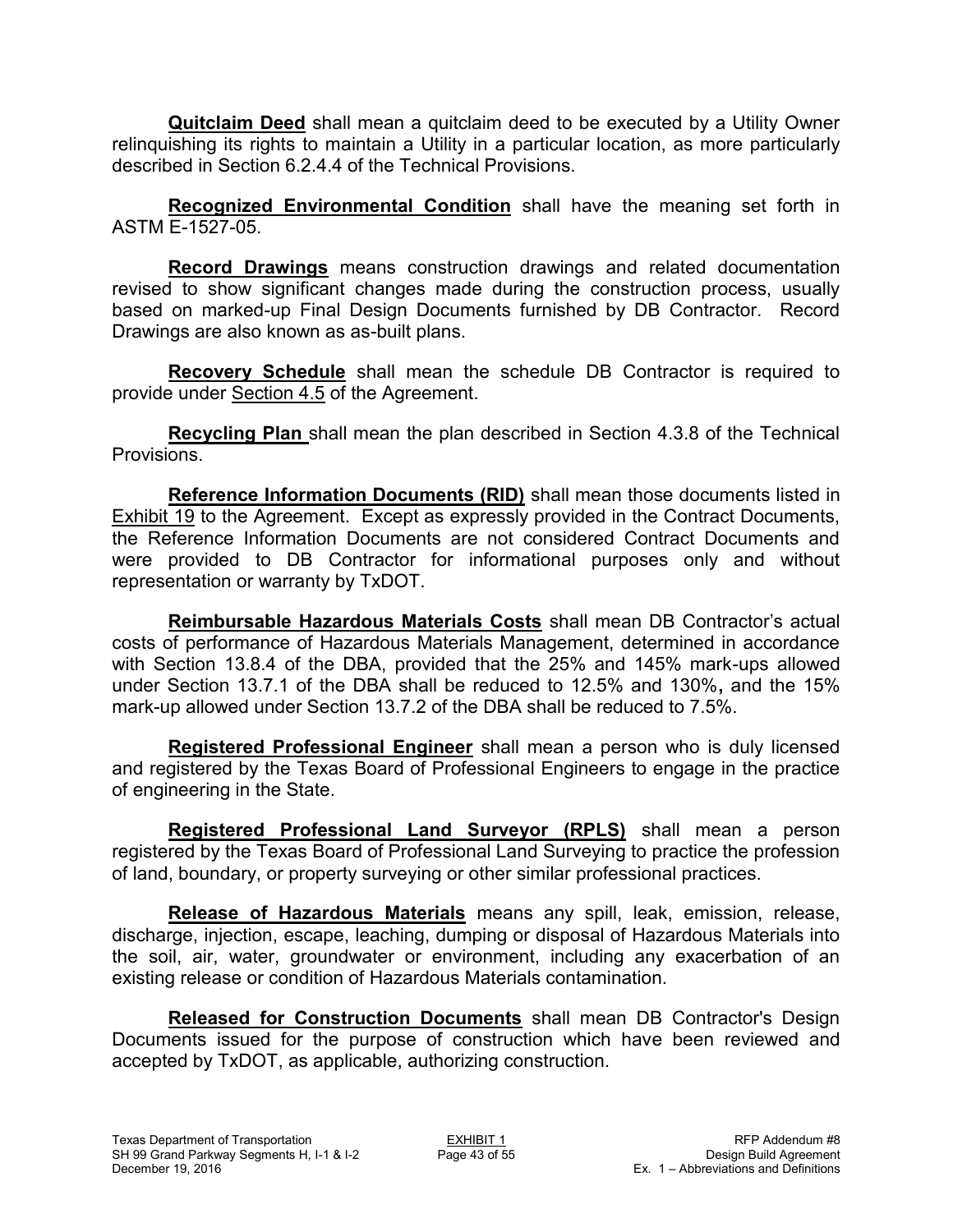**Quitclaim Deed** shall mean a quitclaim deed to be executed by a Utility Owner relinquishing its rights to maintain a Utility in a particular location, as more particularly described in Section 6.2.4.4 of the Technical Provisions.

**Recognized Environmental Condition** shall have the meaning set forth in ASTM E-1527-05.

**Record Drawings** means construction drawings and related documentation revised to show significant changes made during the construction process, usually based on marked-up Final Design Documents furnished by DB Contractor. Record Drawings are also known as as-built plans.

**Recovery Schedule** shall mean the schedule DB Contractor is required to provide under Section 4.5 of the Agreement.

**Recycling Plan** shall mean the plan described in Section 4.3.8 of the Technical Provisions.

**Reference Information Documents (RID)** shall mean those documents listed in Exhibit 19 to the Agreement. Except as expressly provided in the Contract Documents, the Reference Information Documents are not considered Contract Documents and were provided to DB Contractor for informational purposes only and without representation or warranty by TxDOT.

**Reimbursable Hazardous Materials Costs** shall mean DB Contractor's actual costs of performance of Hazardous Materials Management, determined in accordance with Section 13.8.4 of the DBA, provided that the 25% and 145% mark-ups allowed under Section 13.7.1 of the DBA shall be reduced to 12.5% and 130%**,** and the 15% mark-up allowed under Section 13.7.2 of the DBA shall be reduced to 7.5%.

**Registered Professional Engineer** shall mean a person who is duly licensed and registered by the Texas Board of Professional Engineers to engage in the practice of engineering in the State.

**Registered Professional Land Surveyor (RPLS)** shall mean a person registered by the Texas Board of Professional Land Surveying to practice the profession of land, boundary, or property surveying or other similar professional practices.

**Release of Hazardous Materials** means any spill, leak, emission, release, discharge, injection, escape, leaching, dumping or disposal of Hazardous Materials into the soil, air, water, groundwater or environment, including any exacerbation of an existing release or condition of Hazardous Materials contamination.

**Released for Construction Documents** shall mean DB Contractor's Design Documents issued for the purpose of construction which have been reviewed and accepted by TxDOT, as applicable, authorizing construction.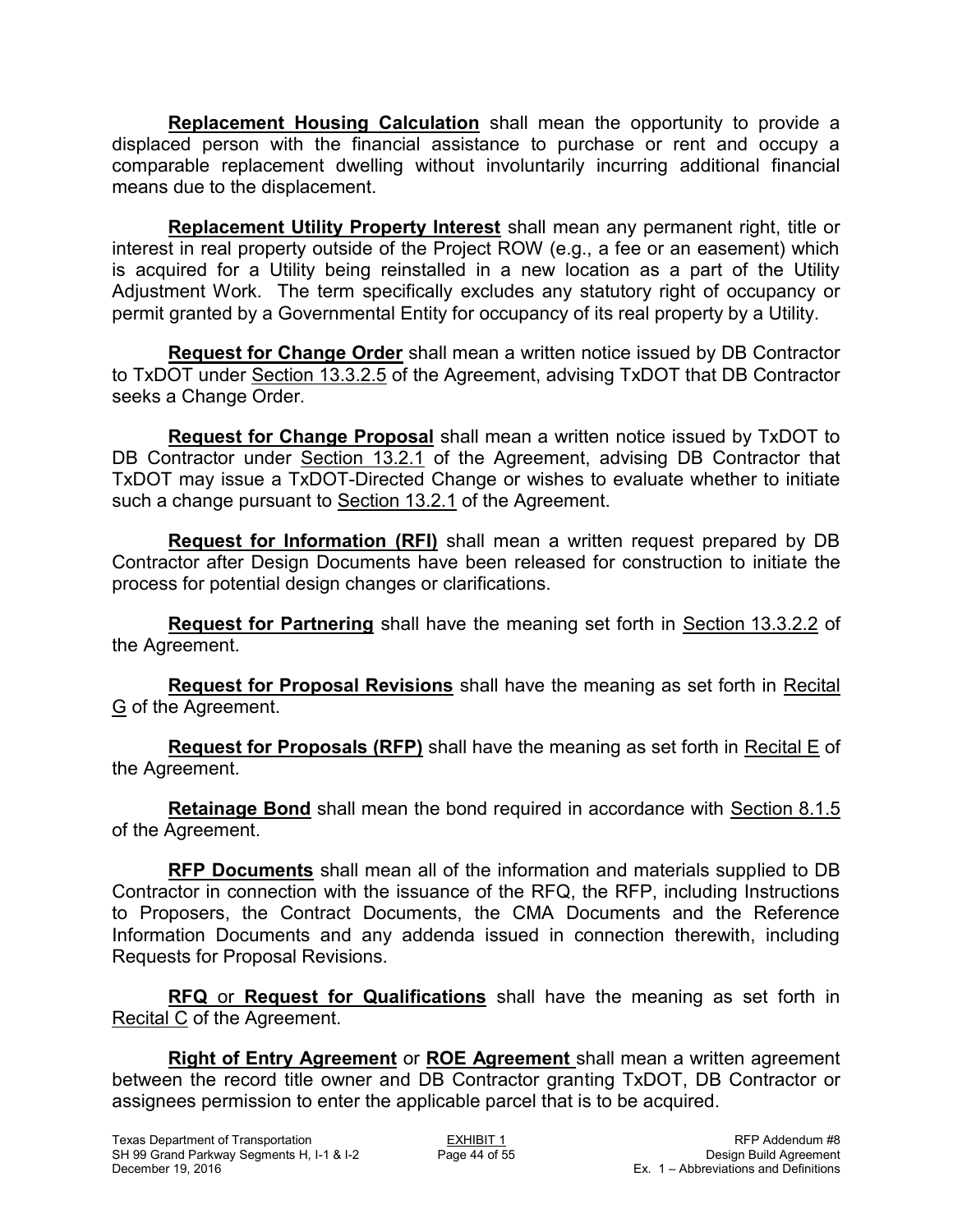**Replacement Housing Calculation** shall mean the opportunity to provide a displaced person with the financial assistance to purchase or rent and occupy a comparable replacement dwelling without involuntarily incurring additional financial means due to the displacement.

**Replacement Utility Property Interest** shall mean any permanent right, title or interest in real property outside of the Project ROW (e.g., a fee or an easement) which is acquired for a Utility being reinstalled in a new location as a part of the Utility Adjustment Work. The term specifically excludes any statutory right of occupancy or permit granted by a Governmental Entity for occupancy of its real property by a Utility.

**Request for Change Order** shall mean a written notice issued by DB Contractor to TxDOT under Section 13.3.2.5 of the Agreement, advising TxDOT that DB Contractor seeks a Change Order.

**Request for Change Proposal** shall mean a written notice issued by TxDOT to DB Contractor under Section 13.2.1 of the Agreement, advising DB Contractor that TxDOT may issue a TxDOT-Directed Change or wishes to evaluate whether to initiate such a change pursuant to Section 13.2.1 of the Agreement.

**Request for Information (RFI)** shall mean a written request prepared by DB Contractor after Design Documents have been released for construction to initiate the process for potential design changes or clarifications.

**Request for Partnering** shall have the meaning set forth in Section 13.3.2.2 of the Agreement.

**Request for Proposal Revisions** shall have the meaning as set forth in Recital G of the Agreement.

**Request for Proposals (RFP)** shall have the meaning as set forth in Recital E of the Agreement.

**Retainage Bond** shall mean the bond required in accordance with Section 8.1.5 of the Agreement.

**RFP Documents** shall mean all of the information and materials supplied to DB Contractor in connection with the issuance of the RFQ, the RFP, including Instructions to Proposers, the Contract Documents, the CMA Documents and the Reference Information Documents and any addenda issued in connection therewith, including Requests for Proposal Revisions.

**RFQ** or **Request for Qualifications** shall have the meaning as set forth in Recital C of the Agreement.

**Right of Entry Agreement** or **ROE Agreement** shall mean a written agreement between the record title owner and DB Contractor granting TxDOT, DB Contractor or assignees permission to enter the applicable parcel that is to be acquired.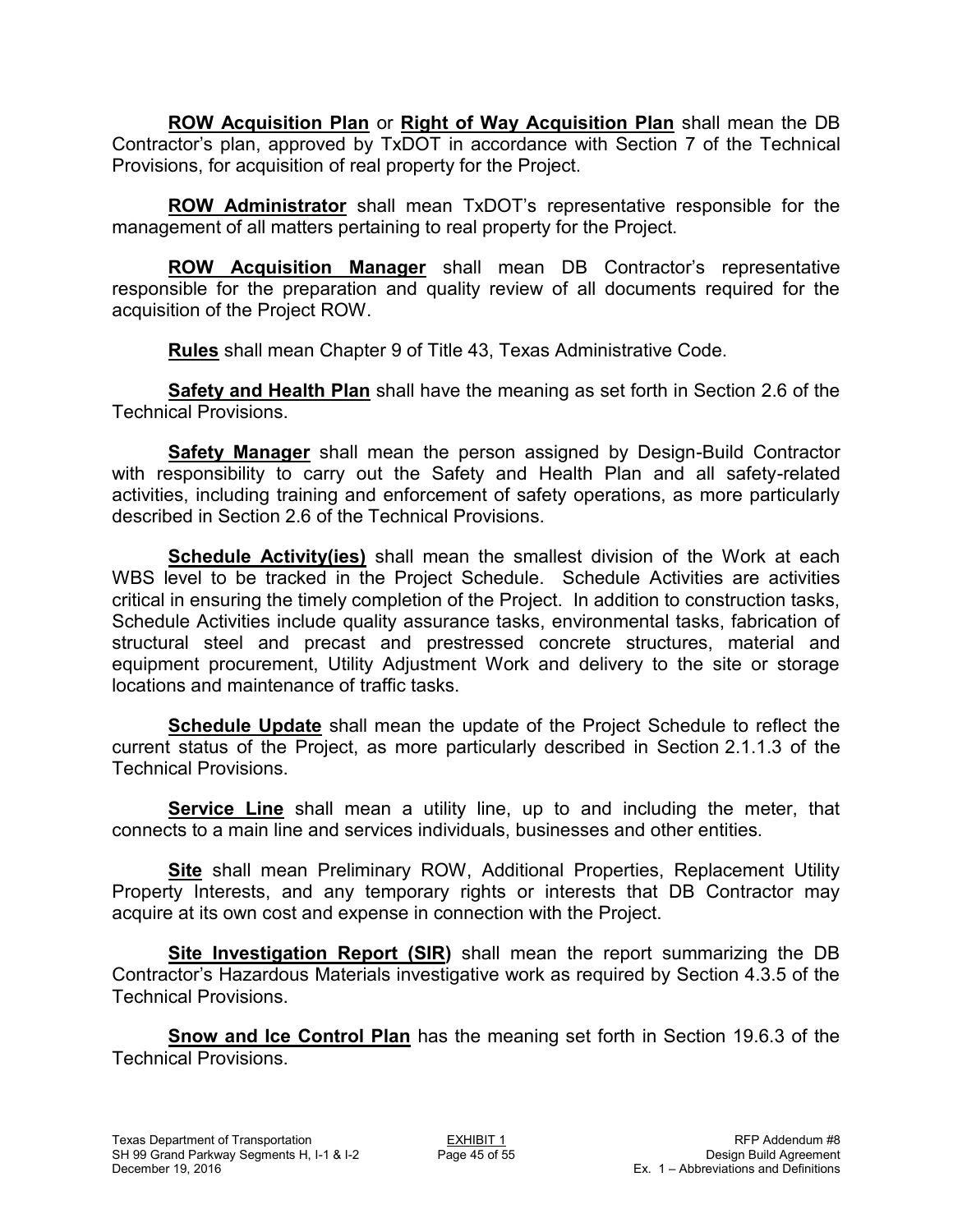**ROW Acquisition Plan** or **Right of Way Acquisition Plan** shall mean the DB Contractor's plan, approved by TxDOT in accordance with Section 7 of the Technical Provisions, for acquisition of real property for the Project.

**ROW Administrator** shall mean TxDOT's representative responsible for the management of all matters pertaining to real property for the Project.

**ROW Acquisition Manager** shall mean DB Contractor's representative responsible for the preparation and quality review of all documents required for the acquisition of the Project ROW.

**Rules** shall mean Chapter 9 of Title 43, Texas Administrative Code.

**Safety and Health Plan** shall have the meaning as set forth in Section 2.6 of the Technical Provisions.

**Safety Manager** shall mean the person assigned by Design-Build Contractor with responsibility to carry out the Safety and Health Plan and all safety-related activities, including training and enforcement of safety operations, as more particularly described in Section 2.6 of the Technical Provisions.

**Schedule Activity(ies)** shall mean the smallest division of the Work at each WBS level to be tracked in the Project Schedule. Schedule Activities are activities critical in ensuring the timely completion of the Project. In addition to construction tasks, Schedule Activities include quality assurance tasks, environmental tasks, fabrication of structural steel and precast and prestressed concrete structures, material and equipment procurement, Utility Adjustment Work and delivery to the site or storage locations and maintenance of traffic tasks.

**Schedule Update** shall mean the update of the Project Schedule to reflect the current status of the Project, as more particularly described in Section 2.1.1.3 of the Technical Provisions.

**Service Line** shall mean a utility line, up to and including the meter, that connects to a main line and services individuals, businesses and other entities.

**Site** shall mean Preliminary ROW, Additional Properties, Replacement Utility Property Interests, and any temporary rights or interests that DB Contractor may acquire at its own cost and expense in connection with the Project.

**Site Investigation Report (SIR)** shall mean the report summarizing the DB Contractor's Hazardous Materials investigative work as required by Section 4.3.5 of the Technical Provisions.

**Snow and Ice Control Plan** has the meaning set forth in Section 19.6.3 of the Technical Provisions.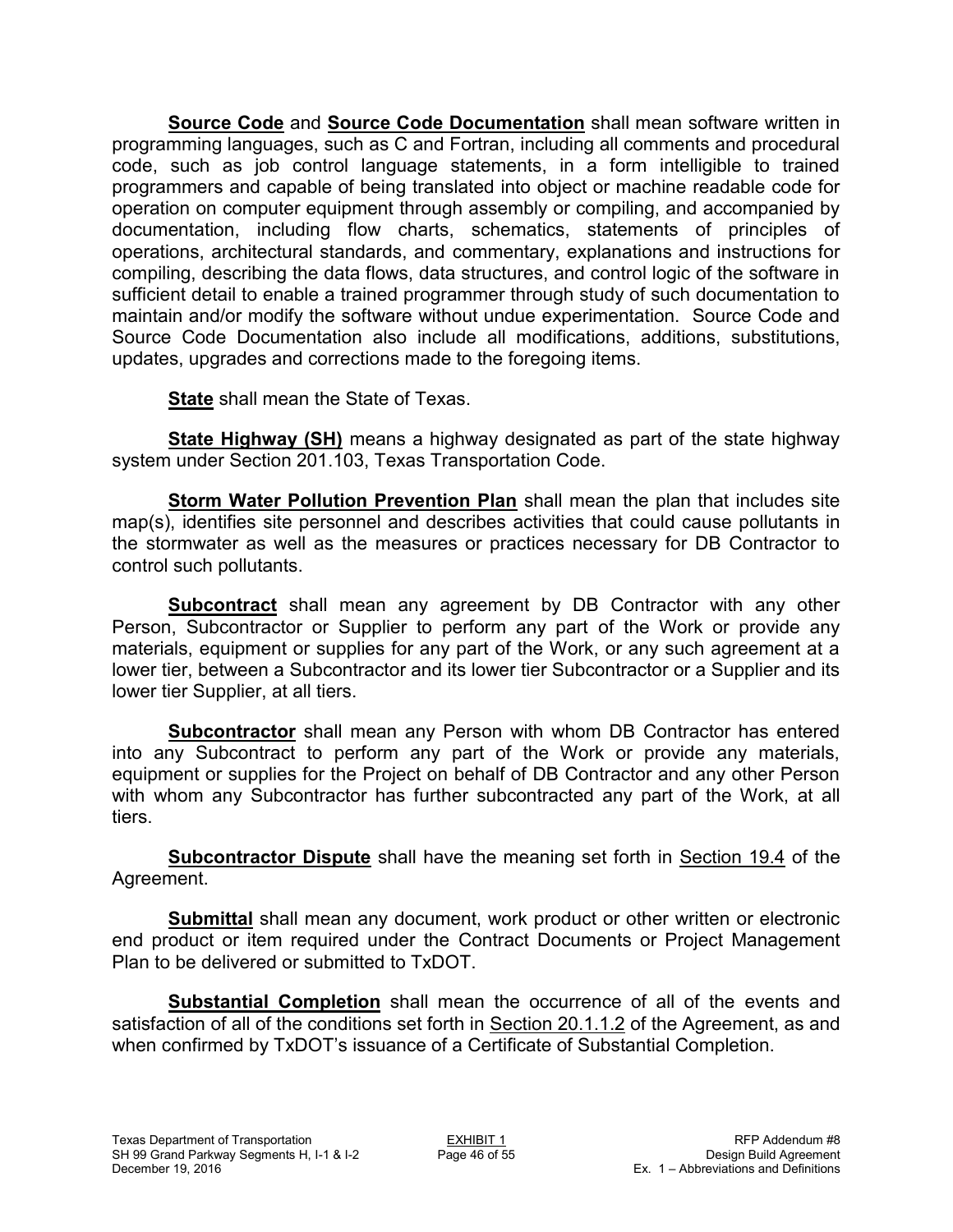**Source Code** and **Source Code Documentation** shall mean software written in programming languages, such as C and Fortran, including all comments and procedural code, such as job control language statements, in a form intelligible to trained programmers and capable of being translated into object or machine readable code for operation on computer equipment through assembly or compiling, and accompanied by documentation, including flow charts, schematics, statements of principles of operations, architectural standards, and commentary, explanations and instructions for compiling, describing the data flows, data structures, and control logic of the software in sufficient detail to enable a trained programmer through study of such documentation to maintain and/or modify the software without undue experimentation. Source Code and Source Code Documentation also include all modifications, additions, substitutions, updates, upgrades and corrections made to the foregoing items.

**State** shall mean the State of Texas.

**State Highway (SH)** means a highway designated as part of the state highway system under Section 201.103, Texas Transportation Code.

**Storm Water Pollution Prevention Plan** shall mean the plan that includes site map(s), identifies site personnel and describes activities that could cause pollutants in the stormwater as well as the measures or practices necessary for DB Contractor to control such pollutants.

**Subcontract** shall mean any agreement by DB Contractor with any other Person, Subcontractor or Supplier to perform any part of the Work or provide any materials, equipment or supplies for any part of the Work, or any such agreement at a lower tier, between a Subcontractor and its lower tier Subcontractor or a Supplier and its lower tier Supplier, at all tiers.

**Subcontractor** shall mean any Person with whom DB Contractor has entered into any Subcontract to perform any part of the Work or provide any materials, equipment or supplies for the Project on behalf of DB Contractor and any other Person with whom any Subcontractor has further subcontracted any part of the Work, at all tiers.

**Subcontractor Dispute** shall have the meaning set forth in Section 19.4 of the Agreement.

**Submittal** shall mean any document, work product or other written or electronic end product or item required under the Contract Documents or Project Management Plan to be delivered or submitted to TxDOT.

**Substantial Completion** shall mean the occurrence of all of the events and satisfaction of all of the conditions set forth in Section 20.1.1.2 of the Agreement, as and when confirmed by TxDOT's issuance of a Certificate of Substantial Completion.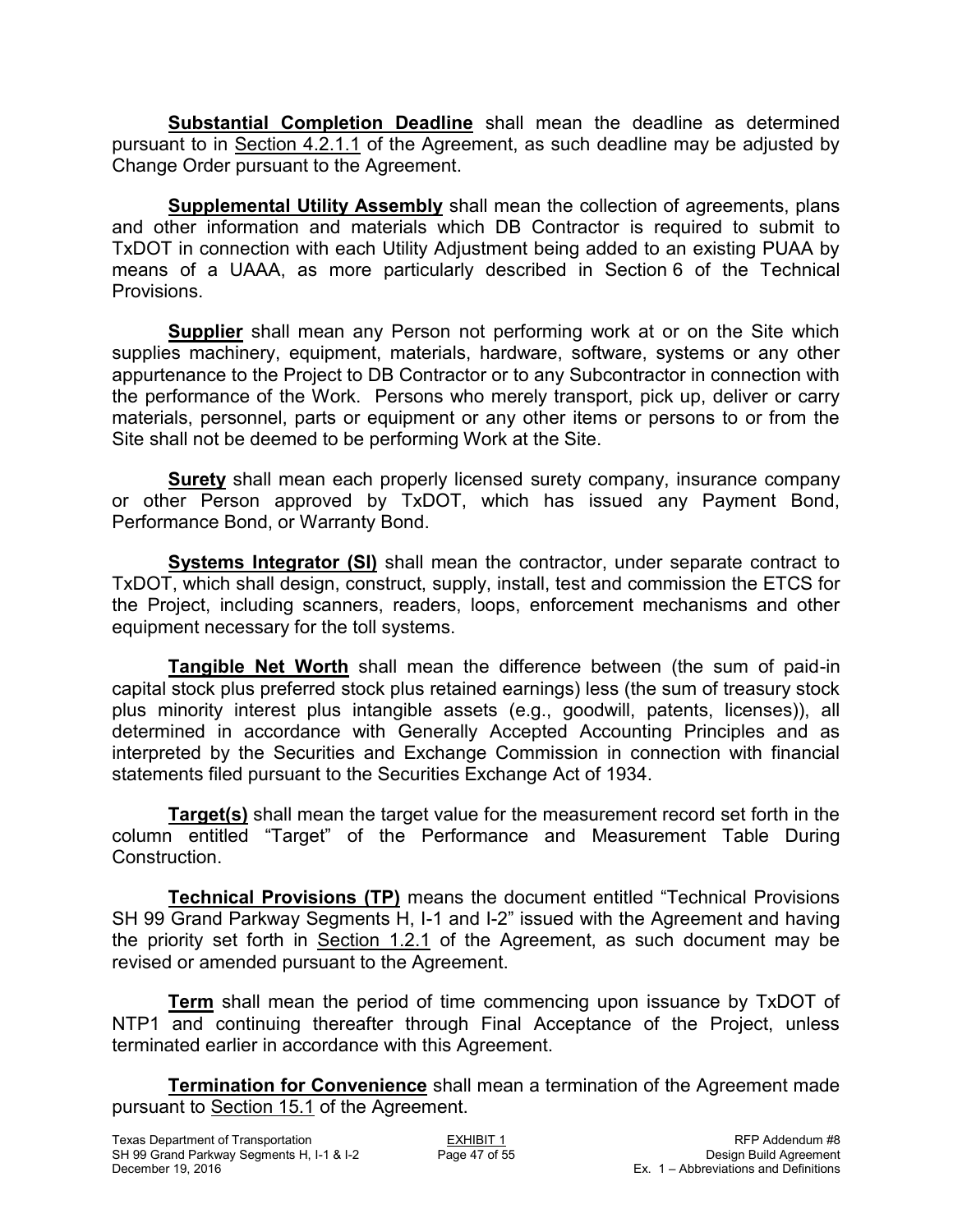**Substantial Completion Deadline** shall mean the deadline as determined pursuant to in Section 4.2.1.1 of the Agreement, as such deadline may be adjusted by Change Order pursuant to the Agreement.

**Supplemental Utility Assembly** shall mean the collection of agreements, plans and other information and materials which DB Contractor is required to submit to TxDOT in connection with each Utility Adjustment being added to an existing PUAA by means of a UAAA, as more particularly described in Section 6 of the Technical Provisions.

**Supplier** shall mean any Person not performing work at or on the Site which supplies machinery, equipment, materials, hardware, software, systems or any other appurtenance to the Project to DB Contractor or to any Subcontractor in connection with the performance of the Work. Persons who merely transport, pick up, deliver or carry materials, personnel, parts or equipment or any other items or persons to or from the Site shall not be deemed to be performing Work at the Site.

**Surety** shall mean each properly licensed surety company, insurance company or other Person approved by TxDOT, which has issued any Payment Bond, Performance Bond, or Warranty Bond.

**Systems Integrator (SI)** shall mean the contractor, under separate contract to TxDOT, which shall design, construct, supply, install, test and commission the ETCS for the Project, including scanners, readers, loops, enforcement mechanisms and other equipment necessary for the toll systems.

**Tangible Net Worth** shall mean the difference between (the sum of paid-in capital stock plus preferred stock plus retained earnings) less (the sum of treasury stock plus minority interest plus intangible assets (e.g., goodwill, patents, licenses)), all determined in accordance with Generally Accepted Accounting Principles and as interpreted by the Securities and Exchange Commission in connection with financial statements filed pursuant to the Securities Exchange Act of 1934.

**Target(s)** shall mean the target value for the measurement record set forth in the column entitled "Target" of the Performance and Measurement Table During Construction.

**Technical Provisions (TP)** means the document entitled "Technical Provisions SH 99 Grand Parkway Segments H, I-1 and I-2" issued with the Agreement and having the priority set forth in Section 1.2.1 of the Agreement, as such document may be revised or amended pursuant to the Agreement.

**Term** shall mean the period of time commencing upon issuance by TxDOT of NTP1 and continuing thereafter through Final Acceptance of the Project, unless terminated earlier in accordance with this Agreement.

**Termination for Convenience** shall mean a termination of the Agreement made pursuant to Section 15.1 of the Agreement.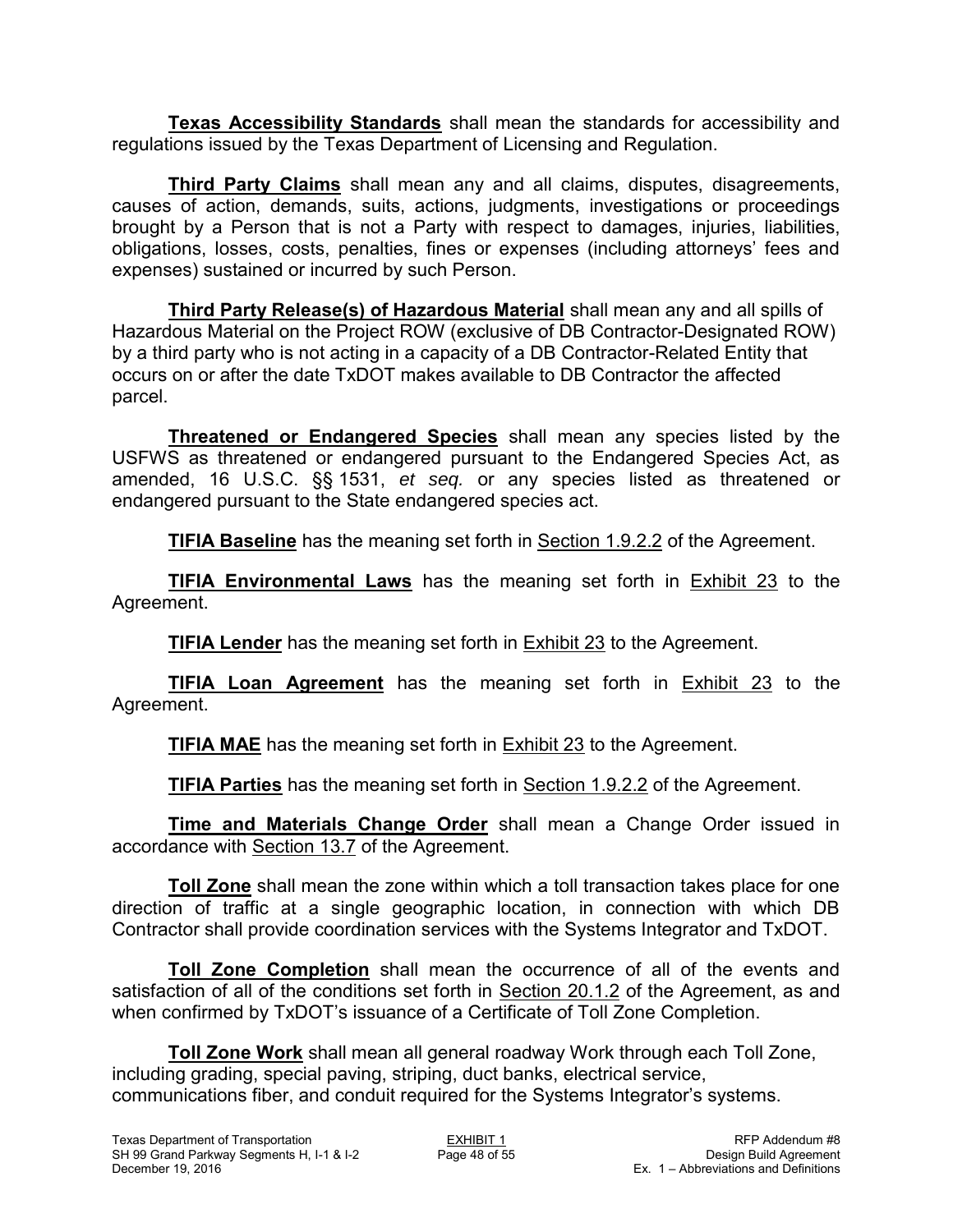**Texas Accessibility Standards** shall mean the standards for accessibility and regulations issued by the Texas Department of Licensing and Regulation.

**Third Party Claims** shall mean any and all claims, disputes, disagreements, causes of action, demands, suits, actions, judgments, investigations or proceedings brought by a Person that is not a Party with respect to damages, injuries, liabilities, obligations, losses, costs, penalties, fines or expenses (including attorneys' fees and expenses) sustained or incurred by such Person.

**Third Party Release(s) of Hazardous Material** shall mean any and all spills of Hazardous Material on the Project ROW (exclusive of DB Contractor-Designated ROW) by a third party who is not acting in a capacity of a DB Contractor-Related Entity that occurs on or after the date TxDOT makes available to DB Contractor the affected parcel.

**Threatened or Endangered Species** shall mean any species listed by the USFWS as threatened or endangered pursuant to the Endangered Species Act, as amended, 16 U.S.C. §§ 1531, *et seq.* or any species listed as threatened or endangered pursuant to the State endangered species act.

**TIFIA Baseline** has the meaning set forth in Section 1.9.2.2 of the Agreement.

**TIFIA Environmental Laws** has the meaning set forth in Exhibit 23 to the Agreement.

**TIFIA Lender** has the meaning set forth in Exhibit 23 to the Agreement.

**TIFIA Loan Agreement** has the meaning set forth in Exhibit 23 to the Agreement.

**TIFIA MAE** has the meaning set forth in Exhibit 23 to the Agreement.

**TIFIA Parties** has the meaning set forth in Section 1.9.2.2 of the Agreement.

**Time and Materials Change Order** shall mean a Change Order issued in accordance with Section 13.7 of the Agreement.

**Toll Zone** shall mean the zone within which a toll transaction takes place for one direction of traffic at a single geographic location, in connection with which DB Contractor shall provide coordination services with the Systems Integrator and TxDOT.

**Toll Zone Completion** shall mean the occurrence of all of the events and satisfaction of all of the conditions set forth in Section 20.1.2 of the Agreement, as and when confirmed by TxDOT's issuance of a Certificate of Toll Zone Completion.

**Toll Zone Work** shall mean all general roadway Work through each Toll Zone, including grading, special paving, striping, duct banks, electrical service, communications fiber, and conduit required for the Systems Integrator's systems.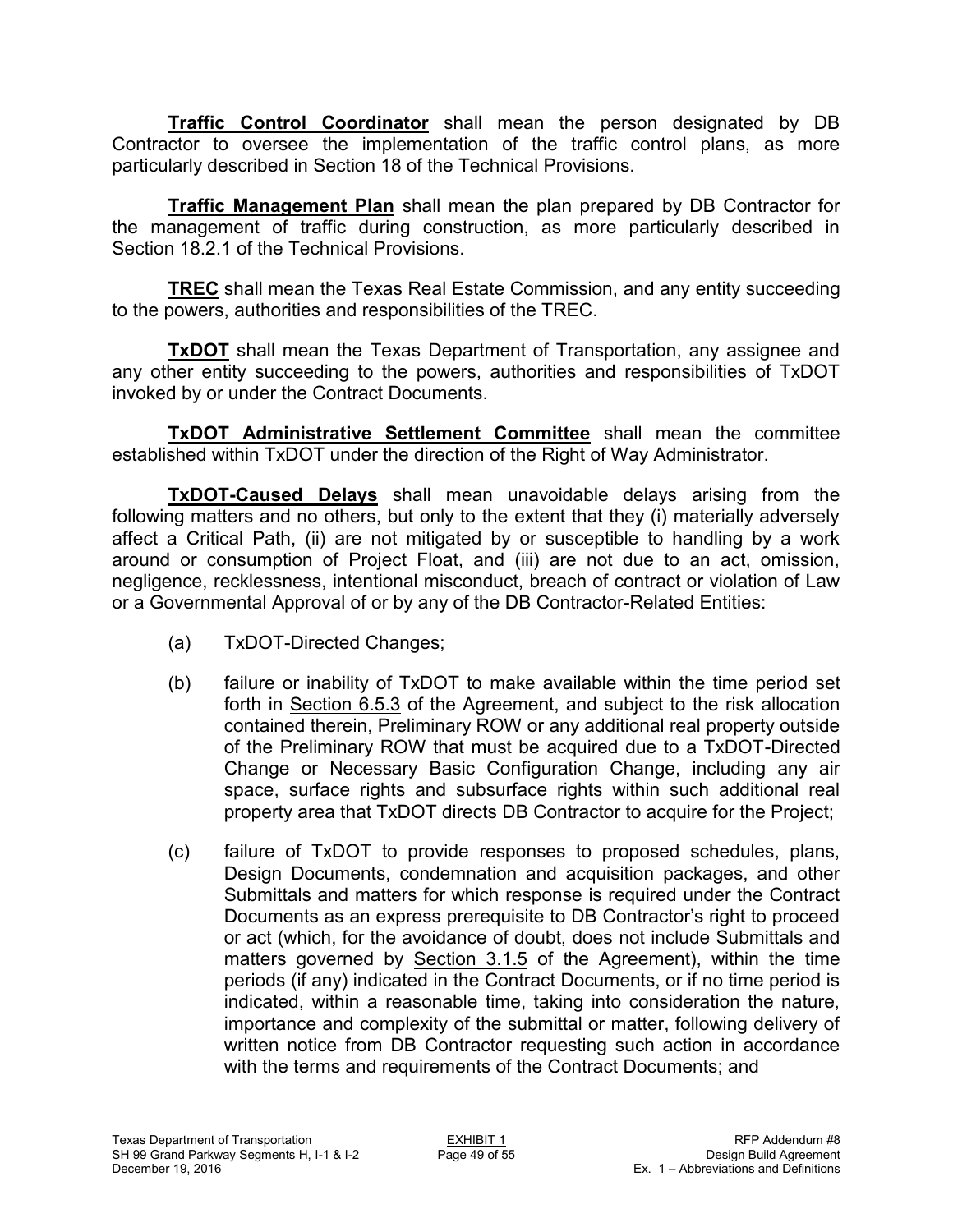**Traffic Control Coordinator** shall mean the person designated by DB Contractor to oversee the implementation of the traffic control plans, as more particularly described in Section 18 of the Technical Provisions.

**Traffic Management Plan** shall mean the plan prepared by DB Contractor for the management of traffic during construction, as more particularly described in Section 18.2.1 of the Technical Provisions.

**TREC** shall mean the Texas Real Estate Commission, and any entity succeeding to the powers, authorities and responsibilities of the TREC.

**TxDOT** shall mean the Texas Department of Transportation, any assignee and any other entity succeeding to the powers, authorities and responsibilities of TxDOT invoked by or under the Contract Documents.

**TxDOT Administrative Settlement Committee** shall mean the committee established within TxDOT under the direction of the Right of Way Administrator.

**TxDOT-Caused Delays** shall mean unavoidable delays arising from the following matters and no others, but only to the extent that they (i) materially adversely affect a Critical Path, (ii) are not mitigated by or susceptible to handling by a work around or consumption of Project Float, and (iii) are not due to an act, omission, negligence, recklessness, intentional misconduct, breach of contract or violation of Law or a Governmental Approval of or by any of the DB Contractor-Related Entities:

- (a) TxDOT-Directed Changes;
- (b) failure or inability of TxDOT to make available within the time period set forth in Section 6.5.3 of the Agreement, and subject to the risk allocation contained therein, Preliminary ROW or any additional real property outside of the Preliminary ROW that must be acquired due to a TxDOT-Directed Change or Necessary Basic Configuration Change, including any air space, surface rights and subsurface rights within such additional real property area that TxDOT directs DB Contractor to acquire for the Project;
- (c) failure of TxDOT to provide responses to proposed schedules, plans, Design Documents, condemnation and acquisition packages, and other Submittals and matters for which response is required under the Contract Documents as an express prerequisite to DB Contractor's right to proceed or act (which, for the avoidance of doubt, does not include Submittals and matters governed by Section 3.1.5 of the Agreement), within the time periods (if any) indicated in the Contract Documents, or if no time period is indicated, within a reasonable time, taking into consideration the nature, importance and complexity of the submittal or matter, following delivery of written notice from DB Contractor requesting such action in accordance with the terms and requirements of the Contract Documents; and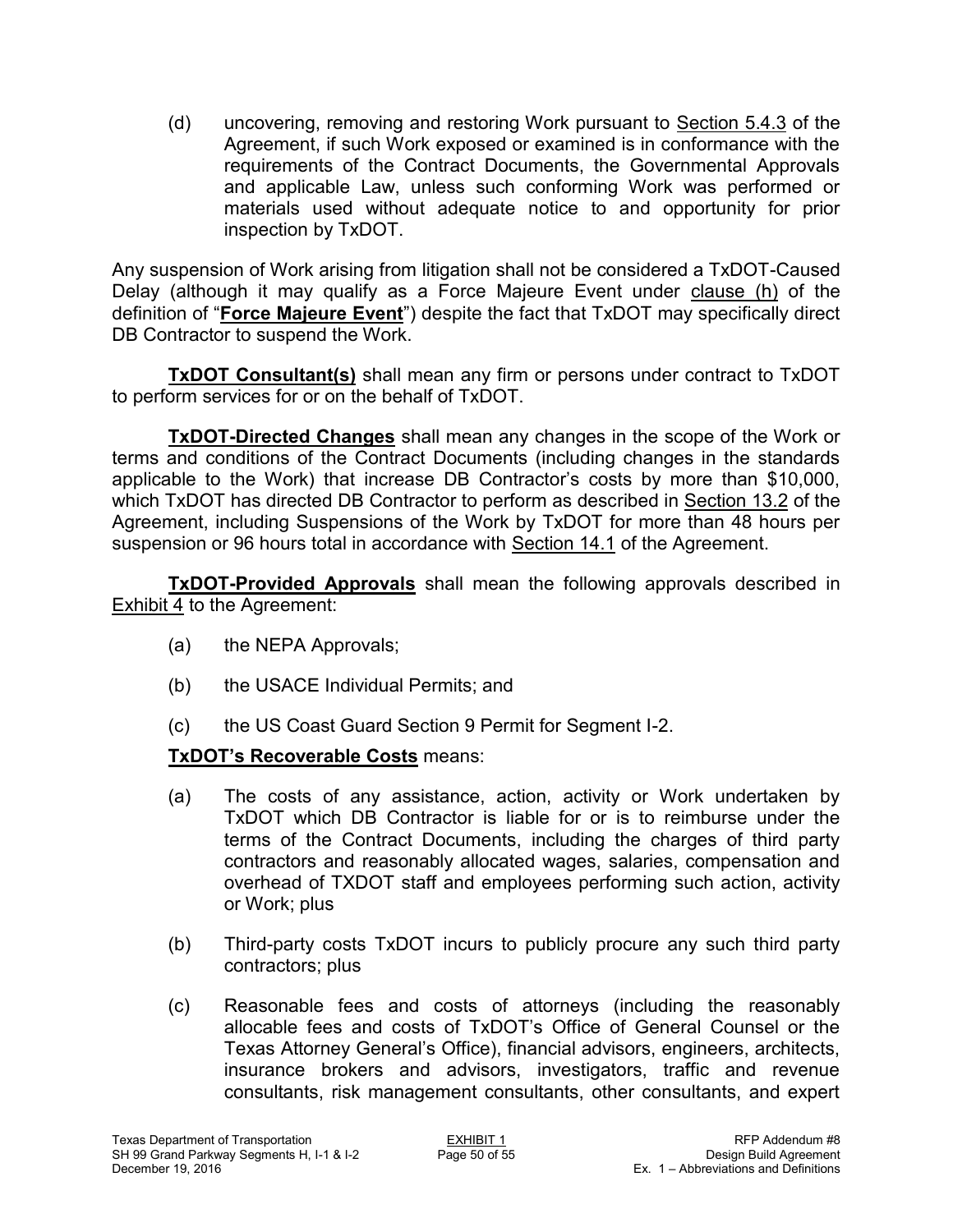(d) uncovering, removing and restoring Work pursuant to Section 5.4.3 of the Agreement, if such Work exposed or examined is in conformance with the requirements of the Contract Documents, the Governmental Approvals and applicable Law, unless such conforming Work was performed or materials used without adequate notice to and opportunity for prior inspection by TxDOT.

Any suspension of Work arising from litigation shall not be considered a TxDOT-Caused Delay (although it may qualify as a Force Majeure Event under clause (h) of the definition of "**Force Majeure Event**") despite the fact that TxDOT may specifically direct DB Contractor to suspend the Work.

**TxDOT Consultant(s)** shall mean any firm or persons under contract to TxDOT to perform services for or on the behalf of TxDOT.

**TxDOT-Directed Changes** shall mean any changes in the scope of the Work or terms and conditions of the Contract Documents (including changes in the standards applicable to the Work) that increase DB Contractor's costs by more than \$10,000, which TxDOT has directed DB Contractor to perform as described in Section 13.2 of the Agreement, including Suspensions of the Work by TxDOT for more than 48 hours per suspension or 96 hours total in accordance with Section 14.1 of the Agreement.

**TxDOT-Provided Approvals** shall mean the following approvals described in Exhibit 4 to the Agreement:

- (a) the NEPA Approvals;
- (b) the USACE Individual Permits; and
- (c) the US Coast Guard Section 9 Permit for Segment I-2.

## **TxDOT's Recoverable Costs** means:

- (a) The costs of any assistance, action, activity or Work undertaken by TxDOT which DB Contractor is liable for or is to reimburse under the terms of the Contract Documents, including the charges of third party contractors and reasonably allocated wages, salaries, compensation and overhead of TXDOT staff and employees performing such action, activity or Work; plus
- (b) Third-party costs TxDOT incurs to publicly procure any such third party contractors; plus
- (c) Reasonable fees and costs of attorneys (including the reasonably allocable fees and costs of TxDOT's Office of General Counsel or the Texas Attorney General's Office), financial advisors, engineers, architects, insurance brokers and advisors, investigators, traffic and revenue consultants, risk management consultants, other consultants, and expert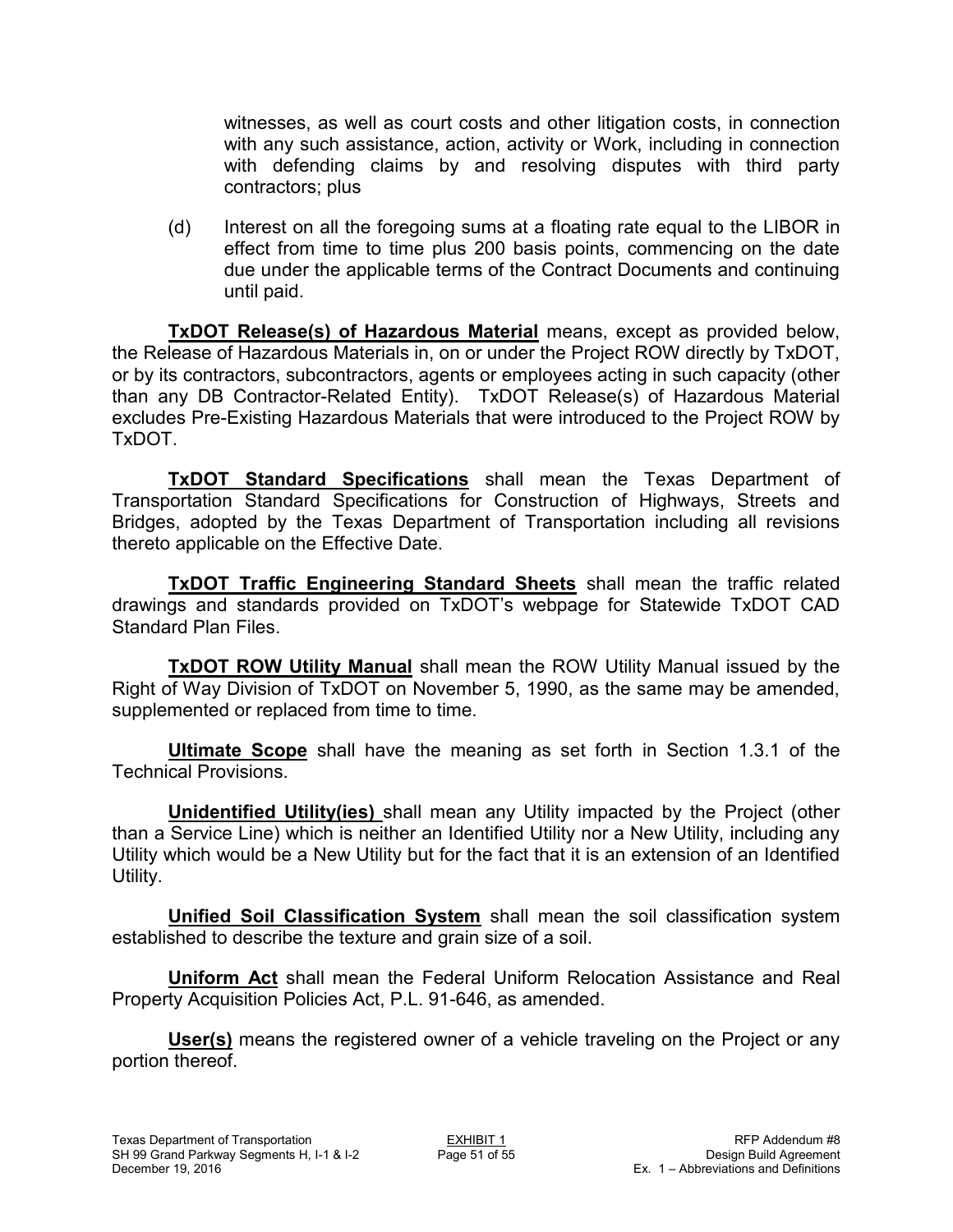witnesses, as well as court costs and other litigation costs, in connection with any such assistance, action, activity or Work, including in connection with defending claims by and resolving disputes with third party contractors; plus

(d) Interest on all the foregoing sums at a floating rate equal to the LIBOR in effect from time to time plus 200 basis points, commencing on the date due under the applicable terms of the Contract Documents and continuing until paid.

**TxDOT Release(s) of Hazardous Material** means, except as provided below, the Release of Hazardous Materials in, on or under the Project ROW directly by TxDOT, or by its contractors, subcontractors, agents or employees acting in such capacity (other than any DB Contractor-Related Entity). TxDOT Release(s) of Hazardous Material excludes Pre-Existing Hazardous Materials that were introduced to the Project ROW by TxDOT.

**TxDOT Standard Specifications** shall mean the Texas Department of Transportation Standard Specifications for Construction of Highways, Streets and Bridges, adopted by the Texas Department of Transportation including all revisions thereto applicable on the Effective Date.

**TxDOT Traffic Engineering Standard Sheets** shall mean the traffic related drawings and standards provided on TxDOT's webpage for Statewide TxDOT CAD Standard Plan Files.

**TxDOT ROW Utility Manual** shall mean the ROW Utility Manual issued by the Right of Way Division of TxDOT on November 5, 1990, as the same may be amended, supplemented or replaced from time to time.

**Ultimate Scope** shall have the meaning as set forth in Section 1.3.1 of the Technical Provisions.

**Unidentified Utility(ies)** shall mean any Utility impacted by the Project (other than a Service Line) which is neither an Identified Utility nor a New Utility, including any Utility which would be a New Utility but for the fact that it is an extension of an Identified Utility.

**Unified Soil Classification System** shall mean the soil classification system established to describe the texture and grain size of a soil.

**Uniform Act** shall mean the Federal Uniform Relocation Assistance and Real Property Acquisition Policies Act, P.L. 91-646, as amended.

**User(s)** means the registered owner of a vehicle traveling on the Project or any portion thereof.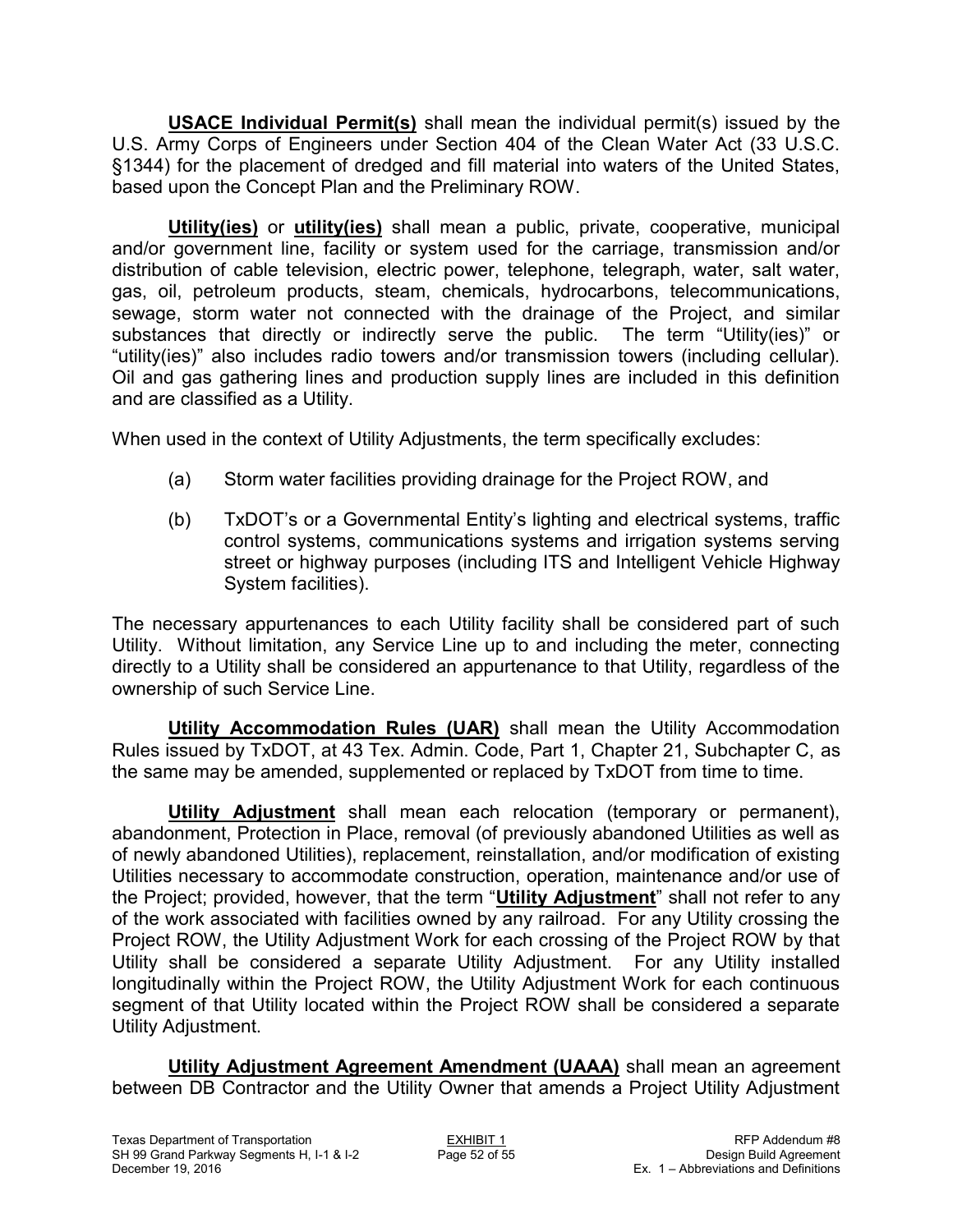**USACE Individual Permit(s)** shall mean the individual permit(s) issued by the U.S. Army Corps of Engineers under Section 404 of the Clean Water Act (33 U.S.C. §1344) for the placement of dredged and fill material into waters of the United States, based upon the Concept Plan and the Preliminary ROW.

**Utility(ies)** or **utility(ies)** shall mean a public, private, cooperative, municipal and/or government line, facility or system used for the carriage, transmission and/or distribution of cable television, electric power, telephone, telegraph, water, salt water, gas, oil, petroleum products, steam, chemicals, hydrocarbons, telecommunications, sewage, storm water not connected with the drainage of the Project, and similar substances that directly or indirectly serve the public. The term "Utility(ies)" or "utility(ies)" also includes radio towers and/or transmission towers (including cellular). Oil and gas gathering lines and production supply lines are included in this definition and are classified as a Utility.

When used in the context of Utility Adjustments, the term specifically excludes:

- (a) Storm water facilities providing drainage for the Project ROW, and
- (b) TxDOT's or a Governmental Entity's lighting and electrical systems, traffic control systems, communications systems and irrigation systems serving street or highway purposes (including ITS and Intelligent Vehicle Highway System facilities).

The necessary appurtenances to each Utility facility shall be considered part of such Utility. Without limitation, any Service Line up to and including the meter, connecting directly to a Utility shall be considered an appurtenance to that Utility, regardless of the ownership of such Service Line.

**Utility Accommodation Rules (UAR)** shall mean the Utility Accommodation Rules issued by TxDOT, at 43 Tex. Admin. Code, Part 1, Chapter 21, Subchapter C, as the same may be amended, supplemented or replaced by TxDOT from time to time.

**Utility Adjustment** shall mean each relocation (temporary or permanent), abandonment, Protection in Place, removal (of previously abandoned Utilities as well as of newly abandoned Utilities), replacement, reinstallation, and/or modification of existing Utilities necessary to accommodate construction, operation, maintenance and/or use of the Project; provided, however, that the term "**Utility Adjustment**" shall not refer to any of the work associated with facilities owned by any railroad. For any Utility crossing the Project ROW, the Utility Adjustment Work for each crossing of the Project ROW by that Utility shall be considered a separate Utility Adjustment. For any Utility installed longitudinally within the Project ROW, the Utility Adjustment Work for each continuous segment of that Utility located within the Project ROW shall be considered a separate Utility Adjustment.

**Utility Adjustment Agreement Amendment (UAAA)** shall mean an agreement between DB Contractor and the Utility Owner that amends a Project Utility Adjustment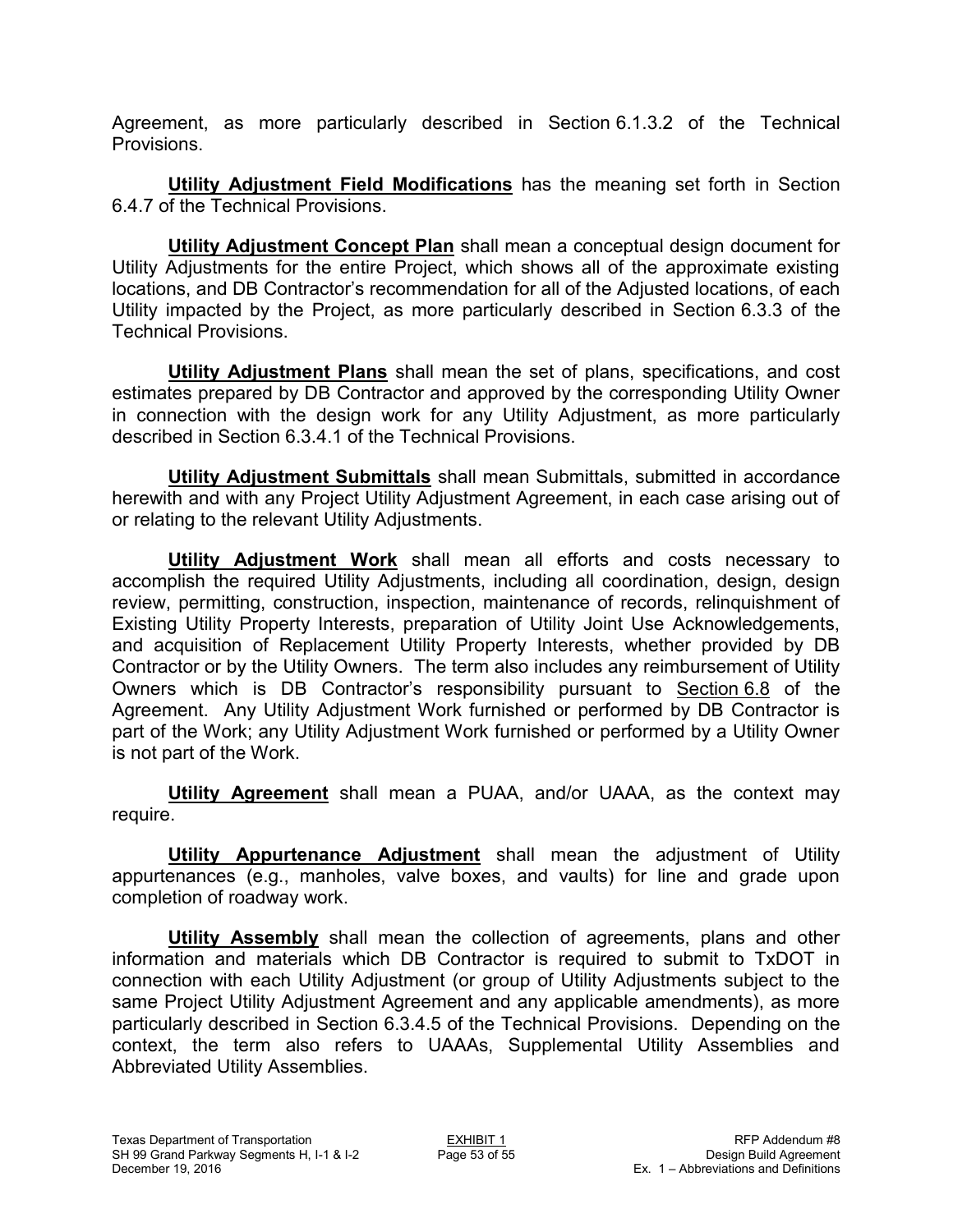Agreement, as more particularly described in Section 6.1.3.2 of the Technical Provisions.

**Utility Adjustment Field Modifications** has the meaning set forth in Section 6.4.7 of the Technical Provisions.

**Utility Adjustment Concept Plan** shall mean a conceptual design document for Utility Adjustments for the entire Project, which shows all of the approximate existing locations, and DB Contractor's recommendation for all of the Adjusted locations, of each Utility impacted by the Project, as more particularly described in Section 6.3.3 of the Technical Provisions.

**Utility Adjustment Plans** shall mean the set of plans, specifications, and cost estimates prepared by DB Contractor and approved by the corresponding Utility Owner in connection with the design work for any Utility Adjustment, as more particularly described in Section 6.3.4.1 of the Technical Provisions.

**Utility Adjustment Submittals** shall mean Submittals, submitted in accordance herewith and with any Project Utility Adjustment Agreement, in each case arising out of or relating to the relevant Utility Adjustments.

**Utility Adjustment Work** shall mean all efforts and costs necessary to accomplish the required Utility Adjustments, including all coordination, design, design review, permitting, construction, inspection, maintenance of records, relinquishment of Existing Utility Property Interests, preparation of Utility Joint Use Acknowledgements, and acquisition of Replacement Utility Property Interests, whether provided by DB Contractor or by the Utility Owners. The term also includes any reimbursement of Utility Owners which is DB Contractor's responsibility pursuant to Section 6.8 of the Agreement. Any Utility Adjustment Work furnished or performed by DB Contractor is part of the Work; any Utility Adjustment Work furnished or performed by a Utility Owner is not part of the Work.

**Utility Agreement** shall mean a PUAA, and/or UAAA, as the context may require.

**Utility Appurtenance Adjustment** shall mean the adjustment of Utility appurtenances (e.g., manholes, valve boxes, and vaults) for line and grade upon completion of roadway work.

**Utility Assembly** shall mean the collection of agreements, plans and other information and materials which DB Contractor is required to submit to TxDOT in connection with each Utility Adjustment (or group of Utility Adjustments subject to the same Project Utility Adjustment Agreement and any applicable amendments), as more particularly described in Section 6.3.4.5 of the Technical Provisions. Depending on the context, the term also refers to UAAAs, Supplemental Utility Assemblies and Abbreviated Utility Assemblies.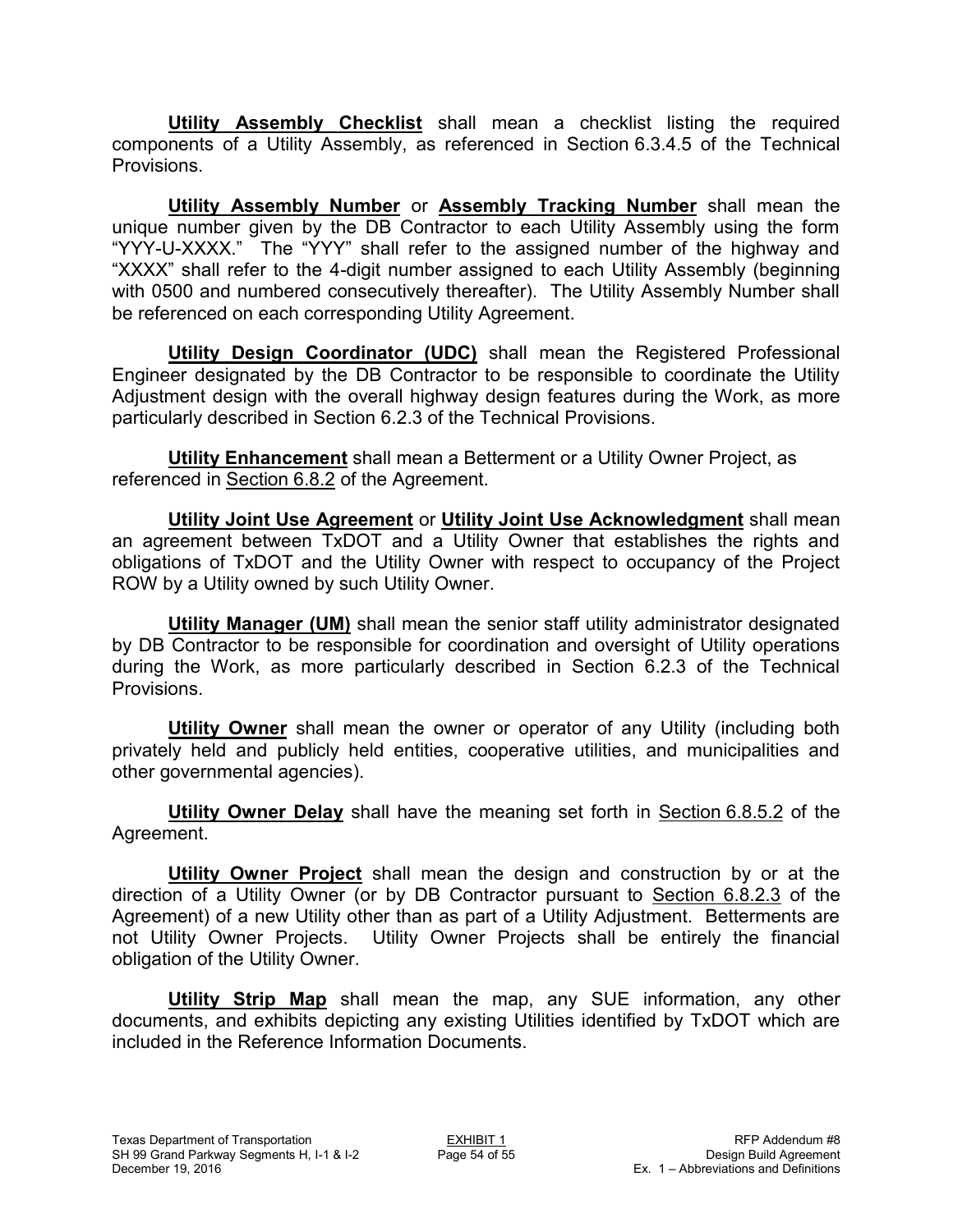**Utility Assembly Checklist** shall mean a checklist listing the required components of a Utility Assembly, as referenced in Section 6.3.4.5 of the Technical Provisions.

**Utility Assembly Number** or **Assembly Tracking Number** shall mean the unique number given by the DB Contractor to each Utility Assembly using the form "YYY-U-XXXX." The "YYY" shall refer to the assigned number of the highway and "XXXX" shall refer to the 4-digit number assigned to each Utility Assembly (beginning with 0500 and numbered consecutively thereafter). The Utility Assembly Number shall be referenced on each corresponding Utility Agreement.

**Utility Design Coordinator (UDC)** shall mean the Registered Professional Engineer designated by the DB Contractor to be responsible to coordinate the Utility Adjustment design with the overall highway design features during the Work, as more particularly described in Section 6.2.3 of the Technical Provisions.

**Utility Enhancement** shall mean a Betterment or a Utility Owner Project, as referenced in Section 6.8.2 of the Agreement.

**Utility Joint Use Agreement** or **Utility Joint Use Acknowledgment** shall mean an agreement between TxDOT and a Utility Owner that establishes the rights and obligations of TxDOT and the Utility Owner with respect to occupancy of the Project ROW by a Utility owned by such Utility Owner.

**Utility Manager (UM)** shall mean the senior staff utility administrator designated by DB Contractor to be responsible for coordination and oversight of Utility operations during the Work, as more particularly described in Section 6.2.3 of the Technical Provisions.

**Utility Owner** shall mean the owner or operator of any Utility (including both privately held and publicly held entities, cooperative utilities, and municipalities and other governmental agencies).

**Utility Owner Delay** shall have the meaning set forth in Section 6.8.5.2 of the Agreement.

**Utility Owner Project** shall mean the design and construction by or at the direction of a Utility Owner (or by DB Contractor pursuant to Section 6.8.2.3 of the Agreement) of a new Utility other than as part of a Utility Adjustment. Betterments are not Utility Owner Projects. Utility Owner Projects shall be entirely the financial obligation of the Utility Owner.

**Utility Strip Map** shall mean the map, any SUE information, any other documents, and exhibits depicting any existing Utilities identified by TxDOT which are included in the Reference Information Documents.